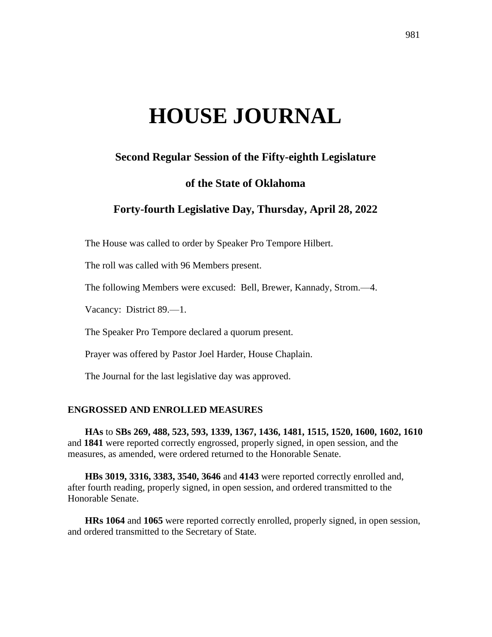# **HOUSE JOURNAL**

# **Second Regular Session of the Fifty-eighth Legislature**

# **of the State of Oklahoma**

# **Forty-fourth Legislative Day, Thursday, April 28, 2022**

The House was called to order by Speaker Pro Tempore Hilbert.

The roll was called with 96 Members present.

The following Members were excused: Bell, Brewer, Kannady, Strom.—4.

Vacancy: District 89.—1.

The Speaker Pro Tempore declared a quorum present.

Prayer was offered by Pastor Joel Harder, House Chaplain.

The Journal for the last legislative day was approved.

### **ENGROSSED AND ENROLLED MEASURES**

**HAs** to **SBs 269, 488, 523, 593, 1339, 1367, 1436, 1481, 1515, 1520, 1600, 1602, 1610** and **1841** were reported correctly engrossed, properly signed, in open session, and the measures, as amended, were ordered returned to the Honorable Senate.

**HBs 3019, 3316, 3383, 3540, 3646** and **4143** were reported correctly enrolled and, after fourth reading, properly signed, in open session, and ordered transmitted to the Honorable Senate.

**HRs 1064** and **1065** were reported correctly enrolled, properly signed, in open session, and ordered transmitted to the Secretary of State.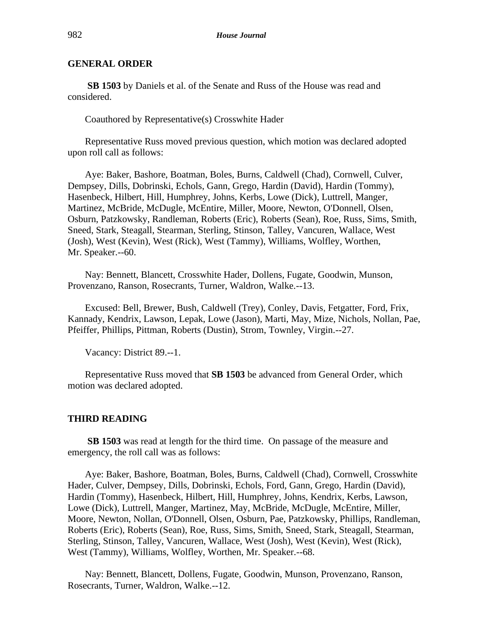**SB 1503** by Daniels et al. of the Senate and Russ of the House was read and considered.

Coauthored by Representative(s) Crosswhite Hader

Representative Russ moved previous question, which motion was declared adopted upon roll call as follows:

Aye: Baker, Bashore, Boatman, Boles, Burns, Caldwell (Chad), Cornwell, Culver, Dempsey, Dills, Dobrinski, Echols, Gann, Grego, Hardin (David), Hardin (Tommy), Hasenbeck, Hilbert, Hill, Humphrey, Johns, Kerbs, Lowe (Dick), Luttrell, Manger, Martinez, McBride, McDugle, McEntire, Miller, Moore, Newton, O'Donnell, Olsen, Osburn, Patzkowsky, Randleman, Roberts (Eric), Roberts (Sean), Roe, Russ, Sims, Smith, Sneed, Stark, Steagall, Stearman, Sterling, Stinson, Talley, Vancuren, Wallace, West (Josh), West (Kevin), West (Rick), West (Tammy), Williams, Wolfley, Worthen, Mr. Speaker.--60.

Nay: Bennett, Blancett, Crosswhite Hader, Dollens, Fugate, Goodwin, Munson, Provenzano, Ranson, Rosecrants, Turner, Waldron, Walke.--13.

Excused: Bell, Brewer, Bush, Caldwell (Trey), Conley, Davis, Fetgatter, Ford, Frix, Kannady, Kendrix, Lawson, Lepak, Lowe (Jason), Marti, May, Mize, Nichols, Nollan, Pae, Pfeiffer, Phillips, Pittman, Roberts (Dustin), Strom, Townley, Virgin.--27.

Vacancy: District 89.--1.

Representative Russ moved that **SB 1503** be advanced from General Order, which motion was declared adopted.

#### **THIRD READING**

**SB 1503** was read at length for the third time. On passage of the measure and emergency, the roll call was as follows:

Aye: Baker, Bashore, Boatman, Boles, Burns, Caldwell (Chad), Cornwell, Crosswhite Hader, Culver, Dempsey, Dills, Dobrinski, Echols, Ford, Gann, Grego, Hardin (David), Hardin (Tommy), Hasenbeck, Hilbert, Hill, Humphrey, Johns, Kendrix, Kerbs, Lawson, Lowe (Dick), Luttrell, Manger, Martinez, May, McBride, McDugle, McEntire, Miller, Moore, Newton, Nollan, O'Donnell, Olsen, Osburn, Pae, Patzkowsky, Phillips, Randleman, Roberts (Eric), Roberts (Sean), Roe, Russ, Sims, Smith, Sneed, Stark, Steagall, Stearman, Sterling, Stinson, Talley, Vancuren, Wallace, West (Josh), West (Kevin), West (Rick), West (Tammy), Williams, Wolfley, Worthen, Mr. Speaker.--68.

Nay: Bennett, Blancett, Dollens, Fugate, Goodwin, Munson, Provenzano, Ranson, Rosecrants, Turner, Waldron, Walke.--12.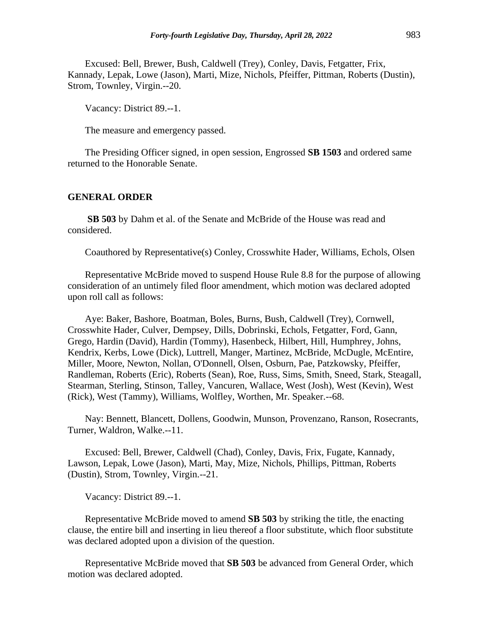Excused: Bell, Brewer, Bush, Caldwell (Trey), Conley, Davis, Fetgatter, Frix, Kannady, Lepak, Lowe (Jason), Marti, Mize, Nichols, Pfeiffer, Pittman, Roberts (Dustin), Strom, Townley, Virgin.--20.

Vacancy: District 89.--1.

The measure and emergency passed.

The Presiding Officer signed, in open session, Engrossed **SB 1503** and ordered same returned to the Honorable Senate.

#### **GENERAL ORDER**

**SB 503** by Dahm et al. of the Senate and McBride of the House was read and considered.

Coauthored by Representative(s) Conley, Crosswhite Hader, Williams, Echols, Olsen

Representative McBride moved to suspend House Rule 8.8 for the purpose of allowing consideration of an untimely filed floor amendment, which motion was declared adopted upon roll call as follows:

Aye: Baker, Bashore, Boatman, Boles, Burns, Bush, Caldwell (Trey), Cornwell, Crosswhite Hader, Culver, Dempsey, Dills, Dobrinski, Echols, Fetgatter, Ford, Gann, Grego, Hardin (David), Hardin (Tommy), Hasenbeck, Hilbert, Hill, Humphrey, Johns, Kendrix, Kerbs, Lowe (Dick), Luttrell, Manger, Martinez, McBride, McDugle, McEntire, Miller, Moore, Newton, Nollan, O'Donnell, Olsen, Osburn, Pae, Patzkowsky, Pfeiffer, Randleman, Roberts (Eric), Roberts (Sean), Roe, Russ, Sims, Smith, Sneed, Stark, Steagall, Stearman, Sterling, Stinson, Talley, Vancuren, Wallace, West (Josh), West (Kevin), West (Rick), West (Tammy), Williams, Wolfley, Worthen, Mr. Speaker.--68.

Nay: Bennett, Blancett, Dollens, Goodwin, Munson, Provenzano, Ranson, Rosecrants, Turner, Waldron, Walke.--11.

Excused: Bell, Brewer, Caldwell (Chad), Conley, Davis, Frix, Fugate, Kannady, Lawson, Lepak, Lowe (Jason), Marti, May, Mize, Nichols, Phillips, Pittman, Roberts (Dustin), Strom, Townley, Virgin.--21.

Vacancy: District 89.--1.

Representative McBride moved to amend **SB 503** by striking the title, the enacting clause, the entire bill and inserting in lieu thereof a floor substitute, which floor substitute was declared adopted upon a division of the question.

Representative McBride moved that **SB 503** be advanced from General Order, which motion was declared adopted.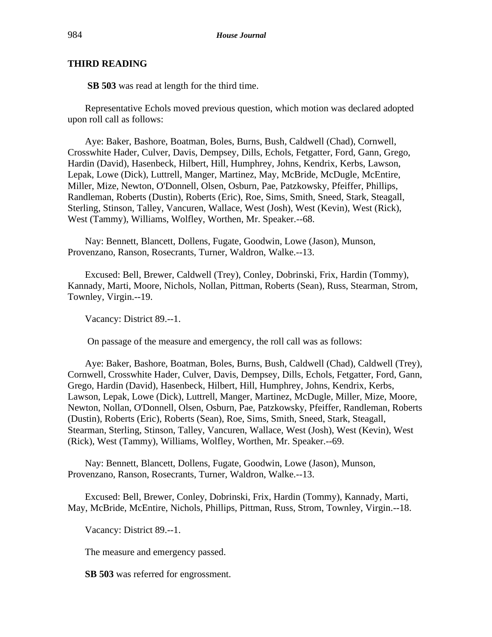# **THIRD READING**

**SB 503** was read at length for the third time.

Representative Echols moved previous question, which motion was declared adopted upon roll call as follows:

Aye: Baker, Bashore, Boatman, Boles, Burns, Bush, Caldwell (Chad), Cornwell, Crosswhite Hader, Culver, Davis, Dempsey, Dills, Echols, Fetgatter, Ford, Gann, Grego, Hardin (David), Hasenbeck, Hilbert, Hill, Humphrey, Johns, Kendrix, Kerbs, Lawson, Lepak, Lowe (Dick), Luttrell, Manger, Martinez, May, McBride, McDugle, McEntire, Miller, Mize, Newton, O'Donnell, Olsen, Osburn, Pae, Patzkowsky, Pfeiffer, Phillips, Randleman, Roberts (Dustin), Roberts (Eric), Roe, Sims, Smith, Sneed, Stark, Steagall, Sterling, Stinson, Talley, Vancuren, Wallace, West (Josh), West (Kevin), West (Rick), West (Tammy), Williams, Wolfley, Worthen, Mr. Speaker.--68.

Nay: Bennett, Blancett, Dollens, Fugate, Goodwin, Lowe (Jason), Munson, Provenzano, Ranson, Rosecrants, Turner, Waldron, Walke.--13.

Excused: Bell, Brewer, Caldwell (Trey), Conley, Dobrinski, Frix, Hardin (Tommy), Kannady, Marti, Moore, Nichols, Nollan, Pittman, Roberts (Sean), Russ, Stearman, Strom, Townley, Virgin.--19.

Vacancy: District 89.--1.

On passage of the measure and emergency, the roll call was as follows:

Aye: Baker, Bashore, Boatman, Boles, Burns, Bush, Caldwell (Chad), Caldwell (Trey), Cornwell, Crosswhite Hader, Culver, Davis, Dempsey, Dills, Echols, Fetgatter, Ford, Gann, Grego, Hardin (David), Hasenbeck, Hilbert, Hill, Humphrey, Johns, Kendrix, Kerbs, Lawson, Lepak, Lowe (Dick), Luttrell, Manger, Martinez, McDugle, Miller, Mize, Moore, Newton, Nollan, O'Donnell, Olsen, Osburn, Pae, Patzkowsky, Pfeiffer, Randleman, Roberts (Dustin), Roberts (Eric), Roberts (Sean), Roe, Sims, Smith, Sneed, Stark, Steagall, Stearman, Sterling, Stinson, Talley, Vancuren, Wallace, West (Josh), West (Kevin), West (Rick), West (Tammy), Williams, Wolfley, Worthen, Mr. Speaker.--69.

Nay: Bennett, Blancett, Dollens, Fugate, Goodwin, Lowe (Jason), Munson, Provenzano, Ranson, Rosecrants, Turner, Waldron, Walke.--13.

Excused: Bell, Brewer, Conley, Dobrinski, Frix, Hardin (Tommy), Kannady, Marti, May, McBride, McEntire, Nichols, Phillips, Pittman, Russ, Strom, Townley, Virgin.--18.

Vacancy: District 89.--1.

The measure and emergency passed.

**SB 503** was referred for engrossment.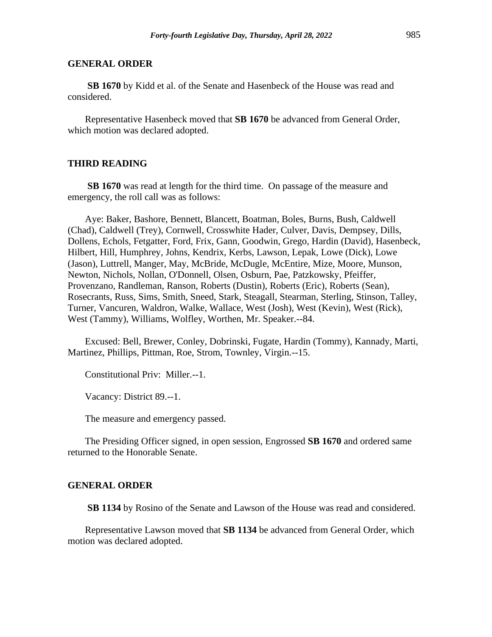**SB 1670** by Kidd et al. of the Senate and Hasenbeck of the House was read and considered.

Representative Hasenbeck moved that **SB 1670** be advanced from General Order, which motion was declared adopted.

# **THIRD READING**

**SB 1670** was read at length for the third time. On passage of the measure and emergency, the roll call was as follows:

Aye: Baker, Bashore, Bennett, Blancett, Boatman, Boles, Burns, Bush, Caldwell (Chad), Caldwell (Trey), Cornwell, Crosswhite Hader, Culver, Davis, Dempsey, Dills, Dollens, Echols, Fetgatter, Ford, Frix, Gann, Goodwin, Grego, Hardin (David), Hasenbeck, Hilbert, Hill, Humphrey, Johns, Kendrix, Kerbs, Lawson, Lepak, Lowe (Dick), Lowe (Jason), Luttrell, Manger, May, McBride, McDugle, McEntire, Mize, Moore, Munson, Newton, Nichols, Nollan, O'Donnell, Olsen, Osburn, Pae, Patzkowsky, Pfeiffer, Provenzano, Randleman, Ranson, Roberts (Dustin), Roberts (Eric), Roberts (Sean), Rosecrants, Russ, Sims, Smith, Sneed, Stark, Steagall, Stearman, Sterling, Stinson, Talley, Turner, Vancuren, Waldron, Walke, Wallace, West (Josh), West (Kevin), West (Rick), West (Tammy), Williams, Wolfley, Worthen, Mr. Speaker.--84.

Excused: Bell, Brewer, Conley, Dobrinski, Fugate, Hardin (Tommy), Kannady, Marti, Martinez, Phillips, Pittman, Roe, Strom, Townley, Virgin.--15.

Constitutional Priv: Miller.--1.

Vacancy: District 89.--1.

The measure and emergency passed.

The Presiding Officer signed, in open session, Engrossed **SB 1670** and ordered same returned to the Honorable Senate.

#### **GENERAL ORDER**

**SB 1134** by Rosino of the Senate and Lawson of the House was read and considered.

Representative Lawson moved that **SB 1134** be advanced from General Order, which motion was declared adopted.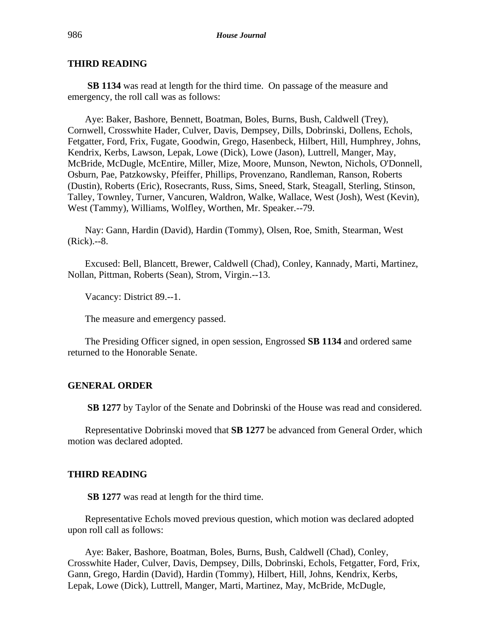# **THIRD READING**

**SB 1134** was read at length for the third time. On passage of the measure and emergency, the roll call was as follows:

Aye: Baker, Bashore, Bennett, Boatman, Boles, Burns, Bush, Caldwell (Trey), Cornwell, Crosswhite Hader, Culver, Davis, Dempsey, Dills, Dobrinski, Dollens, Echols, Fetgatter, Ford, Frix, Fugate, Goodwin, Grego, Hasenbeck, Hilbert, Hill, Humphrey, Johns, Kendrix, Kerbs, Lawson, Lepak, Lowe (Dick), Lowe (Jason), Luttrell, Manger, May, McBride, McDugle, McEntire, Miller, Mize, Moore, Munson, Newton, Nichols, O'Donnell, Osburn, Pae, Patzkowsky, Pfeiffer, Phillips, Provenzano, Randleman, Ranson, Roberts (Dustin), Roberts (Eric), Rosecrants, Russ, Sims, Sneed, Stark, Steagall, Sterling, Stinson, Talley, Townley, Turner, Vancuren, Waldron, Walke, Wallace, West (Josh), West (Kevin), West (Tammy), Williams, Wolfley, Worthen, Mr. Speaker.--79.

Nay: Gann, Hardin (David), Hardin (Tommy), Olsen, Roe, Smith, Stearman, West (Rick).--8.

Excused: Bell, Blancett, Brewer, Caldwell (Chad), Conley, Kannady, Marti, Martinez, Nollan, Pittman, Roberts (Sean), Strom, Virgin.--13.

Vacancy: District 89.--1.

The measure and emergency passed.

The Presiding Officer signed, in open session, Engrossed **SB 1134** and ordered same returned to the Honorable Senate.

### **GENERAL ORDER**

**SB 1277** by Taylor of the Senate and Dobrinski of the House was read and considered.

Representative Dobrinski moved that **SB 1277** be advanced from General Order, which motion was declared adopted.

### **THIRD READING**

**SB 1277** was read at length for the third time.

Representative Echols moved previous question, which motion was declared adopted upon roll call as follows:

Aye: Baker, Bashore, Boatman, Boles, Burns, Bush, Caldwell (Chad), Conley, Crosswhite Hader, Culver, Davis, Dempsey, Dills, Dobrinski, Echols, Fetgatter, Ford, Frix, Gann, Grego, Hardin (David), Hardin (Tommy), Hilbert, Hill, Johns, Kendrix, Kerbs, Lepak, Lowe (Dick), Luttrell, Manger, Marti, Martinez, May, McBride, McDugle,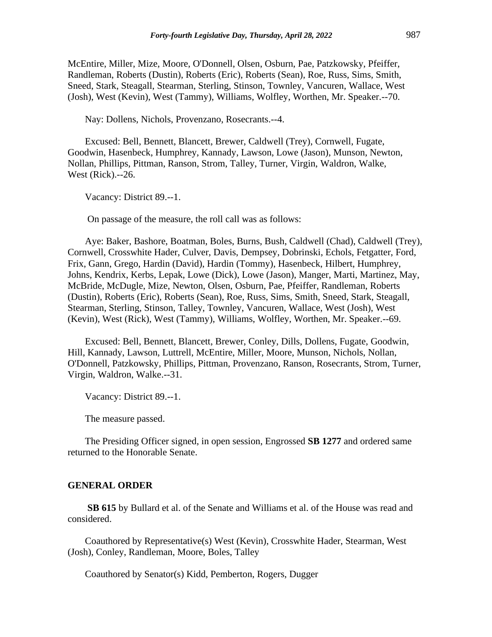McEntire, Miller, Mize, Moore, O'Donnell, Olsen, Osburn, Pae, Patzkowsky, Pfeiffer, Randleman, Roberts (Dustin), Roberts (Eric), Roberts (Sean), Roe, Russ, Sims, Smith, Sneed, Stark, Steagall, Stearman, Sterling, Stinson, Townley, Vancuren, Wallace, West (Josh), West (Kevin), West (Tammy), Williams, Wolfley, Worthen, Mr. Speaker.--70.

Nay: Dollens, Nichols, Provenzano, Rosecrants.--4.

Excused: Bell, Bennett, Blancett, Brewer, Caldwell (Trey), Cornwell, Fugate, Goodwin, Hasenbeck, Humphrey, Kannady, Lawson, Lowe (Jason), Munson, Newton, Nollan, Phillips, Pittman, Ranson, Strom, Talley, Turner, Virgin, Waldron, Walke, West (Rick).--26.

Vacancy: District 89.--1.

On passage of the measure, the roll call was as follows:

Aye: Baker, Bashore, Boatman, Boles, Burns, Bush, Caldwell (Chad), Caldwell (Trey), Cornwell, Crosswhite Hader, Culver, Davis, Dempsey, Dobrinski, Echols, Fetgatter, Ford, Frix, Gann, Grego, Hardin (David), Hardin (Tommy), Hasenbeck, Hilbert, Humphrey, Johns, Kendrix, Kerbs, Lepak, Lowe (Dick), Lowe (Jason), Manger, Marti, Martinez, May, McBride, McDugle, Mize, Newton, Olsen, Osburn, Pae, Pfeiffer, Randleman, Roberts (Dustin), Roberts (Eric), Roberts (Sean), Roe, Russ, Sims, Smith, Sneed, Stark, Steagall, Stearman, Sterling, Stinson, Talley, Townley, Vancuren, Wallace, West (Josh), West (Kevin), West (Rick), West (Tammy), Williams, Wolfley, Worthen, Mr. Speaker.--69.

Excused: Bell, Bennett, Blancett, Brewer, Conley, Dills, Dollens, Fugate, Goodwin, Hill, Kannady, Lawson, Luttrell, McEntire, Miller, Moore, Munson, Nichols, Nollan, O'Donnell, Patzkowsky, Phillips, Pittman, Provenzano, Ranson, Rosecrants, Strom, Turner, Virgin, Waldron, Walke.--31.

Vacancy: District 89.--1.

The measure passed.

The Presiding Officer signed, in open session, Engrossed **SB 1277** and ordered same returned to the Honorable Senate.

#### **GENERAL ORDER**

**SB 615** by Bullard et al. of the Senate and Williams et al. of the House was read and considered.

Coauthored by Representative(s) West (Kevin), Crosswhite Hader, Stearman, West (Josh), Conley, Randleman, Moore, Boles, Talley

Coauthored by Senator(s) Kidd, Pemberton, Rogers, Dugger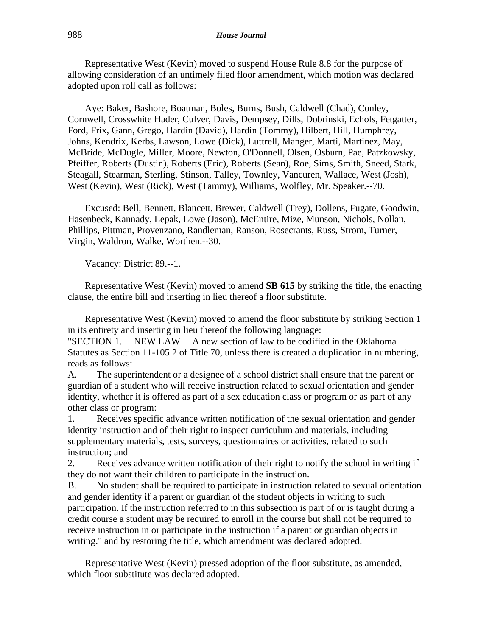Representative West (Kevin) moved to suspend House Rule 8.8 for the purpose of allowing consideration of an untimely filed floor amendment, which motion was declared adopted upon roll call as follows:

Aye: Baker, Bashore, Boatman, Boles, Burns, Bush, Caldwell (Chad), Conley, Cornwell, Crosswhite Hader, Culver, Davis, Dempsey, Dills, Dobrinski, Echols, Fetgatter, Ford, Frix, Gann, Grego, Hardin (David), Hardin (Tommy), Hilbert, Hill, Humphrey, Johns, Kendrix, Kerbs, Lawson, Lowe (Dick), Luttrell, Manger, Marti, Martinez, May, McBride, McDugle, Miller, Moore, Newton, O'Donnell, Olsen, Osburn, Pae, Patzkowsky, Pfeiffer, Roberts (Dustin), Roberts (Eric), Roberts (Sean), Roe, Sims, Smith, Sneed, Stark, Steagall, Stearman, Sterling, Stinson, Talley, Townley, Vancuren, Wallace, West (Josh), West (Kevin), West (Rick), West (Tammy), Williams, Wolfley, Mr. Speaker.--70.

Excused: Bell, Bennett, Blancett, Brewer, Caldwell (Trey), Dollens, Fugate, Goodwin, Hasenbeck, Kannady, Lepak, Lowe (Jason), McEntire, Mize, Munson, Nichols, Nollan, Phillips, Pittman, Provenzano, Randleman, Ranson, Rosecrants, Russ, Strom, Turner, Virgin, Waldron, Walke, Worthen.--30.

Vacancy: District 89.--1.

Representative West (Kevin) moved to amend **SB 615** by striking the title, the enacting clause, the entire bill and inserting in lieu thereof a floor substitute.

Representative West (Kevin) moved to amend the floor substitute by striking Section 1 in its entirety and inserting in lieu thereof the following language:

"SECTION 1. NEW LAW A new section of law to be codified in the Oklahoma Statutes as Section 11-105.2 of Title 70, unless there is created a duplication in numbering, reads as follows:

A. The superintendent or a designee of a school district shall ensure that the parent or guardian of a student who will receive instruction related to sexual orientation and gender identity, whether it is offered as part of a sex education class or program or as part of any other class or program:

1. Receives specific advance written notification of the sexual orientation and gender identity instruction and of their right to inspect curriculum and materials, including supplementary materials, tests, surveys, questionnaires or activities, related to such instruction; and

2. Receives advance written notification of their right to notify the school in writing if they do not want their children to participate in the instruction.

B. No student shall be required to participate in instruction related to sexual orientation and gender identity if a parent or guardian of the student objects in writing to such participation. If the instruction referred to in this subsection is part of or is taught during a credit course a student may be required to enroll in the course but shall not be required to receive instruction in or participate in the instruction if a parent or guardian objects in writing." and by restoring the title, which amendment was declared adopted.

Representative West (Kevin) pressed adoption of the floor substitute, as amended, which floor substitute was declared adopted.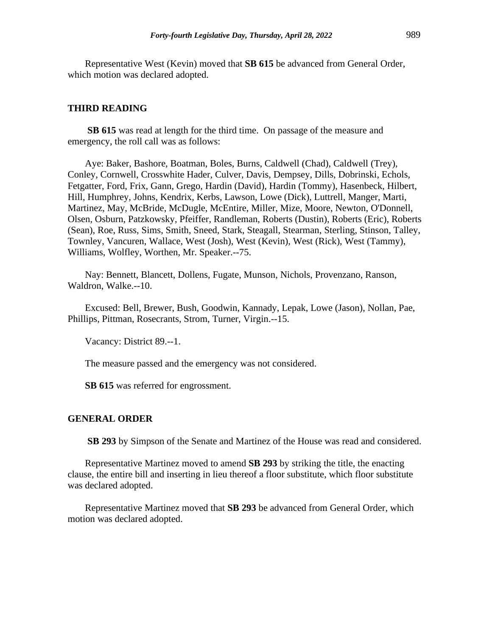Representative West (Kevin) moved that **SB 615** be advanced from General Order, which motion was declared adopted.

### **THIRD READING**

**SB 615** was read at length for the third time. On passage of the measure and emergency, the roll call was as follows:

Aye: Baker, Bashore, Boatman, Boles, Burns, Caldwell (Chad), Caldwell (Trey), Conley, Cornwell, Crosswhite Hader, Culver, Davis, Dempsey, Dills, Dobrinski, Echols, Fetgatter, Ford, Frix, Gann, Grego, Hardin (David), Hardin (Tommy), Hasenbeck, Hilbert, Hill, Humphrey, Johns, Kendrix, Kerbs, Lawson, Lowe (Dick), Luttrell, Manger, Marti, Martinez, May, McBride, McDugle, McEntire, Miller, Mize, Moore, Newton, O'Donnell, Olsen, Osburn, Patzkowsky, Pfeiffer, Randleman, Roberts (Dustin), Roberts (Eric), Roberts (Sean), Roe, Russ, Sims, Smith, Sneed, Stark, Steagall, Stearman, Sterling, Stinson, Talley, Townley, Vancuren, Wallace, West (Josh), West (Kevin), West (Rick), West (Tammy), Williams, Wolfley, Worthen, Mr. Speaker.--75.

Nay: Bennett, Blancett, Dollens, Fugate, Munson, Nichols, Provenzano, Ranson, Waldron, Walke.--10.

Excused: Bell, Brewer, Bush, Goodwin, Kannady, Lepak, Lowe (Jason), Nollan, Pae, Phillips, Pittman, Rosecrants, Strom, Turner, Virgin.--15.

Vacancy: District 89.--1.

The measure passed and the emergency was not considered.

**SB 615** was referred for engrossment.

#### **GENERAL ORDER**

**SB 293** by Simpson of the Senate and Martinez of the House was read and considered.

Representative Martinez moved to amend **SB 293** by striking the title, the enacting clause, the entire bill and inserting in lieu thereof a floor substitute, which floor substitute was declared adopted.

Representative Martinez moved that **SB 293** be advanced from General Order, which motion was declared adopted.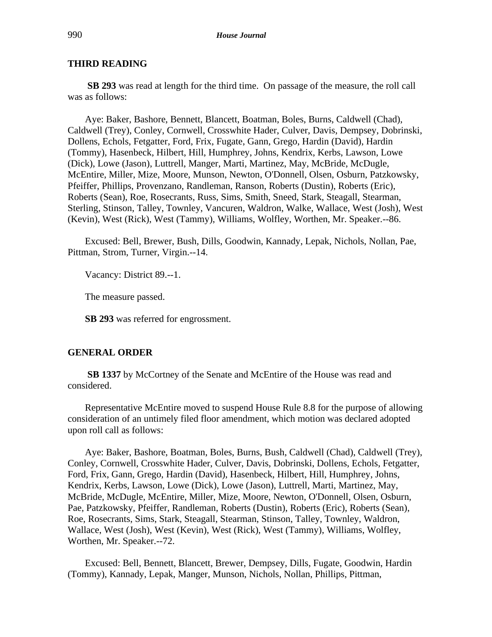# **THIRD READING**

**SB 293** was read at length for the third time. On passage of the measure, the roll call was as follows:

Aye: Baker, Bashore, Bennett, Blancett, Boatman, Boles, Burns, Caldwell (Chad), Caldwell (Trey), Conley, Cornwell, Crosswhite Hader, Culver, Davis, Dempsey, Dobrinski, Dollens, Echols, Fetgatter, Ford, Frix, Fugate, Gann, Grego, Hardin (David), Hardin (Tommy), Hasenbeck, Hilbert, Hill, Humphrey, Johns, Kendrix, Kerbs, Lawson, Lowe (Dick), Lowe (Jason), Luttrell, Manger, Marti, Martinez, May, McBride, McDugle, McEntire, Miller, Mize, Moore, Munson, Newton, O'Donnell, Olsen, Osburn, Patzkowsky, Pfeiffer, Phillips, Provenzano, Randleman, Ranson, Roberts (Dustin), Roberts (Eric), Roberts (Sean), Roe, Rosecrants, Russ, Sims, Smith, Sneed, Stark, Steagall, Stearman, Sterling, Stinson, Talley, Townley, Vancuren, Waldron, Walke, Wallace, West (Josh), West (Kevin), West (Rick), West (Tammy), Williams, Wolfley, Worthen, Mr. Speaker.--86.

Excused: Bell, Brewer, Bush, Dills, Goodwin, Kannady, Lepak, Nichols, Nollan, Pae, Pittman, Strom, Turner, Virgin.--14.

Vacancy: District 89.--1.

The measure passed.

**SB 293** was referred for engrossment.

### **GENERAL ORDER**

**SB 1337** by McCortney of the Senate and McEntire of the House was read and considered.

Representative McEntire moved to suspend House Rule 8.8 for the purpose of allowing consideration of an untimely filed floor amendment, which motion was declared adopted upon roll call as follows:

Aye: Baker, Bashore, Boatman, Boles, Burns, Bush, Caldwell (Chad), Caldwell (Trey), Conley, Cornwell, Crosswhite Hader, Culver, Davis, Dobrinski, Dollens, Echols, Fetgatter, Ford, Frix, Gann, Grego, Hardin (David), Hasenbeck, Hilbert, Hill, Humphrey, Johns, Kendrix, Kerbs, Lawson, Lowe (Dick), Lowe (Jason), Luttrell, Marti, Martinez, May, McBride, McDugle, McEntire, Miller, Mize, Moore, Newton, O'Donnell, Olsen, Osburn, Pae, Patzkowsky, Pfeiffer, Randleman, Roberts (Dustin), Roberts (Eric), Roberts (Sean), Roe, Rosecrants, Sims, Stark, Steagall, Stearman, Stinson, Talley, Townley, Waldron, Wallace, West (Josh), West (Kevin), West (Rick), West (Tammy), Williams, Wolfley, Worthen, Mr. Speaker.--72.

Excused: Bell, Bennett, Blancett, Brewer, Dempsey, Dills, Fugate, Goodwin, Hardin (Tommy), Kannady, Lepak, Manger, Munson, Nichols, Nollan, Phillips, Pittman,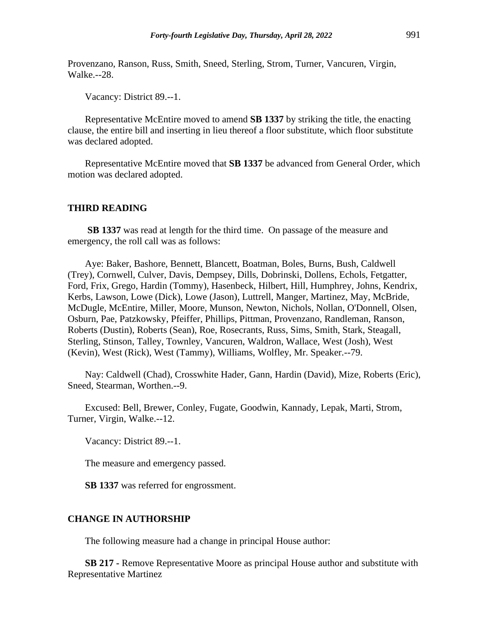Provenzano, Ranson, Russ, Smith, Sneed, Sterling, Strom, Turner, Vancuren, Virgin, Walke.--28.

Vacancy: District 89.--1.

Representative McEntire moved to amend **SB 1337** by striking the title, the enacting clause, the entire bill and inserting in lieu thereof a floor substitute, which floor substitute was declared adopted.

Representative McEntire moved that **SB 1337** be advanced from General Order, which motion was declared adopted.

### **THIRD READING**

**SB 1337** was read at length for the third time. On passage of the measure and emergency, the roll call was as follows:

Aye: Baker, Bashore, Bennett, Blancett, Boatman, Boles, Burns, Bush, Caldwell (Trey), Cornwell, Culver, Davis, Dempsey, Dills, Dobrinski, Dollens, Echols, Fetgatter, Ford, Frix, Grego, Hardin (Tommy), Hasenbeck, Hilbert, Hill, Humphrey, Johns, Kendrix, Kerbs, Lawson, Lowe (Dick), Lowe (Jason), Luttrell, Manger, Martinez, May, McBride, McDugle, McEntire, Miller, Moore, Munson, Newton, Nichols, Nollan, O'Donnell, Olsen, Osburn, Pae, Patzkowsky, Pfeiffer, Phillips, Pittman, Provenzano, Randleman, Ranson, Roberts (Dustin), Roberts (Sean), Roe, Rosecrants, Russ, Sims, Smith, Stark, Steagall, Sterling, Stinson, Talley, Townley, Vancuren, Waldron, Wallace, West (Josh), West (Kevin), West (Rick), West (Tammy), Williams, Wolfley, Mr. Speaker.--79.

Nay: Caldwell (Chad), Crosswhite Hader, Gann, Hardin (David), Mize, Roberts (Eric), Sneed, Stearman, Worthen.--9.

Excused: Bell, Brewer, Conley, Fugate, Goodwin, Kannady, Lepak, Marti, Strom, Turner, Virgin, Walke.--12.

Vacancy: District 89.--1.

The measure and emergency passed.

**SB 1337** was referred for engrossment.

### **CHANGE IN AUTHORSHIP**

The following measure had a change in principal House author:

**SB 217 -** Remove Representative Moore as principal House author and substitute with Representative Martinez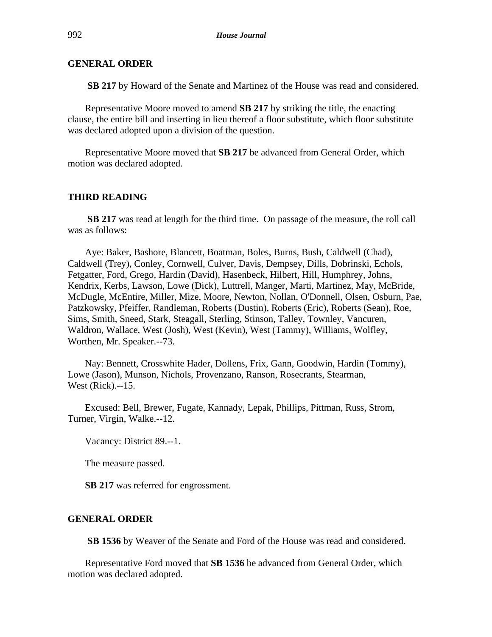**SB 217** by Howard of the Senate and Martinez of the House was read and considered.

Representative Moore moved to amend **SB 217** by striking the title, the enacting clause, the entire bill and inserting in lieu thereof a floor substitute, which floor substitute was declared adopted upon a division of the question.

Representative Moore moved that **SB 217** be advanced from General Order, which motion was declared adopted.

### **THIRD READING**

**SB 217** was read at length for the third time. On passage of the measure, the roll call was as follows:

Aye: Baker, Bashore, Blancett, Boatman, Boles, Burns, Bush, Caldwell (Chad), Caldwell (Trey), Conley, Cornwell, Culver, Davis, Dempsey, Dills, Dobrinski, Echols, Fetgatter, Ford, Grego, Hardin (David), Hasenbeck, Hilbert, Hill, Humphrey, Johns, Kendrix, Kerbs, Lawson, Lowe (Dick), Luttrell, Manger, Marti, Martinez, May, McBride, McDugle, McEntire, Miller, Mize, Moore, Newton, Nollan, O'Donnell, Olsen, Osburn, Pae, Patzkowsky, Pfeiffer, Randleman, Roberts (Dustin), Roberts (Eric), Roberts (Sean), Roe, Sims, Smith, Sneed, Stark, Steagall, Sterling, Stinson, Talley, Townley, Vancuren, Waldron, Wallace, West (Josh), West (Kevin), West (Tammy), Williams, Wolfley, Worthen, Mr. Speaker.--73.

Nay: Bennett, Crosswhite Hader, Dollens, Frix, Gann, Goodwin, Hardin (Tommy), Lowe (Jason), Munson, Nichols, Provenzano, Ranson, Rosecrants, Stearman, West (Rick).--15.

Excused: Bell, Brewer, Fugate, Kannady, Lepak, Phillips, Pittman, Russ, Strom, Turner, Virgin, Walke.--12.

Vacancy: District 89.--1.

The measure passed.

**SB 217** was referred for engrossment.

### **GENERAL ORDER**

**SB 1536** by Weaver of the Senate and Ford of the House was read and considered.

Representative Ford moved that **SB 1536** be advanced from General Order, which motion was declared adopted.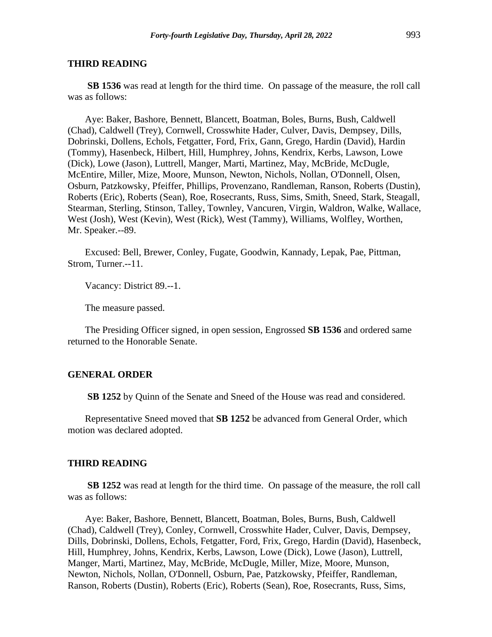#### **THIRD READING**

**SB 1536** was read at length for the third time. On passage of the measure, the roll call was as follows:

Aye: Baker, Bashore, Bennett, Blancett, Boatman, Boles, Burns, Bush, Caldwell (Chad), Caldwell (Trey), Cornwell, Crosswhite Hader, Culver, Davis, Dempsey, Dills, Dobrinski, Dollens, Echols, Fetgatter, Ford, Frix, Gann, Grego, Hardin (David), Hardin (Tommy), Hasenbeck, Hilbert, Hill, Humphrey, Johns, Kendrix, Kerbs, Lawson, Lowe (Dick), Lowe (Jason), Luttrell, Manger, Marti, Martinez, May, McBride, McDugle, McEntire, Miller, Mize, Moore, Munson, Newton, Nichols, Nollan, O'Donnell, Olsen, Osburn, Patzkowsky, Pfeiffer, Phillips, Provenzano, Randleman, Ranson, Roberts (Dustin), Roberts (Eric), Roberts (Sean), Roe, Rosecrants, Russ, Sims, Smith, Sneed, Stark, Steagall, Stearman, Sterling, Stinson, Talley, Townley, Vancuren, Virgin, Waldron, Walke, Wallace, West (Josh), West (Kevin), West (Rick), West (Tammy), Williams, Wolfley, Worthen, Mr. Speaker.--89.

Excused: Bell, Brewer, Conley, Fugate, Goodwin, Kannady, Lepak, Pae, Pittman, Strom, Turner.--11.

Vacancy: District 89.--1.

The measure passed.

The Presiding Officer signed, in open session, Engrossed **SB 1536** and ordered same returned to the Honorable Senate.

### **GENERAL ORDER**

**SB 1252** by Quinn of the Senate and Sneed of the House was read and considered.

Representative Sneed moved that **SB 1252** be advanced from General Order, which motion was declared adopted.

#### **THIRD READING**

**SB 1252** was read at length for the third time. On passage of the measure, the roll call was as follows:

Aye: Baker, Bashore, Bennett, Blancett, Boatman, Boles, Burns, Bush, Caldwell (Chad), Caldwell (Trey), Conley, Cornwell, Crosswhite Hader, Culver, Davis, Dempsey, Dills, Dobrinski, Dollens, Echols, Fetgatter, Ford, Frix, Grego, Hardin (David), Hasenbeck, Hill, Humphrey, Johns, Kendrix, Kerbs, Lawson, Lowe (Dick), Lowe (Jason), Luttrell, Manger, Marti, Martinez, May, McBride, McDugle, Miller, Mize, Moore, Munson, Newton, Nichols, Nollan, O'Donnell, Osburn, Pae, Patzkowsky, Pfeiffer, Randleman, Ranson, Roberts (Dustin), Roberts (Eric), Roberts (Sean), Roe, Rosecrants, Russ, Sims,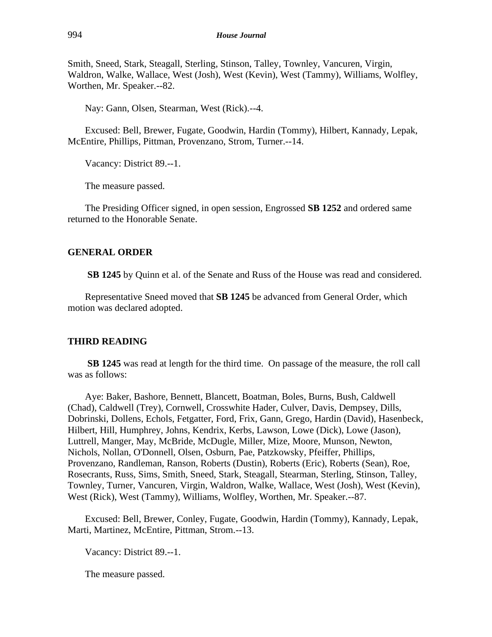Smith, Sneed, Stark, Steagall, Sterling, Stinson, Talley, Townley, Vancuren, Virgin, Waldron, Walke, Wallace, West (Josh), West (Kevin), West (Tammy), Williams, Wolfley, Worthen, Mr. Speaker.--82.

Nay: Gann, Olsen, Stearman, West (Rick).--4.

Excused: Bell, Brewer, Fugate, Goodwin, Hardin (Tommy), Hilbert, Kannady, Lepak, McEntire, Phillips, Pittman, Provenzano, Strom, Turner.--14.

Vacancy: District 89.--1.

The measure passed.

The Presiding Officer signed, in open session, Engrossed **SB 1252** and ordered same returned to the Honorable Senate.

### **GENERAL ORDER**

**SB 1245** by Quinn et al. of the Senate and Russ of the House was read and considered.

Representative Sneed moved that **SB 1245** be advanced from General Order, which motion was declared adopted.

# **THIRD READING**

**SB 1245** was read at length for the third time. On passage of the measure, the roll call was as follows:

Aye: Baker, Bashore, Bennett, Blancett, Boatman, Boles, Burns, Bush, Caldwell (Chad), Caldwell (Trey), Cornwell, Crosswhite Hader, Culver, Davis, Dempsey, Dills, Dobrinski, Dollens, Echols, Fetgatter, Ford, Frix, Gann, Grego, Hardin (David), Hasenbeck, Hilbert, Hill, Humphrey, Johns, Kendrix, Kerbs, Lawson, Lowe (Dick), Lowe (Jason), Luttrell, Manger, May, McBride, McDugle, Miller, Mize, Moore, Munson, Newton, Nichols, Nollan, O'Donnell, Olsen, Osburn, Pae, Patzkowsky, Pfeiffer, Phillips, Provenzano, Randleman, Ranson, Roberts (Dustin), Roberts (Eric), Roberts (Sean), Roe, Rosecrants, Russ, Sims, Smith, Sneed, Stark, Steagall, Stearman, Sterling, Stinson, Talley, Townley, Turner, Vancuren, Virgin, Waldron, Walke, Wallace, West (Josh), West (Kevin), West (Rick), West (Tammy), Williams, Wolfley, Worthen, Mr. Speaker.--87.

Excused: Bell, Brewer, Conley, Fugate, Goodwin, Hardin (Tommy), Kannady, Lepak, Marti, Martinez, McEntire, Pittman, Strom.--13.

Vacancy: District 89.--1.

The measure passed.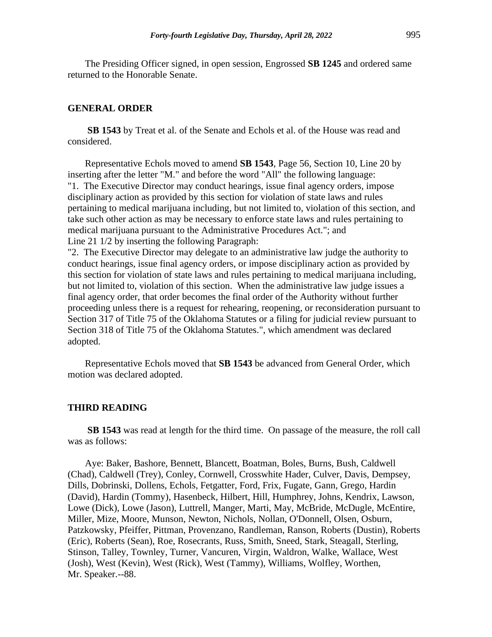The Presiding Officer signed, in open session, Engrossed **SB 1245** and ordered same returned to the Honorable Senate.

#### **GENERAL ORDER**

**SB 1543** by Treat et al. of the Senate and Echols et al. of the House was read and considered.

Representative Echols moved to amend **SB 1543**, Page 56, Section 10, Line 20 by inserting after the letter "M." and before the word "All" the following language: "1. The Executive Director may conduct hearings, issue final agency orders, impose disciplinary action as provided by this section for violation of state laws and rules pertaining to medical marijuana including, but not limited to, violation of this section, and take such other action as may be necessary to enforce state laws and rules pertaining to medical marijuana pursuant to the Administrative Procedures Act."; and Line 21 1/2 by inserting the following Paragraph:

"2. The Executive Director may delegate to an administrative law judge the authority to conduct hearings, issue final agency orders, or impose disciplinary action as provided by this section for violation of state laws and rules pertaining to medical marijuana including, but not limited to, violation of this section. When the administrative law judge issues a final agency order, that order becomes the final order of the Authority without further proceeding unless there is a request for rehearing, reopening, or reconsideration pursuant to Section 317 of Title 75 of the Oklahoma Statutes or a filing for judicial review pursuant to Section 318 of Title 75 of the Oklahoma Statutes.", which amendment was declared adopted.

Representative Echols moved that **SB 1543** be advanced from General Order, which motion was declared adopted.

### **THIRD READING**

**SB 1543** was read at length for the third time. On passage of the measure, the roll call was as follows:

Aye: Baker, Bashore, Bennett, Blancett, Boatman, Boles, Burns, Bush, Caldwell (Chad), Caldwell (Trey), Conley, Cornwell, Crosswhite Hader, Culver, Davis, Dempsey, Dills, Dobrinski, Dollens, Echols, Fetgatter, Ford, Frix, Fugate, Gann, Grego, Hardin (David), Hardin (Tommy), Hasenbeck, Hilbert, Hill, Humphrey, Johns, Kendrix, Lawson, Lowe (Dick), Lowe (Jason), Luttrell, Manger, Marti, May, McBride, McDugle, McEntire, Miller, Mize, Moore, Munson, Newton, Nichols, Nollan, O'Donnell, Olsen, Osburn, Patzkowsky, Pfeiffer, Pittman, Provenzano, Randleman, Ranson, Roberts (Dustin), Roberts (Eric), Roberts (Sean), Roe, Rosecrants, Russ, Smith, Sneed, Stark, Steagall, Sterling, Stinson, Talley, Townley, Turner, Vancuren, Virgin, Waldron, Walke, Wallace, West (Josh), West (Kevin), West (Rick), West (Tammy), Williams, Wolfley, Worthen, Mr. Speaker.--88.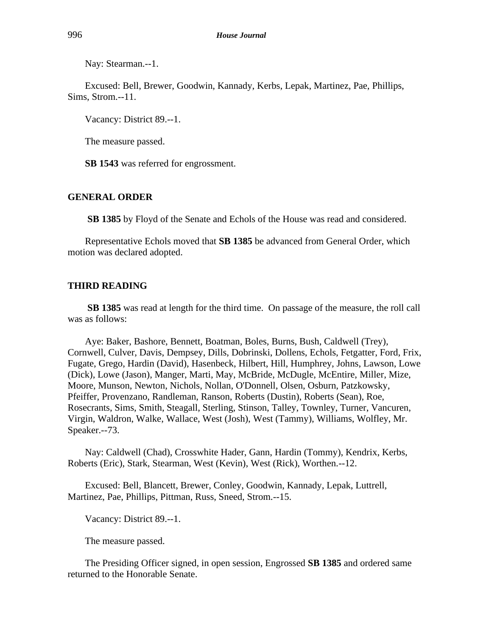Nay: Stearman.--1.

Excused: Bell, Brewer, Goodwin, Kannady, Kerbs, Lepak, Martinez, Pae, Phillips, Sims, Strom.--11.

Vacancy: District 89.--1.

The measure passed.

**SB 1543** was referred for engrossment.

# **GENERAL ORDER**

**SB 1385** by Floyd of the Senate and Echols of the House was read and considered.

Representative Echols moved that **SB 1385** be advanced from General Order, which motion was declared adopted.

### **THIRD READING**

**SB 1385** was read at length for the third time. On passage of the measure, the roll call was as follows:

Aye: Baker, Bashore, Bennett, Boatman, Boles, Burns, Bush, Caldwell (Trey), Cornwell, Culver, Davis, Dempsey, Dills, Dobrinski, Dollens, Echols, Fetgatter, Ford, Frix, Fugate, Grego, Hardin (David), Hasenbeck, Hilbert, Hill, Humphrey, Johns, Lawson, Lowe (Dick), Lowe (Jason), Manger, Marti, May, McBride, McDugle, McEntire, Miller, Mize, Moore, Munson, Newton, Nichols, Nollan, O'Donnell, Olsen, Osburn, Patzkowsky, Pfeiffer, Provenzano, Randleman, Ranson, Roberts (Dustin), Roberts (Sean), Roe, Rosecrants, Sims, Smith, Steagall, Sterling, Stinson, Talley, Townley, Turner, Vancuren, Virgin, Waldron, Walke, Wallace, West (Josh), West (Tammy), Williams, Wolfley, Mr. Speaker.--73.

Nay: Caldwell (Chad), Crosswhite Hader, Gann, Hardin (Tommy), Kendrix, Kerbs, Roberts (Eric), Stark, Stearman, West (Kevin), West (Rick), Worthen.--12.

Excused: Bell, Blancett, Brewer, Conley, Goodwin, Kannady, Lepak, Luttrell, Martinez, Pae, Phillips, Pittman, Russ, Sneed, Strom.--15.

Vacancy: District 89.--1.

The measure passed.

The Presiding Officer signed, in open session, Engrossed **SB 1385** and ordered same returned to the Honorable Senate.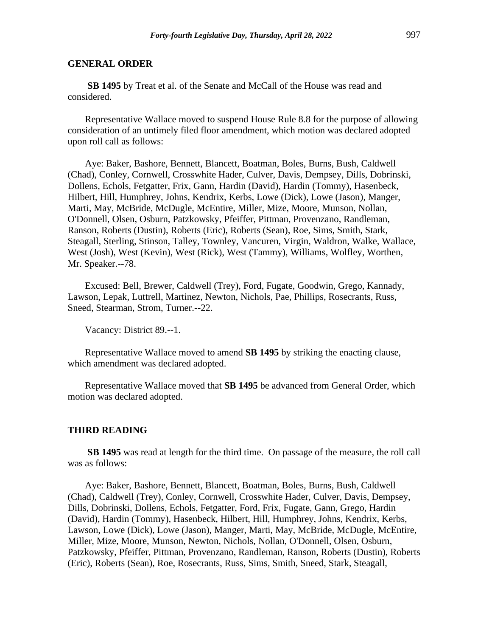**SB 1495** by Treat et al. of the Senate and McCall of the House was read and considered.

Representative Wallace moved to suspend House Rule 8.8 for the purpose of allowing consideration of an untimely filed floor amendment, which motion was declared adopted upon roll call as follows:

Aye: Baker, Bashore, Bennett, Blancett, Boatman, Boles, Burns, Bush, Caldwell (Chad), Conley, Cornwell, Crosswhite Hader, Culver, Davis, Dempsey, Dills, Dobrinski, Dollens, Echols, Fetgatter, Frix, Gann, Hardin (David), Hardin (Tommy), Hasenbeck, Hilbert, Hill, Humphrey, Johns, Kendrix, Kerbs, Lowe (Dick), Lowe (Jason), Manger, Marti, May, McBride, McDugle, McEntire, Miller, Mize, Moore, Munson, Nollan, O'Donnell, Olsen, Osburn, Patzkowsky, Pfeiffer, Pittman, Provenzano, Randleman, Ranson, Roberts (Dustin), Roberts (Eric), Roberts (Sean), Roe, Sims, Smith, Stark, Steagall, Sterling, Stinson, Talley, Townley, Vancuren, Virgin, Waldron, Walke, Wallace, West (Josh), West (Kevin), West (Rick), West (Tammy), Williams, Wolfley, Worthen, Mr. Speaker.--78.

Excused: Bell, Brewer, Caldwell (Trey), Ford, Fugate, Goodwin, Grego, Kannady, Lawson, Lepak, Luttrell, Martinez, Newton, Nichols, Pae, Phillips, Rosecrants, Russ, Sneed, Stearman, Strom, Turner.--22.

Vacancy: District 89.--1.

Representative Wallace moved to amend **SB 1495** by striking the enacting clause, which amendment was declared adopted.

Representative Wallace moved that **SB 1495** be advanced from General Order, which motion was declared adopted.

### **THIRD READING**

**SB 1495** was read at length for the third time. On passage of the measure, the roll call was as follows:

Aye: Baker, Bashore, Bennett, Blancett, Boatman, Boles, Burns, Bush, Caldwell (Chad), Caldwell (Trey), Conley, Cornwell, Crosswhite Hader, Culver, Davis, Dempsey, Dills, Dobrinski, Dollens, Echols, Fetgatter, Ford, Frix, Fugate, Gann, Grego, Hardin (David), Hardin (Tommy), Hasenbeck, Hilbert, Hill, Humphrey, Johns, Kendrix, Kerbs, Lawson, Lowe (Dick), Lowe (Jason), Manger, Marti, May, McBride, McDugle, McEntire, Miller, Mize, Moore, Munson, Newton, Nichols, Nollan, O'Donnell, Olsen, Osburn, Patzkowsky, Pfeiffer, Pittman, Provenzano, Randleman, Ranson, Roberts (Dustin), Roberts (Eric), Roberts (Sean), Roe, Rosecrants, Russ, Sims, Smith, Sneed, Stark, Steagall,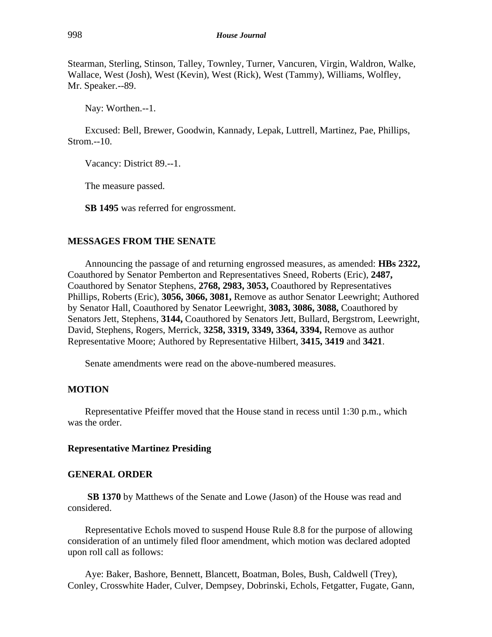Stearman, Sterling, Stinson, Talley, Townley, Turner, Vancuren, Virgin, Waldron, Walke, Wallace, West (Josh), West (Kevin), West (Rick), West (Tammy), Williams, Wolfley, Mr. Speaker.--89.

Nay: Worthen.--1.

Excused: Bell, Brewer, Goodwin, Kannady, Lepak, Luttrell, Martinez, Pae, Phillips, Strom.--10.

Vacancy: District 89.--1.

The measure passed.

**SB 1495** was referred for engrossment.

# **MESSAGES FROM THE SENATE**

Announcing the passage of and returning engrossed measures, as amended: **HBs 2322,** Coauthored by Senator Pemberton and Representatives Sneed, Roberts (Eric), **2487,** Coauthored by Senator Stephens, **2768, 2983, 3053,** Coauthored by Representatives Phillips, Roberts (Eric), **3056, 3066, 3081,** Remove as author Senator Leewright; Authored by Senator Hall, Coauthored by Senator Leewright, **3083, 3086, 3088,** Coauthored by Senators Jett, Stephens, **3144,** Coauthored by Senators Jett, Bullard, Bergstrom, Leewright, David, Stephens, Rogers, Merrick, **3258, 3319, 3349, 3364, 3394,** Remove as author Representative Moore; Authored by Representative Hilbert, **3415, 3419** and **3421**.

Senate amendments were read on the above-numbered measures.

# **MOTION**

Representative Pfeiffer moved that the House stand in recess until 1:30 p.m., which was the order.

# **Representative Martinez Presiding**

# **GENERAL ORDER**

**SB 1370** by Matthews of the Senate and Lowe (Jason) of the House was read and considered.

Representative Echols moved to suspend House Rule 8.8 for the purpose of allowing consideration of an untimely filed floor amendment, which motion was declared adopted upon roll call as follows:

Aye: Baker, Bashore, Bennett, Blancett, Boatman, Boles, Bush, Caldwell (Trey), Conley, Crosswhite Hader, Culver, Dempsey, Dobrinski, Echols, Fetgatter, Fugate, Gann,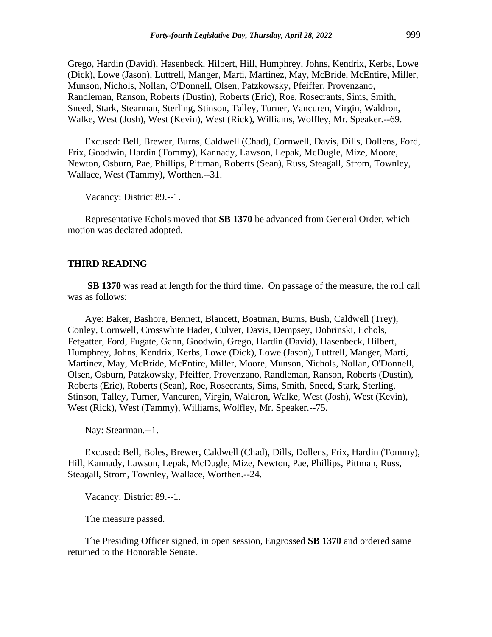Grego, Hardin (David), Hasenbeck, Hilbert, Hill, Humphrey, Johns, Kendrix, Kerbs, Lowe (Dick), Lowe (Jason), Luttrell, Manger, Marti, Martinez, May, McBride, McEntire, Miller, Munson, Nichols, Nollan, O'Donnell, Olsen, Patzkowsky, Pfeiffer, Provenzano, Randleman, Ranson, Roberts (Dustin), Roberts (Eric), Roe, Rosecrants, Sims, Smith, Sneed, Stark, Stearman, Sterling, Stinson, Talley, Turner, Vancuren, Virgin, Waldron, Walke, West (Josh), West (Kevin), West (Rick), Williams, Wolfley, Mr. Speaker.--69.

Excused: Bell, Brewer, Burns, Caldwell (Chad), Cornwell, Davis, Dills, Dollens, Ford, Frix, Goodwin, Hardin (Tommy), Kannady, Lawson, Lepak, McDugle, Mize, Moore, Newton, Osburn, Pae, Phillips, Pittman, Roberts (Sean), Russ, Steagall, Strom, Townley, Wallace, West (Tammy), Worthen.--31.

Vacancy: District 89.--1.

Representative Echols moved that **SB 1370** be advanced from General Order, which motion was declared adopted.

#### **THIRD READING**

**SB 1370** was read at length for the third time. On passage of the measure, the roll call was as follows:

Aye: Baker, Bashore, Bennett, Blancett, Boatman, Burns, Bush, Caldwell (Trey), Conley, Cornwell, Crosswhite Hader, Culver, Davis, Dempsey, Dobrinski, Echols, Fetgatter, Ford, Fugate, Gann, Goodwin, Grego, Hardin (David), Hasenbeck, Hilbert, Humphrey, Johns, Kendrix, Kerbs, Lowe (Dick), Lowe (Jason), Luttrell, Manger, Marti, Martinez, May, McBride, McEntire, Miller, Moore, Munson, Nichols, Nollan, O'Donnell, Olsen, Osburn, Patzkowsky, Pfeiffer, Provenzano, Randleman, Ranson, Roberts (Dustin), Roberts (Eric), Roberts (Sean), Roe, Rosecrants, Sims, Smith, Sneed, Stark, Sterling, Stinson, Talley, Turner, Vancuren, Virgin, Waldron, Walke, West (Josh), West (Kevin), West (Rick), West (Tammy), Williams, Wolfley, Mr. Speaker.--75.

Nay: Stearman.--1.

Excused: Bell, Boles, Brewer, Caldwell (Chad), Dills, Dollens, Frix, Hardin (Tommy), Hill, Kannady, Lawson, Lepak, McDugle, Mize, Newton, Pae, Phillips, Pittman, Russ, Steagall, Strom, Townley, Wallace, Worthen.--24.

Vacancy: District 89.--1.

The measure passed.

The Presiding Officer signed, in open session, Engrossed **SB 1370** and ordered same returned to the Honorable Senate.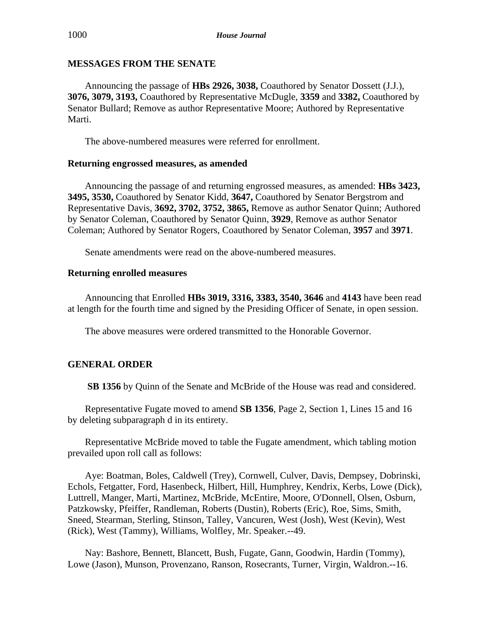# **MESSAGES FROM THE SENATE**

Announcing the passage of **HBs 2926, 3038,** Coauthored by Senator Dossett (J.J.), **3076, 3079, 3193,** Coauthored by Representative McDugle, **3359** and **3382,** Coauthored by Senator Bullard; Remove as author Representative Moore; Authored by Representative Marti.

The above-numbered measures were referred for enrollment.

# **Returning engrossed measures, as amended**

Announcing the passage of and returning engrossed measures, as amended: **HBs 3423, 3495, 3530,** Coauthored by Senator Kidd, **3647,** Coauthored by Senator Bergstrom and Representative Davis, **3692, 3702, 3752, 3865,** Remove as author Senator Quinn; Authored by Senator Coleman, Coauthored by Senator Quinn, **3929**, Remove as author Senator Coleman; Authored by Senator Rogers, Coauthored by Senator Coleman, **3957** and **3971**.

Senate amendments were read on the above-numbered measures.

# **Returning enrolled measures**

Announcing that Enrolled **HBs 3019, 3316, 3383, 3540, 3646** and **4143** have been read at length for the fourth time and signed by the Presiding Officer of Senate, in open session.

The above measures were ordered transmitted to the Honorable Governor.

# **GENERAL ORDER**

**SB 1356** by Quinn of the Senate and McBride of the House was read and considered.

Representative Fugate moved to amend **SB 1356**, Page 2, Section 1, Lines 15 and 16 by deleting subparagraph d in its entirety.

Representative McBride moved to table the Fugate amendment, which tabling motion prevailed upon roll call as follows:

Aye: Boatman, Boles, Caldwell (Trey), Cornwell, Culver, Davis, Dempsey, Dobrinski, Echols, Fetgatter, Ford, Hasenbeck, Hilbert, Hill, Humphrey, Kendrix, Kerbs, Lowe (Dick), Luttrell, Manger, Marti, Martinez, McBride, McEntire, Moore, O'Donnell, Olsen, Osburn, Patzkowsky, Pfeiffer, Randleman, Roberts (Dustin), Roberts (Eric), Roe, Sims, Smith, Sneed, Stearman, Sterling, Stinson, Talley, Vancuren, West (Josh), West (Kevin), West (Rick), West (Tammy), Williams, Wolfley, Mr. Speaker.--49.

Nay: Bashore, Bennett, Blancett, Bush, Fugate, Gann, Goodwin, Hardin (Tommy), Lowe (Jason), Munson, Provenzano, Ranson, Rosecrants, Turner, Virgin, Waldron.--16.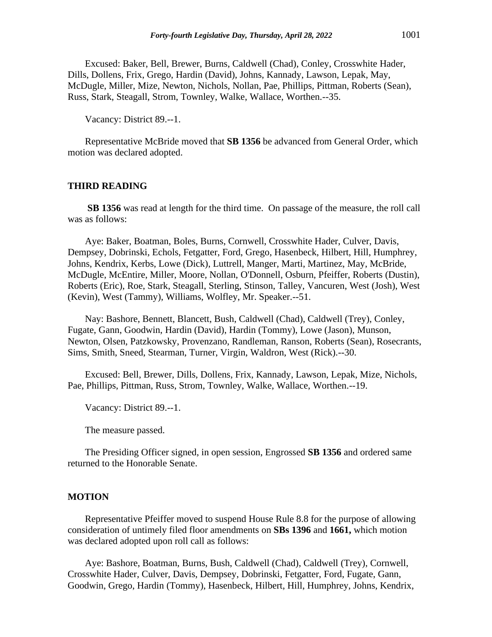Excused: Baker, Bell, Brewer, Burns, Caldwell (Chad), Conley, Crosswhite Hader, Dills, Dollens, Frix, Grego, Hardin (David), Johns, Kannady, Lawson, Lepak, May, McDugle, Miller, Mize, Newton, Nichols, Nollan, Pae, Phillips, Pittman, Roberts (Sean), Russ, Stark, Steagall, Strom, Townley, Walke, Wallace, Worthen.--35.

Vacancy: District 89.--1.

Representative McBride moved that **SB 1356** be advanced from General Order, which motion was declared adopted.

### **THIRD READING**

**SB 1356** was read at length for the third time. On passage of the measure, the roll call was as follows:

Aye: Baker, Boatman, Boles, Burns, Cornwell, Crosswhite Hader, Culver, Davis, Dempsey, Dobrinski, Echols, Fetgatter, Ford, Grego, Hasenbeck, Hilbert, Hill, Humphrey, Johns, Kendrix, Kerbs, Lowe (Dick), Luttrell, Manger, Marti, Martinez, May, McBride, McDugle, McEntire, Miller, Moore, Nollan, O'Donnell, Osburn, Pfeiffer, Roberts (Dustin), Roberts (Eric), Roe, Stark, Steagall, Sterling, Stinson, Talley, Vancuren, West (Josh), West (Kevin), West (Tammy), Williams, Wolfley, Mr. Speaker.--51.

Nay: Bashore, Bennett, Blancett, Bush, Caldwell (Chad), Caldwell (Trey), Conley, Fugate, Gann, Goodwin, Hardin (David), Hardin (Tommy), Lowe (Jason), Munson, Newton, Olsen, Patzkowsky, Provenzano, Randleman, Ranson, Roberts (Sean), Rosecrants, Sims, Smith, Sneed, Stearman, Turner, Virgin, Waldron, West (Rick).--30.

Excused: Bell, Brewer, Dills, Dollens, Frix, Kannady, Lawson, Lepak, Mize, Nichols, Pae, Phillips, Pittman, Russ, Strom, Townley, Walke, Wallace, Worthen.--19.

Vacancy: District 89.--1.

The measure passed.

The Presiding Officer signed, in open session, Engrossed **SB 1356** and ordered same returned to the Honorable Senate.

### **MOTION**

Representative Pfeiffer moved to suspend House Rule 8.8 for the purpose of allowing consideration of untimely filed floor amendments on **SBs 1396** and **1661,** which motion was declared adopted upon roll call as follows:

Aye: Bashore, Boatman, Burns, Bush, Caldwell (Chad), Caldwell (Trey), Cornwell, Crosswhite Hader, Culver, Davis, Dempsey, Dobrinski, Fetgatter, Ford, Fugate, Gann, Goodwin, Grego, Hardin (Tommy), Hasenbeck, Hilbert, Hill, Humphrey, Johns, Kendrix,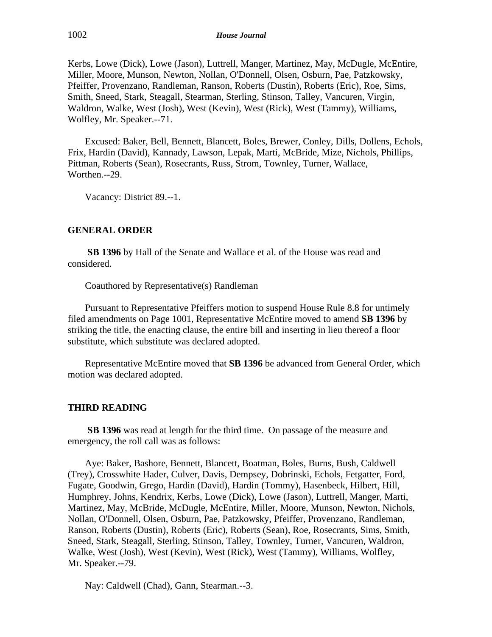Kerbs, Lowe (Dick), Lowe (Jason), Luttrell, Manger, Martinez, May, McDugle, McEntire, Miller, Moore, Munson, Newton, Nollan, O'Donnell, Olsen, Osburn, Pae, Patzkowsky, Pfeiffer, Provenzano, Randleman, Ranson, Roberts (Dustin), Roberts (Eric), Roe, Sims, Smith, Sneed, Stark, Steagall, Stearman, Sterling, Stinson, Talley, Vancuren, Virgin, Waldron, Walke, West (Josh), West (Kevin), West (Rick), West (Tammy), Williams, Wolfley, Mr. Speaker.--71.

Excused: Baker, Bell, Bennett, Blancett, Boles, Brewer, Conley, Dills, Dollens, Echols, Frix, Hardin (David), Kannady, Lawson, Lepak, Marti, McBride, Mize, Nichols, Phillips, Pittman, Roberts (Sean), Rosecrants, Russ, Strom, Townley, Turner, Wallace, Worthen.--29.

Vacancy: District 89.--1.

# **GENERAL ORDER**

**SB 1396** by Hall of the Senate and Wallace et al. of the House was read and considered.

Coauthored by Representative(s) Randleman

Pursuant to Representative Pfeiffers motion to suspend House Rule 8.8 for untimely filed amendments on Page 1001, Representative McEntire moved to amend **SB 1396** by striking the title, the enacting clause, the entire bill and inserting in lieu thereof a floor substitute, which substitute was declared adopted.

Representative McEntire moved that **SB 1396** be advanced from General Order, which motion was declared adopted.

# **THIRD READING**

**SB 1396** was read at length for the third time. On passage of the measure and emergency, the roll call was as follows:

Aye: Baker, Bashore, Bennett, Blancett, Boatman, Boles, Burns, Bush, Caldwell (Trey), Crosswhite Hader, Culver, Davis, Dempsey, Dobrinski, Echols, Fetgatter, Ford, Fugate, Goodwin, Grego, Hardin (David), Hardin (Tommy), Hasenbeck, Hilbert, Hill, Humphrey, Johns, Kendrix, Kerbs, Lowe (Dick), Lowe (Jason), Luttrell, Manger, Marti, Martinez, May, McBride, McDugle, McEntire, Miller, Moore, Munson, Newton, Nichols, Nollan, O'Donnell, Olsen, Osburn, Pae, Patzkowsky, Pfeiffer, Provenzano, Randleman, Ranson, Roberts (Dustin), Roberts (Eric), Roberts (Sean), Roe, Rosecrants, Sims, Smith, Sneed, Stark, Steagall, Sterling, Stinson, Talley, Townley, Turner, Vancuren, Waldron, Walke, West (Josh), West (Kevin), West (Rick), West (Tammy), Williams, Wolfley, Mr. Speaker.--79.

Nay: Caldwell (Chad), Gann, Stearman.--3.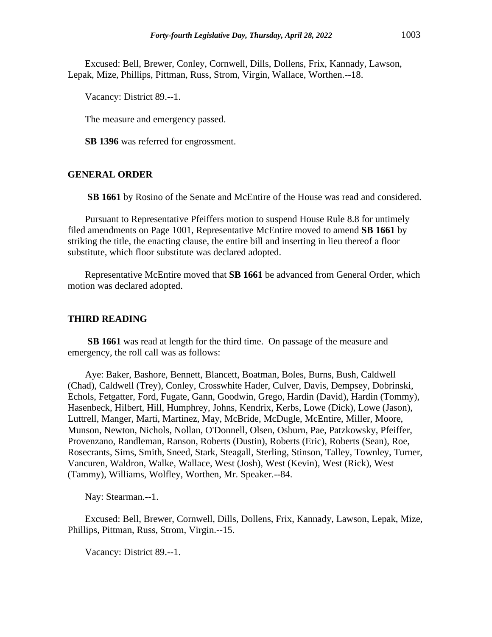Excused: Bell, Brewer, Conley, Cornwell, Dills, Dollens, Frix, Kannady, Lawson, Lepak, Mize, Phillips, Pittman, Russ, Strom, Virgin, Wallace, Worthen.--18.

Vacancy: District 89.--1.

The measure and emergency passed.

**SB 1396** was referred for engrossment.

### **GENERAL ORDER**

**SB 1661** by Rosino of the Senate and McEntire of the House was read and considered.

Pursuant to Representative Pfeiffers motion to suspend House Rule 8.8 for untimely filed amendments on Page 1001, Representative McEntire moved to amend **SB 1661** by striking the title, the enacting clause, the entire bill and inserting in lieu thereof a floor substitute, which floor substitute was declared adopted.

Representative McEntire moved that **SB 1661** be advanced from General Order, which motion was declared adopted.

### **THIRD READING**

**SB 1661** was read at length for the third time. On passage of the measure and emergency, the roll call was as follows:

Aye: Baker, Bashore, Bennett, Blancett, Boatman, Boles, Burns, Bush, Caldwell (Chad), Caldwell (Trey), Conley, Crosswhite Hader, Culver, Davis, Dempsey, Dobrinski, Echols, Fetgatter, Ford, Fugate, Gann, Goodwin, Grego, Hardin (David), Hardin (Tommy), Hasenbeck, Hilbert, Hill, Humphrey, Johns, Kendrix, Kerbs, Lowe (Dick), Lowe (Jason), Luttrell, Manger, Marti, Martinez, May, McBride, McDugle, McEntire, Miller, Moore, Munson, Newton, Nichols, Nollan, O'Donnell, Olsen, Osburn, Pae, Patzkowsky, Pfeiffer, Provenzano, Randleman, Ranson, Roberts (Dustin), Roberts (Eric), Roberts (Sean), Roe, Rosecrants, Sims, Smith, Sneed, Stark, Steagall, Sterling, Stinson, Talley, Townley, Turner, Vancuren, Waldron, Walke, Wallace, West (Josh), West (Kevin), West (Rick), West (Tammy), Williams, Wolfley, Worthen, Mr. Speaker.--84.

Nay: Stearman.--1.

Excused: Bell, Brewer, Cornwell, Dills, Dollens, Frix, Kannady, Lawson, Lepak, Mize, Phillips, Pittman, Russ, Strom, Virgin.--15.

Vacancy: District 89.--1.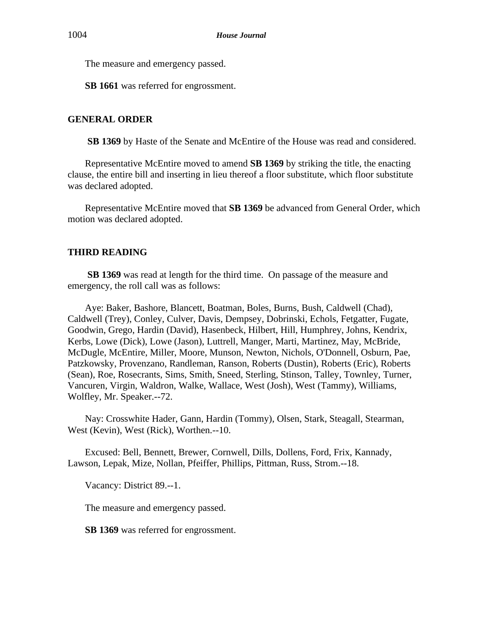The measure and emergency passed.

**SB 1661** was referred for engrossment.

# **GENERAL ORDER**

**SB 1369** by Haste of the Senate and McEntire of the House was read and considered.

Representative McEntire moved to amend **SB 1369** by striking the title, the enacting clause, the entire bill and inserting in lieu thereof a floor substitute, which floor substitute was declared adopted.

Representative McEntire moved that **SB 1369** be advanced from General Order, which motion was declared adopted.

# **THIRD READING**

**SB 1369** was read at length for the third time. On passage of the measure and emergency, the roll call was as follows:

Aye: Baker, Bashore, Blancett, Boatman, Boles, Burns, Bush, Caldwell (Chad), Caldwell (Trey), Conley, Culver, Davis, Dempsey, Dobrinski, Echols, Fetgatter, Fugate, Goodwin, Grego, Hardin (David), Hasenbeck, Hilbert, Hill, Humphrey, Johns, Kendrix, Kerbs, Lowe (Dick), Lowe (Jason), Luttrell, Manger, Marti, Martinez, May, McBride, McDugle, McEntire, Miller, Moore, Munson, Newton, Nichols, O'Donnell, Osburn, Pae, Patzkowsky, Provenzano, Randleman, Ranson, Roberts (Dustin), Roberts (Eric), Roberts (Sean), Roe, Rosecrants, Sims, Smith, Sneed, Sterling, Stinson, Talley, Townley, Turner, Vancuren, Virgin, Waldron, Walke, Wallace, West (Josh), West (Tammy), Williams, Wolfley, Mr. Speaker.--72.

Nay: Crosswhite Hader, Gann, Hardin (Tommy), Olsen, Stark, Steagall, Stearman, West (Kevin), West (Rick), Worthen.--10.

Excused: Bell, Bennett, Brewer, Cornwell, Dills, Dollens, Ford, Frix, Kannady, Lawson, Lepak, Mize, Nollan, Pfeiffer, Phillips, Pittman, Russ, Strom.--18.

Vacancy: District 89.--1.

The measure and emergency passed.

**SB 1369** was referred for engrossment.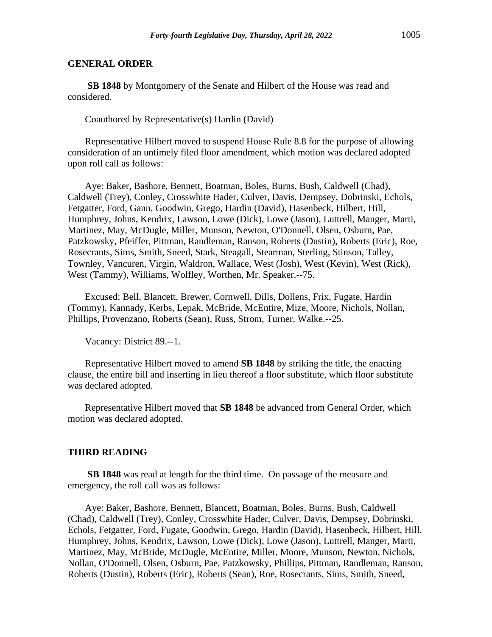**SB 1848** by Montgomery of the Senate and Hilbert of the House was read and considered.

Coauthored by Representative(s) Hardin (David)

Representative Hilbert moved to suspend House Rule 8.8 for the purpose of allowing consideration of an untimely filed floor amendment, which motion was declared adopted upon roll call as follows:

Aye: Baker, Bashore, Bennett, Boatman, Boles, Burns, Bush, Caldwell (Chad), Caldwell (Trey), Conley, Crosswhite Hader, Culver, Davis, Dempsey, Dobrinski, Echols, Fetgatter, Ford, Gann, Goodwin, Grego, Hardin (David), Hasenbeck, Hilbert, Hill, Humphrey, Johns, Kendrix, Lawson, Lowe (Dick), Lowe (Jason), Luttrell, Manger, Marti, Martinez, May, McDugle, Miller, Munson, Newton, O'Donnell, Olsen, Osburn, Pae, Patzkowsky, Pfeiffer, Pittman, Randleman, Ranson, Roberts (Dustin), Roberts (Eric), Roe, Rosecrants, Sims, Smith, Sneed, Stark, Steagall, Stearman, Sterling, Stinson, Talley, Townley, Vancuren, Virgin, Waldron, Wallace, West (Josh), West (Kevin), West (Rick), West (Tammy), Williams, Wolfley, Worthen, Mr. Speaker.--75.

Excused: Bell, Blancett, Brewer, Cornwell, Dills, Dollens, Frix, Fugate, Hardin (Tommy), Kannady, Kerbs, Lepak, McBride, McEntire, Mize, Moore, Nichols, Nollan, Phillips, Provenzano, Roberts (Sean), Russ, Strom, Turner, Walke.--25.

Vacancy: District 89.--1.

Representative Hilbert moved to amend **SB 1848** by striking the title, the enacting clause, the entire bill and inserting in lieu thereof a floor substitute, which floor substitute was declared adopted.

Representative Hilbert moved that **SB 1848** be advanced from General Order, which motion was declared adopted.

### **THIRD READING**

**SB 1848** was read at length for the third time. On passage of the measure and emergency, the roll call was as follows:

Aye: Baker, Bashore, Bennett, Blancett, Boatman, Boles, Burns, Bush, Caldwell (Chad), Caldwell (Trey), Conley, Crosswhite Hader, Culver, Davis, Dempsey, Dobrinski, Echols, Fetgatter, Ford, Fugate, Goodwin, Grego, Hardin (David), Hasenbeck, Hilbert, Hill, Humphrey, Johns, Kendrix, Lawson, Lowe (Dick), Lowe (Jason), Luttrell, Manger, Marti, Martinez, May, McBride, McDugle, McEntire, Miller, Moore, Munson, Newton, Nichols, Nollan, O'Donnell, Olsen, Osburn, Pae, Patzkowsky, Phillips, Pittman, Randleman, Ranson, Roberts (Dustin), Roberts (Eric), Roberts (Sean), Roe, Rosecrants, Sims, Smith, Sneed,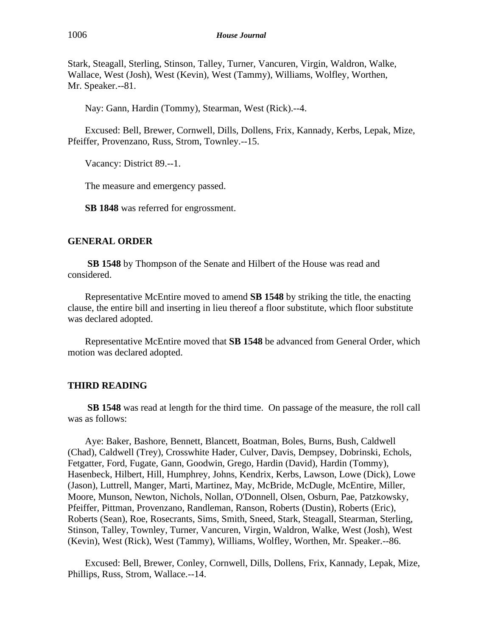Stark, Steagall, Sterling, Stinson, Talley, Turner, Vancuren, Virgin, Waldron, Walke, Wallace, West (Josh), West (Kevin), West (Tammy), Williams, Wolfley, Worthen, Mr. Speaker.--81.

Nay: Gann, Hardin (Tommy), Stearman, West (Rick).--4.

Excused: Bell, Brewer, Cornwell, Dills, Dollens, Frix, Kannady, Kerbs, Lepak, Mize, Pfeiffer, Provenzano, Russ, Strom, Townley.--15.

Vacancy: District 89.--1.

The measure and emergency passed.

**SB 1848** was referred for engrossment.

# **GENERAL ORDER**

**SB 1548** by Thompson of the Senate and Hilbert of the House was read and considered.

Representative McEntire moved to amend **SB 1548** by striking the title, the enacting clause, the entire bill and inserting in lieu thereof a floor substitute, which floor substitute was declared adopted.

Representative McEntire moved that **SB 1548** be advanced from General Order, which motion was declared adopted.

# **THIRD READING**

**SB 1548** was read at length for the third time. On passage of the measure, the roll call was as follows:

Aye: Baker, Bashore, Bennett, Blancett, Boatman, Boles, Burns, Bush, Caldwell (Chad), Caldwell (Trey), Crosswhite Hader, Culver, Davis, Dempsey, Dobrinski, Echols, Fetgatter, Ford, Fugate, Gann, Goodwin, Grego, Hardin (David), Hardin (Tommy), Hasenbeck, Hilbert, Hill, Humphrey, Johns, Kendrix, Kerbs, Lawson, Lowe (Dick), Lowe (Jason), Luttrell, Manger, Marti, Martinez, May, McBride, McDugle, McEntire, Miller, Moore, Munson, Newton, Nichols, Nollan, O'Donnell, Olsen, Osburn, Pae, Patzkowsky, Pfeiffer, Pittman, Provenzano, Randleman, Ranson, Roberts (Dustin), Roberts (Eric), Roberts (Sean), Roe, Rosecrants, Sims, Smith, Sneed, Stark, Steagall, Stearman, Sterling, Stinson, Talley, Townley, Turner, Vancuren, Virgin, Waldron, Walke, West (Josh), West (Kevin), West (Rick), West (Tammy), Williams, Wolfley, Worthen, Mr. Speaker.--86.

Excused: Bell, Brewer, Conley, Cornwell, Dills, Dollens, Frix, Kannady, Lepak, Mize, Phillips, Russ, Strom, Wallace.--14.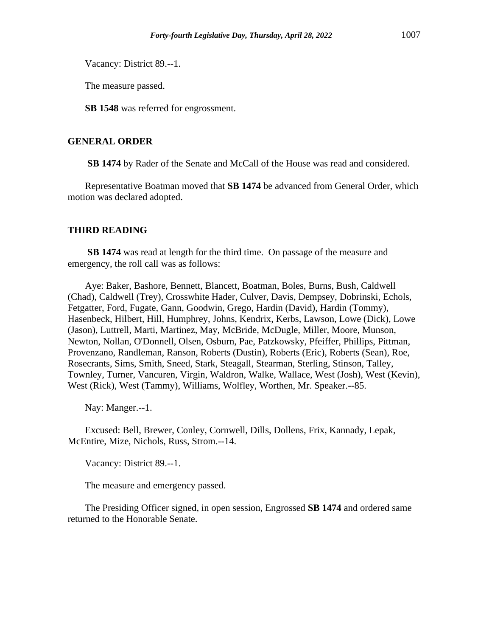Vacancy: District 89.--1.

The measure passed.

**SB 1548** was referred for engrossment.

# **GENERAL ORDER**

**SB 1474** by Rader of the Senate and McCall of the House was read and considered.

Representative Boatman moved that **SB 1474** be advanced from General Order, which motion was declared adopted.

### **THIRD READING**

**SB 1474** was read at length for the third time. On passage of the measure and emergency, the roll call was as follows:

Aye: Baker, Bashore, Bennett, Blancett, Boatman, Boles, Burns, Bush, Caldwell (Chad), Caldwell (Trey), Crosswhite Hader, Culver, Davis, Dempsey, Dobrinski, Echols, Fetgatter, Ford, Fugate, Gann, Goodwin, Grego, Hardin (David), Hardin (Tommy), Hasenbeck, Hilbert, Hill, Humphrey, Johns, Kendrix, Kerbs, Lawson, Lowe (Dick), Lowe (Jason), Luttrell, Marti, Martinez, May, McBride, McDugle, Miller, Moore, Munson, Newton, Nollan, O'Donnell, Olsen, Osburn, Pae, Patzkowsky, Pfeiffer, Phillips, Pittman, Provenzano, Randleman, Ranson, Roberts (Dustin), Roberts (Eric), Roberts (Sean), Roe, Rosecrants, Sims, Smith, Sneed, Stark, Steagall, Stearman, Sterling, Stinson, Talley, Townley, Turner, Vancuren, Virgin, Waldron, Walke, Wallace, West (Josh), West (Kevin), West (Rick), West (Tammy), Williams, Wolfley, Worthen, Mr. Speaker.--85.

Nay: Manger.--1.

Excused: Bell, Brewer, Conley, Cornwell, Dills, Dollens, Frix, Kannady, Lepak, McEntire, Mize, Nichols, Russ, Strom.--14.

Vacancy: District 89.--1.

The measure and emergency passed.

The Presiding Officer signed, in open session, Engrossed **SB 1474** and ordered same returned to the Honorable Senate.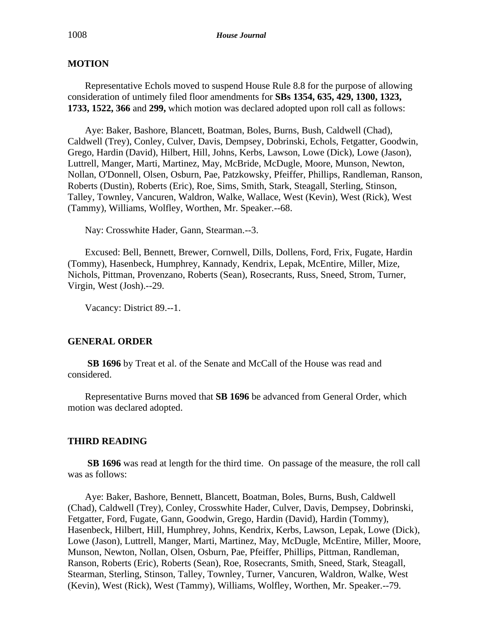# **MOTION**

Representative Echols moved to suspend House Rule 8.8 for the purpose of allowing consideration of untimely filed floor amendments for **SBs 1354, 635, 429, 1300, 1323, 1733, 1522, 366** and **299,** which motion was declared adopted upon roll call as follows:

Aye: Baker, Bashore, Blancett, Boatman, Boles, Burns, Bush, Caldwell (Chad), Caldwell (Trey), Conley, Culver, Davis, Dempsey, Dobrinski, Echols, Fetgatter, Goodwin, Grego, Hardin (David), Hilbert, Hill, Johns, Kerbs, Lawson, Lowe (Dick), Lowe (Jason), Luttrell, Manger, Marti, Martinez, May, McBride, McDugle, Moore, Munson, Newton, Nollan, O'Donnell, Olsen, Osburn, Pae, Patzkowsky, Pfeiffer, Phillips, Randleman, Ranson, Roberts (Dustin), Roberts (Eric), Roe, Sims, Smith, Stark, Steagall, Sterling, Stinson, Talley, Townley, Vancuren, Waldron, Walke, Wallace, West (Kevin), West (Rick), West (Tammy), Williams, Wolfley, Worthen, Mr. Speaker.--68.

Nay: Crosswhite Hader, Gann, Stearman.--3.

Excused: Bell, Bennett, Brewer, Cornwell, Dills, Dollens, Ford, Frix, Fugate, Hardin (Tommy), Hasenbeck, Humphrey, Kannady, Kendrix, Lepak, McEntire, Miller, Mize, Nichols, Pittman, Provenzano, Roberts (Sean), Rosecrants, Russ, Sneed, Strom, Turner, Virgin, West (Josh).--29.

Vacancy: District 89.--1.

# **GENERAL ORDER**

**SB 1696** by Treat et al. of the Senate and McCall of the House was read and considered.

Representative Burns moved that **SB 1696** be advanced from General Order, which motion was declared adopted.

#### **THIRD READING**

**SB 1696** was read at length for the third time. On passage of the measure, the roll call was as follows:

Aye: Baker, Bashore, Bennett, Blancett, Boatman, Boles, Burns, Bush, Caldwell (Chad), Caldwell (Trey), Conley, Crosswhite Hader, Culver, Davis, Dempsey, Dobrinski, Fetgatter, Ford, Fugate, Gann, Goodwin, Grego, Hardin (David), Hardin (Tommy), Hasenbeck, Hilbert, Hill, Humphrey, Johns, Kendrix, Kerbs, Lawson, Lepak, Lowe (Dick), Lowe (Jason), Luttrell, Manger, Marti, Martinez, May, McDugle, McEntire, Miller, Moore, Munson, Newton, Nollan, Olsen, Osburn, Pae, Pfeiffer, Phillips, Pittman, Randleman, Ranson, Roberts (Eric), Roberts (Sean), Roe, Rosecrants, Smith, Sneed, Stark, Steagall, Stearman, Sterling, Stinson, Talley, Townley, Turner, Vancuren, Waldron, Walke, West (Kevin), West (Rick), West (Tammy), Williams, Wolfley, Worthen, Mr. Speaker.--79.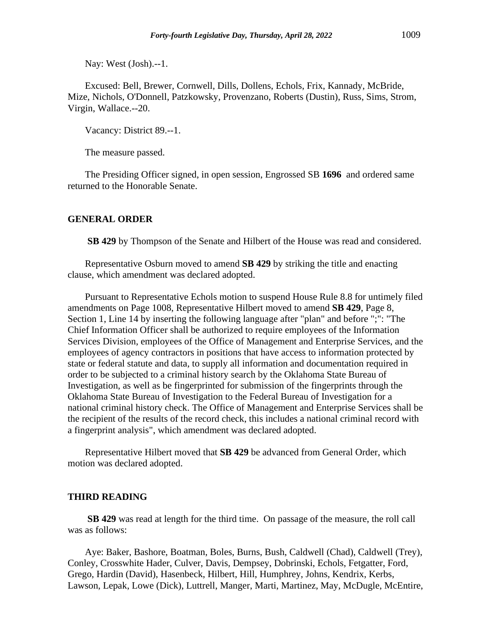Nay: West (Josh).--1.

Excused: Bell, Brewer, Cornwell, Dills, Dollens, Echols, Frix, Kannady, McBride, Mize, Nichols, O'Donnell, Patzkowsky, Provenzano, Roberts (Dustin), Russ, Sims, Strom, Virgin, Wallace.--20.

Vacancy: District 89.--1.

The measure passed.

The Presiding Officer signed, in open session, Engrossed SB **1696** and ordered same returned to the Honorable Senate.

#### **GENERAL ORDER**

**SB 429** by Thompson of the Senate and Hilbert of the House was read and considered.

Representative Osburn moved to amend **SB 429** by striking the title and enacting clause, which amendment was declared adopted.

Pursuant to Representative Echols motion to suspend House Rule 8.8 for untimely filed amendments on Page 1008, Representative Hilbert moved to amend **SB 429**, Page 8, Section 1, Line 14 by inserting the following language after "plan" and before ";": "The Chief Information Officer shall be authorized to require employees of the Information Services Division, employees of the Office of Management and Enterprise Services, and the employees of agency contractors in positions that have access to information protected by state or federal statute and data, to supply all information and documentation required in order to be subjected to a criminal history search by the Oklahoma State Bureau of Investigation, as well as be fingerprinted for submission of the fingerprints through the Oklahoma State Bureau of Investigation to the Federal Bureau of Investigation for a national criminal history check. The Office of Management and Enterprise Services shall be the recipient of the results of the record check, this includes a national criminal record with a fingerprint analysis", which amendment was declared adopted.

Representative Hilbert moved that **SB 429** be advanced from General Order, which motion was declared adopted.

### **THIRD READING**

**SB 429** was read at length for the third time. On passage of the measure, the roll call was as follows:

Aye: Baker, Bashore, Boatman, Boles, Burns, Bush, Caldwell (Chad), Caldwell (Trey), Conley, Crosswhite Hader, Culver, Davis, Dempsey, Dobrinski, Echols, Fetgatter, Ford, Grego, Hardin (David), Hasenbeck, Hilbert, Hill, Humphrey, Johns, Kendrix, Kerbs, Lawson, Lepak, Lowe (Dick), Luttrell, Manger, Marti, Martinez, May, McDugle, McEntire,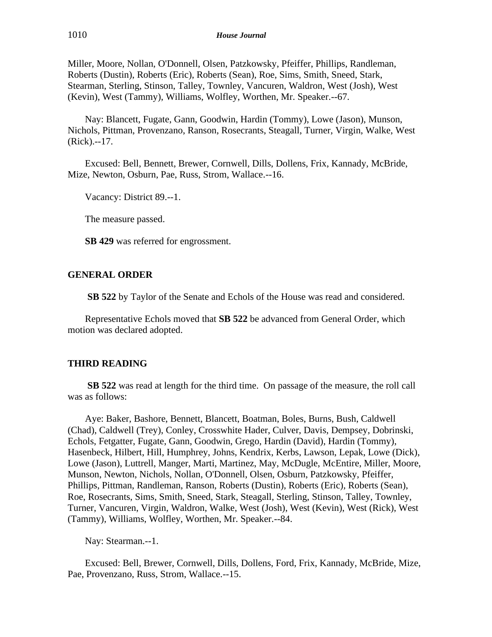Miller, Moore, Nollan, O'Donnell, Olsen, Patzkowsky, Pfeiffer, Phillips, Randleman, Roberts (Dustin), Roberts (Eric), Roberts (Sean), Roe, Sims, Smith, Sneed, Stark, Stearman, Sterling, Stinson, Talley, Townley, Vancuren, Waldron, West (Josh), West (Kevin), West (Tammy), Williams, Wolfley, Worthen, Mr. Speaker.--67.

Nay: Blancett, Fugate, Gann, Goodwin, Hardin (Tommy), Lowe (Jason), Munson, Nichols, Pittman, Provenzano, Ranson, Rosecrants, Steagall, Turner, Virgin, Walke, West (Rick).--17.

Excused: Bell, Bennett, Brewer, Cornwell, Dills, Dollens, Frix, Kannady, McBride, Mize, Newton, Osburn, Pae, Russ, Strom, Wallace.--16.

Vacancy: District 89.--1.

The measure passed.

**SB 429** was referred for engrossment.

### **GENERAL ORDER**

**SB 522** by Taylor of the Senate and Echols of the House was read and considered.

Representative Echols moved that **SB 522** be advanced from General Order, which motion was declared adopted.

# **THIRD READING**

**SB 522** was read at length for the third time. On passage of the measure, the roll call was as follows:

Aye: Baker, Bashore, Bennett, Blancett, Boatman, Boles, Burns, Bush, Caldwell (Chad), Caldwell (Trey), Conley, Crosswhite Hader, Culver, Davis, Dempsey, Dobrinski, Echols, Fetgatter, Fugate, Gann, Goodwin, Grego, Hardin (David), Hardin (Tommy), Hasenbeck, Hilbert, Hill, Humphrey, Johns, Kendrix, Kerbs, Lawson, Lepak, Lowe (Dick), Lowe (Jason), Luttrell, Manger, Marti, Martinez, May, McDugle, McEntire, Miller, Moore, Munson, Newton, Nichols, Nollan, O'Donnell, Olsen, Osburn, Patzkowsky, Pfeiffer, Phillips, Pittman, Randleman, Ranson, Roberts (Dustin), Roberts (Eric), Roberts (Sean), Roe, Rosecrants, Sims, Smith, Sneed, Stark, Steagall, Sterling, Stinson, Talley, Townley, Turner, Vancuren, Virgin, Waldron, Walke, West (Josh), West (Kevin), West (Rick), West (Tammy), Williams, Wolfley, Worthen, Mr. Speaker.--84.

Nay: Stearman.--1.

Excused: Bell, Brewer, Cornwell, Dills, Dollens, Ford, Frix, Kannady, McBride, Mize, Pae, Provenzano, Russ, Strom, Wallace.--15.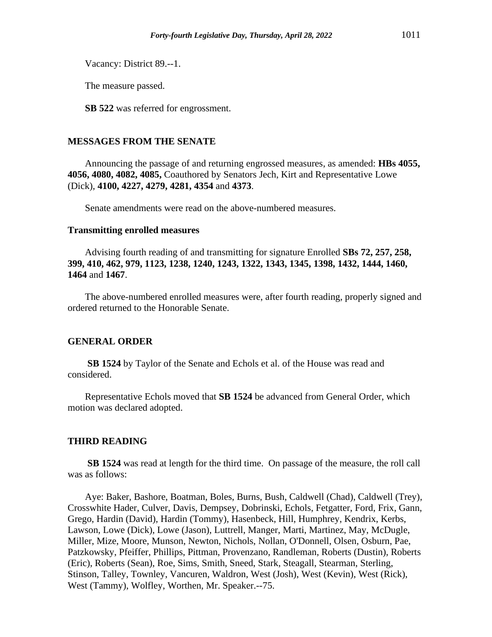Vacancy: District 89.--1.

The measure passed.

**SB 522** was referred for engrossment.

### **MESSAGES FROM THE SENATE**

Announcing the passage of and returning engrossed measures, as amended: **HBs 4055, 4056, 4080, 4082, 4085,** Coauthored by Senators Jech, Kirt and Representative Lowe (Dick), **4100, 4227, 4279, 4281, 4354** and **4373**.

Senate amendments were read on the above-numbered measures.

### **Transmitting enrolled measures**

Advising fourth reading of and transmitting for signature Enrolled **SBs 72, 257, 258, 399, 410, 462, 979, 1123, 1238, 1240, 1243, 1322, 1343, 1345, 1398, 1432, 1444, 1460, 1464** and **1467**.

The above-numbered enrolled measures were, after fourth reading, properly signed and ordered returned to the Honorable Senate.

### **GENERAL ORDER**

**SB 1524** by Taylor of the Senate and Echols et al. of the House was read and considered.

Representative Echols moved that **SB 1524** be advanced from General Order, which motion was declared adopted.

#### **THIRD READING**

**SB 1524** was read at length for the third time. On passage of the measure, the roll call was as follows:

Aye: Baker, Bashore, Boatman, Boles, Burns, Bush, Caldwell (Chad), Caldwell (Trey), Crosswhite Hader, Culver, Davis, Dempsey, Dobrinski, Echols, Fetgatter, Ford, Frix, Gann, Grego, Hardin (David), Hardin (Tommy), Hasenbeck, Hill, Humphrey, Kendrix, Kerbs, Lawson, Lowe (Dick), Lowe (Jason), Luttrell, Manger, Marti, Martinez, May, McDugle, Miller, Mize, Moore, Munson, Newton, Nichols, Nollan, O'Donnell, Olsen, Osburn, Pae, Patzkowsky, Pfeiffer, Phillips, Pittman, Provenzano, Randleman, Roberts (Dustin), Roberts (Eric), Roberts (Sean), Roe, Sims, Smith, Sneed, Stark, Steagall, Stearman, Sterling, Stinson, Talley, Townley, Vancuren, Waldron, West (Josh), West (Kevin), West (Rick), West (Tammy), Wolfley, Worthen, Mr. Speaker.--75.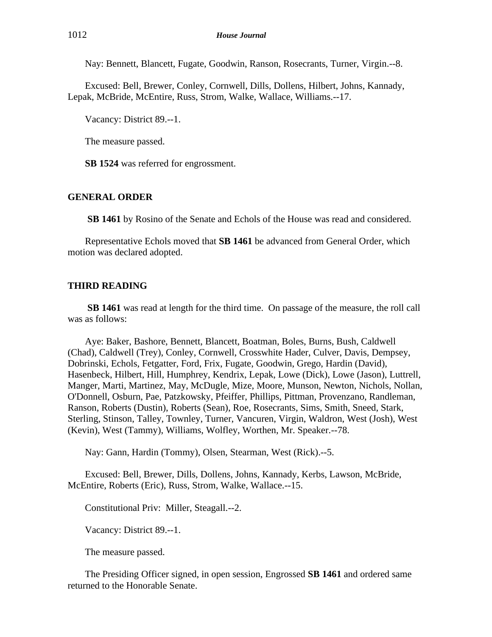Nay: Bennett, Blancett, Fugate, Goodwin, Ranson, Rosecrants, Turner, Virgin.--8.

Excused: Bell, Brewer, Conley, Cornwell, Dills, Dollens, Hilbert, Johns, Kannady, Lepak, McBride, McEntire, Russ, Strom, Walke, Wallace, Williams.--17.

Vacancy: District 89.--1.

The measure passed.

**SB 1524** was referred for engrossment.

# **GENERAL ORDER**

**SB 1461** by Rosino of the Senate and Echols of the House was read and considered.

Representative Echols moved that **SB 1461** be advanced from General Order, which motion was declared adopted.

### **THIRD READING**

**SB 1461** was read at length for the third time. On passage of the measure, the roll call was as follows:

Aye: Baker, Bashore, Bennett, Blancett, Boatman, Boles, Burns, Bush, Caldwell (Chad), Caldwell (Trey), Conley, Cornwell, Crosswhite Hader, Culver, Davis, Dempsey, Dobrinski, Echols, Fetgatter, Ford, Frix, Fugate, Goodwin, Grego, Hardin (David), Hasenbeck, Hilbert, Hill, Humphrey, Kendrix, Lepak, Lowe (Dick), Lowe (Jason), Luttrell, Manger, Marti, Martinez, May, McDugle, Mize, Moore, Munson, Newton, Nichols, Nollan, O'Donnell, Osburn, Pae, Patzkowsky, Pfeiffer, Phillips, Pittman, Provenzano, Randleman, Ranson, Roberts (Dustin), Roberts (Sean), Roe, Rosecrants, Sims, Smith, Sneed, Stark, Sterling, Stinson, Talley, Townley, Turner, Vancuren, Virgin, Waldron, West (Josh), West (Kevin), West (Tammy), Williams, Wolfley, Worthen, Mr. Speaker.--78.

Nay: Gann, Hardin (Tommy), Olsen, Stearman, West (Rick).--5.

Excused: Bell, Brewer, Dills, Dollens, Johns, Kannady, Kerbs, Lawson, McBride, McEntire, Roberts (Eric), Russ, Strom, Walke, Wallace.--15.

Constitutional Priv: Miller, Steagall.--2.

Vacancy: District 89.--1.

The measure passed.

The Presiding Officer signed, in open session, Engrossed **SB 1461** and ordered same returned to the Honorable Senate.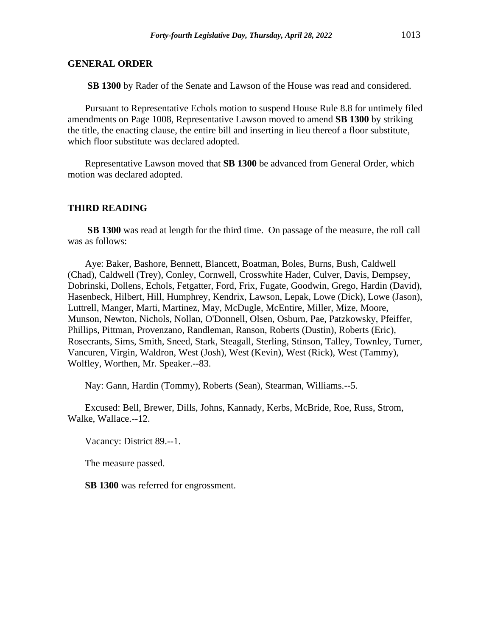**SB 1300** by Rader of the Senate and Lawson of the House was read and considered.

Pursuant to Representative Echols motion to suspend House Rule 8.8 for untimely filed amendments on Page 1008, Representative Lawson moved to amend **SB 1300** by striking the title, the enacting clause, the entire bill and inserting in lieu thereof a floor substitute, which floor substitute was declared adopted.

Representative Lawson moved that **SB 1300** be advanced from General Order, which motion was declared adopted.

### **THIRD READING**

**SB 1300** was read at length for the third time. On passage of the measure, the roll call was as follows:

Aye: Baker, Bashore, Bennett, Blancett, Boatman, Boles, Burns, Bush, Caldwell (Chad), Caldwell (Trey), Conley, Cornwell, Crosswhite Hader, Culver, Davis, Dempsey, Dobrinski, Dollens, Echols, Fetgatter, Ford, Frix, Fugate, Goodwin, Grego, Hardin (David), Hasenbeck, Hilbert, Hill, Humphrey, Kendrix, Lawson, Lepak, Lowe (Dick), Lowe (Jason), Luttrell, Manger, Marti, Martinez, May, McDugle, McEntire, Miller, Mize, Moore, Munson, Newton, Nichols, Nollan, O'Donnell, Olsen, Osburn, Pae, Patzkowsky, Pfeiffer, Phillips, Pittman, Provenzano, Randleman, Ranson, Roberts (Dustin), Roberts (Eric), Rosecrants, Sims, Smith, Sneed, Stark, Steagall, Sterling, Stinson, Talley, Townley, Turner, Vancuren, Virgin, Waldron, West (Josh), West (Kevin), West (Rick), West (Tammy), Wolfley, Worthen, Mr. Speaker.--83.

Nay: Gann, Hardin (Tommy), Roberts (Sean), Stearman, Williams.--5.

Excused: Bell, Brewer, Dills, Johns, Kannady, Kerbs, McBride, Roe, Russ, Strom, Walke, Wallace.--12.

Vacancy: District 89.--1.

The measure passed.

**SB 1300** was referred for engrossment.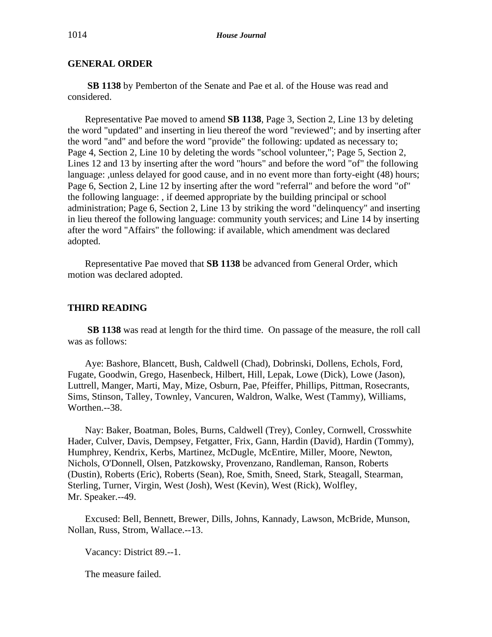**SB 1138** by Pemberton of the Senate and Pae et al. of the House was read and considered.

Representative Pae moved to amend **SB 1138**, Page 3, Section 2, Line 13 by deleting the word "updated" and inserting in lieu thereof the word "reviewed"; and by inserting after the word "and" and before the word "provide" the following: updated as necessary to; Page 4, Section 2, Line 10 by deleting the words "school volunteer,"; Page 5, Section 2, Lines 12 and 13 by inserting after the word "hours" and before the word "of" the following language: ,unless delayed for good cause, and in no event more than forty-eight (48) hours; Page 6, Section 2, Line 12 by inserting after the word "referral" and before the word "of" the following language: , if deemed appropriate by the building principal or school administration; Page 6, Section 2, Line 13 by striking the word "delinquency" and inserting in lieu thereof the following language: community youth services; and Line 14 by inserting after the word "Affairs" the following: if available, which amendment was declared adopted.

Representative Pae moved that **SB 1138** be advanced from General Order, which motion was declared adopted.

### **THIRD READING**

**SB 1138** was read at length for the third time. On passage of the measure, the roll call was as follows:

Aye: Bashore, Blancett, Bush, Caldwell (Chad), Dobrinski, Dollens, Echols, Ford, Fugate, Goodwin, Grego, Hasenbeck, Hilbert, Hill, Lepak, Lowe (Dick), Lowe (Jason), Luttrell, Manger, Marti, May, Mize, Osburn, Pae, Pfeiffer, Phillips, Pittman, Rosecrants, Sims, Stinson, Talley, Townley, Vancuren, Waldron, Walke, West (Tammy), Williams, Worthen.--38.

Nay: Baker, Boatman, Boles, Burns, Caldwell (Trey), Conley, Cornwell, Crosswhite Hader, Culver, Davis, Dempsey, Fetgatter, Frix, Gann, Hardin (David), Hardin (Tommy), Humphrey, Kendrix, Kerbs, Martinez, McDugle, McEntire, Miller, Moore, Newton, Nichols, O'Donnell, Olsen, Patzkowsky, Provenzano, Randleman, Ranson, Roberts (Dustin), Roberts (Eric), Roberts (Sean), Roe, Smith, Sneed, Stark, Steagall, Stearman, Sterling, Turner, Virgin, West (Josh), West (Kevin), West (Rick), Wolfley, Mr. Speaker.--49.

Excused: Bell, Bennett, Brewer, Dills, Johns, Kannady, Lawson, McBride, Munson, Nollan, Russ, Strom, Wallace.--13.

Vacancy: District 89.--1.

The measure failed.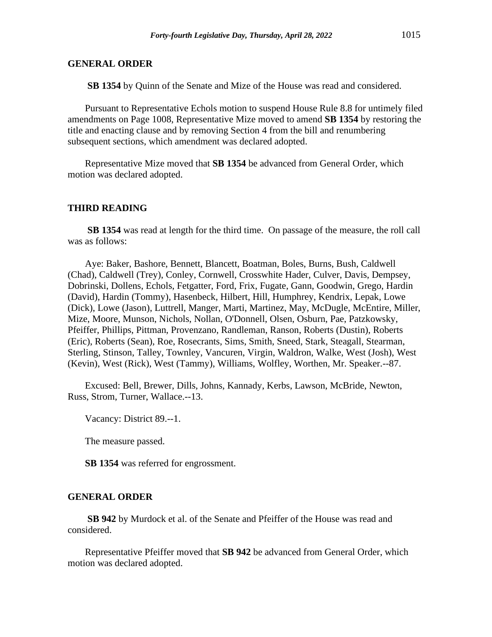**SB 1354** by Quinn of the Senate and Mize of the House was read and considered.

Pursuant to Representative Echols motion to suspend House Rule 8.8 for untimely filed amendments on Page 1008, Representative Mize moved to amend **SB 1354** by restoring the title and enacting clause and by removing Section 4 from the bill and renumbering subsequent sections, which amendment was declared adopted.

Representative Mize moved that **SB 1354** be advanced from General Order, which motion was declared adopted.

### **THIRD READING**

**SB 1354** was read at length for the third time. On passage of the measure, the roll call was as follows:

Aye: Baker, Bashore, Bennett, Blancett, Boatman, Boles, Burns, Bush, Caldwell (Chad), Caldwell (Trey), Conley, Cornwell, Crosswhite Hader, Culver, Davis, Dempsey, Dobrinski, Dollens, Echols, Fetgatter, Ford, Frix, Fugate, Gann, Goodwin, Grego, Hardin (David), Hardin (Tommy), Hasenbeck, Hilbert, Hill, Humphrey, Kendrix, Lepak, Lowe (Dick), Lowe (Jason), Luttrell, Manger, Marti, Martinez, May, McDugle, McEntire, Miller, Mize, Moore, Munson, Nichols, Nollan, O'Donnell, Olsen, Osburn, Pae, Patzkowsky, Pfeiffer, Phillips, Pittman, Provenzano, Randleman, Ranson, Roberts (Dustin), Roberts (Eric), Roberts (Sean), Roe, Rosecrants, Sims, Smith, Sneed, Stark, Steagall, Stearman, Sterling, Stinson, Talley, Townley, Vancuren, Virgin, Waldron, Walke, West (Josh), West (Kevin), West (Rick), West (Tammy), Williams, Wolfley, Worthen, Mr. Speaker.--87.

Excused: Bell, Brewer, Dills, Johns, Kannady, Kerbs, Lawson, McBride, Newton, Russ, Strom, Turner, Wallace.--13.

Vacancy: District 89.--1.

The measure passed.

**SB 1354** was referred for engrossment.

### **GENERAL ORDER**

**SB 942** by Murdock et al. of the Senate and Pfeiffer of the House was read and considered.

Representative Pfeiffer moved that **SB 942** be advanced from General Order, which motion was declared adopted.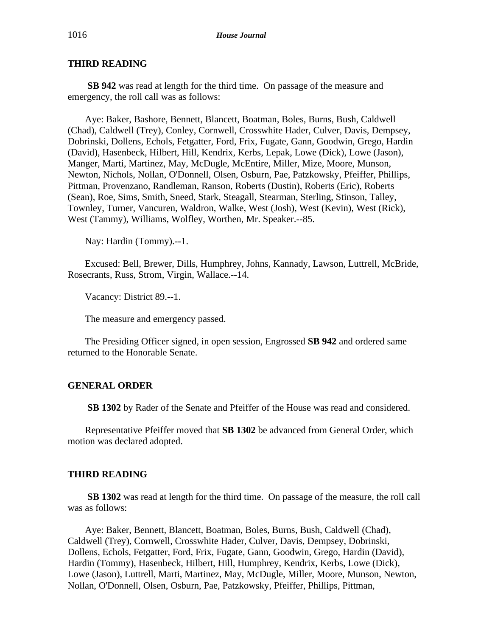# **THIRD READING**

**SB 942** was read at length for the third time. On passage of the measure and emergency, the roll call was as follows:

Aye: Baker, Bashore, Bennett, Blancett, Boatman, Boles, Burns, Bush, Caldwell (Chad), Caldwell (Trey), Conley, Cornwell, Crosswhite Hader, Culver, Davis, Dempsey, Dobrinski, Dollens, Echols, Fetgatter, Ford, Frix, Fugate, Gann, Goodwin, Grego, Hardin (David), Hasenbeck, Hilbert, Hill, Kendrix, Kerbs, Lepak, Lowe (Dick), Lowe (Jason), Manger, Marti, Martinez, May, McDugle, McEntire, Miller, Mize, Moore, Munson, Newton, Nichols, Nollan, O'Donnell, Olsen, Osburn, Pae, Patzkowsky, Pfeiffer, Phillips, Pittman, Provenzano, Randleman, Ranson, Roberts (Dustin), Roberts (Eric), Roberts (Sean), Roe, Sims, Smith, Sneed, Stark, Steagall, Stearman, Sterling, Stinson, Talley, Townley, Turner, Vancuren, Waldron, Walke, West (Josh), West (Kevin), West (Rick), West (Tammy), Williams, Wolfley, Worthen, Mr. Speaker.--85.

Nay: Hardin (Tommy).--1.

Excused: Bell, Brewer, Dills, Humphrey, Johns, Kannady, Lawson, Luttrell, McBride, Rosecrants, Russ, Strom, Virgin, Wallace.--14.

Vacancy: District 89.--1.

The measure and emergency passed.

The Presiding Officer signed, in open session, Engrossed **SB 942** and ordered same returned to the Honorable Senate.

### **GENERAL ORDER**

**SB 1302** by Rader of the Senate and Pfeiffer of the House was read and considered.

Representative Pfeiffer moved that **SB 1302** be advanced from General Order, which motion was declared adopted.

### **THIRD READING**

**SB 1302** was read at length for the third time. On passage of the measure, the roll call was as follows:

Aye: Baker, Bennett, Blancett, Boatman, Boles, Burns, Bush, Caldwell (Chad), Caldwell (Trey), Cornwell, Crosswhite Hader, Culver, Davis, Dempsey, Dobrinski, Dollens, Echols, Fetgatter, Ford, Frix, Fugate, Gann, Goodwin, Grego, Hardin (David), Hardin (Tommy), Hasenbeck, Hilbert, Hill, Humphrey, Kendrix, Kerbs, Lowe (Dick), Lowe (Jason), Luttrell, Marti, Martinez, May, McDugle, Miller, Moore, Munson, Newton, Nollan, O'Donnell, Olsen, Osburn, Pae, Patzkowsky, Pfeiffer, Phillips, Pittman,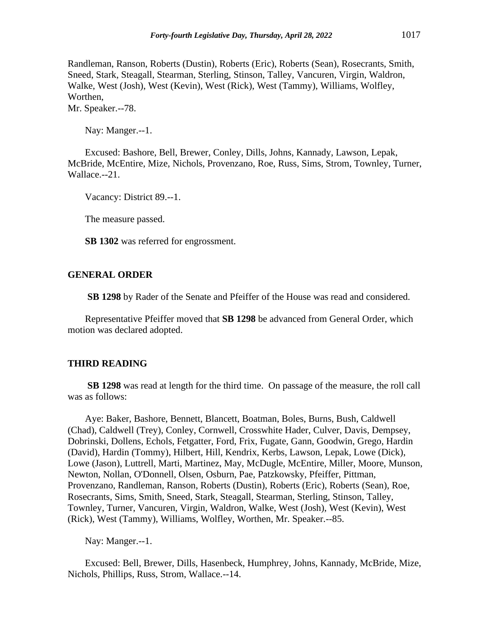Randleman, Ranson, Roberts (Dustin), Roberts (Eric), Roberts (Sean), Rosecrants, Smith, Sneed, Stark, Steagall, Stearman, Sterling, Stinson, Talley, Vancuren, Virgin, Waldron, Walke, West (Josh), West (Kevin), West (Rick), West (Tammy), Williams, Wolfley, Worthen,

Mr. Speaker.--78.

Nay: Manger.--1.

Excused: Bashore, Bell, Brewer, Conley, Dills, Johns, Kannady, Lawson, Lepak, McBride, McEntire, Mize, Nichols, Provenzano, Roe, Russ, Sims, Strom, Townley, Turner, Wallace.--21.

Vacancy: District 89.--1.

The measure passed.

**SB 1302** was referred for engrossment.

### **GENERAL ORDER**

**SB 1298** by Rader of the Senate and Pfeiffer of the House was read and considered.

Representative Pfeiffer moved that **SB 1298** be advanced from General Order, which motion was declared adopted.

#### **THIRD READING**

**SB 1298** was read at length for the third time. On passage of the measure, the roll call was as follows:

Aye: Baker, Bashore, Bennett, Blancett, Boatman, Boles, Burns, Bush, Caldwell (Chad), Caldwell (Trey), Conley, Cornwell, Crosswhite Hader, Culver, Davis, Dempsey, Dobrinski, Dollens, Echols, Fetgatter, Ford, Frix, Fugate, Gann, Goodwin, Grego, Hardin (David), Hardin (Tommy), Hilbert, Hill, Kendrix, Kerbs, Lawson, Lepak, Lowe (Dick), Lowe (Jason), Luttrell, Marti, Martinez, May, McDugle, McEntire, Miller, Moore, Munson, Newton, Nollan, O'Donnell, Olsen, Osburn, Pae, Patzkowsky, Pfeiffer, Pittman, Provenzano, Randleman, Ranson, Roberts (Dustin), Roberts (Eric), Roberts (Sean), Roe, Rosecrants, Sims, Smith, Sneed, Stark, Steagall, Stearman, Sterling, Stinson, Talley, Townley, Turner, Vancuren, Virgin, Waldron, Walke, West (Josh), West (Kevin), West (Rick), West (Tammy), Williams, Wolfley, Worthen, Mr. Speaker.--85.

Nay: Manger.--1.

Excused: Bell, Brewer, Dills, Hasenbeck, Humphrey, Johns, Kannady, McBride, Mize, Nichols, Phillips, Russ, Strom, Wallace.--14.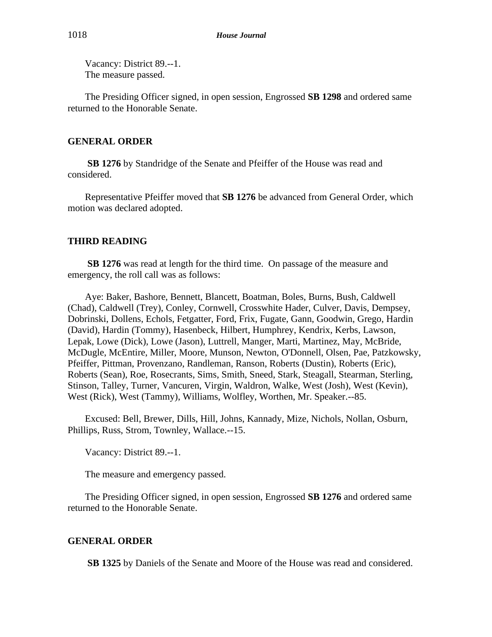Vacancy: District 89.--1. The measure passed.

The Presiding Officer signed, in open session, Engrossed **SB 1298** and ordered same returned to the Honorable Senate.

# **GENERAL ORDER**

**SB 1276** by Standridge of the Senate and Pfeiffer of the House was read and considered.

Representative Pfeiffer moved that **SB 1276** be advanced from General Order, which motion was declared adopted.

# **THIRD READING**

**SB 1276** was read at length for the third time. On passage of the measure and emergency, the roll call was as follows:

Aye: Baker, Bashore, Bennett, Blancett, Boatman, Boles, Burns, Bush, Caldwell (Chad), Caldwell (Trey), Conley, Cornwell, Crosswhite Hader, Culver, Davis, Dempsey, Dobrinski, Dollens, Echols, Fetgatter, Ford, Frix, Fugate, Gann, Goodwin, Grego, Hardin (David), Hardin (Tommy), Hasenbeck, Hilbert, Humphrey, Kendrix, Kerbs, Lawson, Lepak, Lowe (Dick), Lowe (Jason), Luttrell, Manger, Marti, Martinez, May, McBride, McDugle, McEntire, Miller, Moore, Munson, Newton, O'Donnell, Olsen, Pae, Patzkowsky, Pfeiffer, Pittman, Provenzano, Randleman, Ranson, Roberts (Dustin), Roberts (Eric), Roberts (Sean), Roe, Rosecrants, Sims, Smith, Sneed, Stark, Steagall, Stearman, Sterling, Stinson, Talley, Turner, Vancuren, Virgin, Waldron, Walke, West (Josh), West (Kevin), West (Rick), West (Tammy), Williams, Wolfley, Worthen, Mr. Speaker.--85.

Excused: Bell, Brewer, Dills, Hill, Johns, Kannady, Mize, Nichols, Nollan, Osburn, Phillips, Russ, Strom, Townley, Wallace.--15.

Vacancy: District 89.--1.

The measure and emergency passed.

The Presiding Officer signed, in open session, Engrossed **SB 1276** and ordered same returned to the Honorable Senate.

# **GENERAL ORDER**

**SB 1325** by Daniels of the Senate and Moore of the House was read and considered.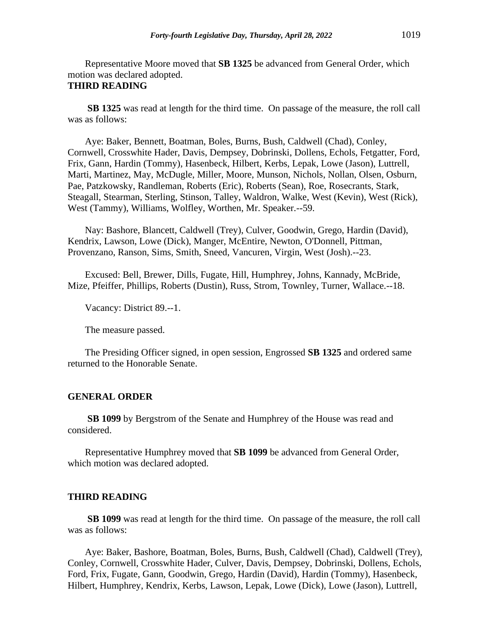Representative Moore moved that **SB 1325** be advanced from General Order, which motion was declared adopted.

# **THIRD READING**

**SB 1325** was read at length for the third time. On passage of the measure, the roll call was as follows:

Aye: Baker, Bennett, Boatman, Boles, Burns, Bush, Caldwell (Chad), Conley, Cornwell, Crosswhite Hader, Davis, Dempsey, Dobrinski, Dollens, Echols, Fetgatter, Ford, Frix, Gann, Hardin (Tommy), Hasenbeck, Hilbert, Kerbs, Lepak, Lowe (Jason), Luttrell, Marti, Martinez, May, McDugle, Miller, Moore, Munson, Nichols, Nollan, Olsen, Osburn, Pae, Patzkowsky, Randleman, Roberts (Eric), Roberts (Sean), Roe, Rosecrants, Stark, Steagall, Stearman, Sterling, Stinson, Talley, Waldron, Walke, West (Kevin), West (Rick), West (Tammy), Williams, Wolfley, Worthen, Mr. Speaker.--59.

Nay: Bashore, Blancett, Caldwell (Trey), Culver, Goodwin, Grego, Hardin (David), Kendrix, Lawson, Lowe (Dick), Manger, McEntire, Newton, O'Donnell, Pittman, Provenzano, Ranson, Sims, Smith, Sneed, Vancuren, Virgin, West (Josh).--23.

Excused: Bell, Brewer, Dills, Fugate, Hill, Humphrey, Johns, Kannady, McBride, Mize, Pfeiffer, Phillips, Roberts (Dustin), Russ, Strom, Townley, Turner, Wallace.--18.

Vacancy: District 89.--1.

The measure passed.

The Presiding Officer signed, in open session, Engrossed **SB 1325** and ordered same returned to the Honorable Senate.

# **GENERAL ORDER**

**SB 1099** by Bergstrom of the Senate and Humphrey of the House was read and considered.

Representative Humphrey moved that **SB 1099** be advanced from General Order, which motion was declared adopted.

### **THIRD READING**

**SB 1099** was read at length for the third time. On passage of the measure, the roll call was as follows:

Aye: Baker, Bashore, Boatman, Boles, Burns, Bush, Caldwell (Chad), Caldwell (Trey), Conley, Cornwell, Crosswhite Hader, Culver, Davis, Dempsey, Dobrinski, Dollens, Echols, Ford, Frix, Fugate, Gann, Goodwin, Grego, Hardin (David), Hardin (Tommy), Hasenbeck, Hilbert, Humphrey, Kendrix, Kerbs, Lawson, Lepak, Lowe (Dick), Lowe (Jason), Luttrell,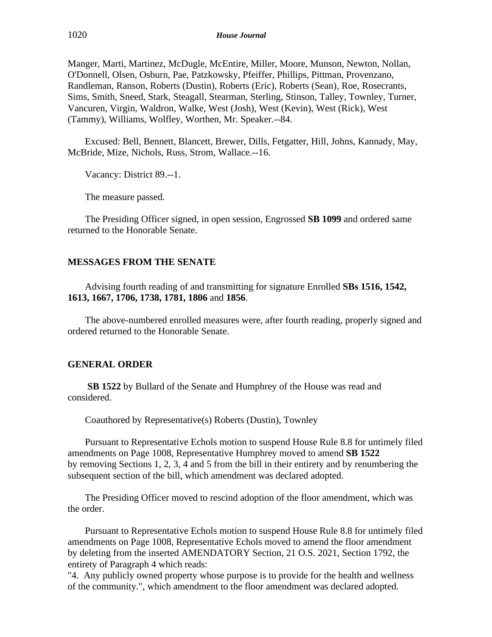Manger, Marti, Martinez, McDugle, McEntire, Miller, Moore, Munson, Newton, Nollan, O'Donnell, Olsen, Osburn, Pae, Patzkowsky, Pfeiffer, Phillips, Pittman, Provenzano, Randleman, Ranson, Roberts (Dustin), Roberts (Eric), Roberts (Sean), Roe, Rosecrants, Sims, Smith, Sneed, Stark, Steagall, Stearman, Sterling, Stinson, Talley, Townley, Turner, Vancuren, Virgin, Waldron, Walke, West (Josh), West (Kevin), West (Rick), West (Tammy), Williams, Wolfley, Worthen, Mr. Speaker.--84.

Excused: Bell, Bennett, Blancett, Brewer, Dills, Fetgatter, Hill, Johns, Kannady, May, McBride, Mize, Nichols, Russ, Strom, Wallace.--16.

Vacancy: District 89.--1.

The measure passed.

The Presiding Officer signed, in open session, Engrossed **SB 1099** and ordered same returned to the Honorable Senate.

### **MESSAGES FROM THE SENATE**

Advising fourth reading of and transmitting for signature Enrolled **SBs 1516, 1542, 1613, 1667, 1706, 1738, 1781, 1806** and **1856**.

The above-numbered enrolled measures were, after fourth reading, properly signed and ordered returned to the Honorable Senate.

# **GENERAL ORDER**

**SB 1522** by Bullard of the Senate and Humphrey of the House was read and considered.

Coauthored by Representative(s) Roberts (Dustin), Townley

Pursuant to Representative Echols motion to suspend House Rule 8.8 for untimely filed amendments on Page 1008, Representative Humphrey moved to amend **SB 1522** by removing Sections 1, 2, 3, 4 and 5 from the bill in their entirety and by renumbering the subsequent section of the bill, which amendment was declared adopted.

The Presiding Officer moved to rescind adoption of the floor amendment, which was the order.

Pursuant to Representative Echols motion to suspend House Rule 8.8 for untimely filed amendments on Page 1008, Representative Echols moved to amend the floor amendment by deleting from the inserted AMENDATORY Section, 21 O.S. 2021, Section 1792, the entirety of Paragraph 4 which reads:

"4. Any publicly owned property whose purpose is to provide for the health and wellness of the community.", which amendment to the floor amendment was declared adopted.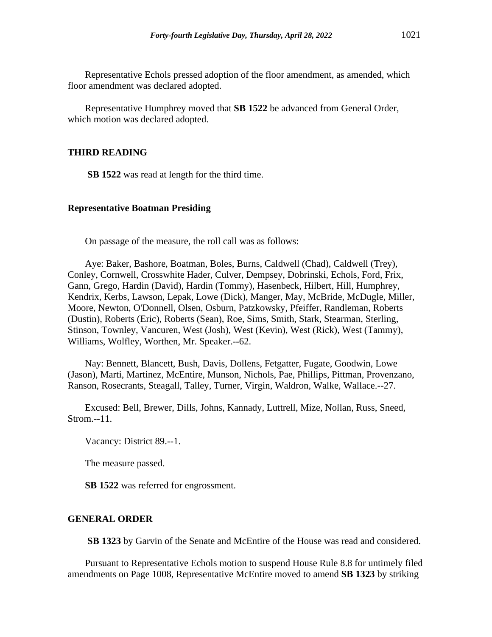Representative Echols pressed adoption of the floor amendment, as amended, which floor amendment was declared adopted.

Representative Humphrey moved that **SB 1522** be advanced from General Order, which motion was declared adopted.

### **THIRD READING**

**SB 1522** was read at length for the third time.

#### **Representative Boatman Presiding**

On passage of the measure, the roll call was as follows:

Aye: Baker, Bashore, Boatman, Boles, Burns, Caldwell (Chad), Caldwell (Trey), Conley, Cornwell, Crosswhite Hader, Culver, Dempsey, Dobrinski, Echols, Ford, Frix, Gann, Grego, Hardin (David), Hardin (Tommy), Hasenbeck, Hilbert, Hill, Humphrey, Kendrix, Kerbs, Lawson, Lepak, Lowe (Dick), Manger, May, McBride, McDugle, Miller, Moore, Newton, O'Donnell, Olsen, Osburn, Patzkowsky, Pfeiffer, Randleman, Roberts (Dustin), Roberts (Eric), Roberts (Sean), Roe, Sims, Smith, Stark, Stearman, Sterling, Stinson, Townley, Vancuren, West (Josh), West (Kevin), West (Rick), West (Tammy), Williams, Wolfley, Worthen, Mr. Speaker.--62.

Nay: Bennett, Blancett, Bush, Davis, Dollens, Fetgatter, Fugate, Goodwin, Lowe (Jason), Marti, Martinez, McEntire, Munson, Nichols, Pae, Phillips, Pittman, Provenzano, Ranson, Rosecrants, Steagall, Talley, Turner, Virgin, Waldron, Walke, Wallace.--27.

Excused: Bell, Brewer, Dills, Johns, Kannady, Luttrell, Mize, Nollan, Russ, Sneed, Strom.--11.

Vacancy: District 89.--1.

The measure passed.

**SB 1522** was referred for engrossment.

### **GENERAL ORDER**

**SB 1323** by Garvin of the Senate and McEntire of the House was read and considered.

Pursuant to Representative Echols motion to suspend House Rule 8.8 for untimely filed amendments on Page 1008, Representative McEntire moved to amend **SB 1323** by striking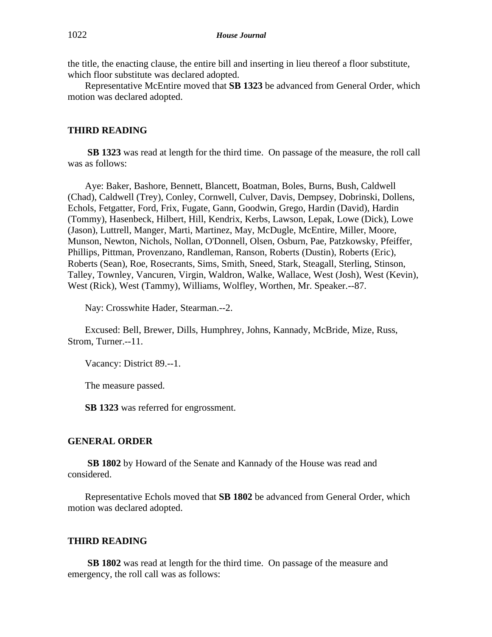the title, the enacting clause, the entire bill and inserting in lieu thereof a floor substitute, which floor substitute was declared adopted.

Representative McEntire moved that **SB 1323** be advanced from General Order, which motion was declared adopted.

# **THIRD READING**

**SB 1323** was read at length for the third time. On passage of the measure, the roll call was as follows:

Aye: Baker, Bashore, Bennett, Blancett, Boatman, Boles, Burns, Bush, Caldwell (Chad), Caldwell (Trey), Conley, Cornwell, Culver, Davis, Dempsey, Dobrinski, Dollens, Echols, Fetgatter, Ford, Frix, Fugate, Gann, Goodwin, Grego, Hardin (David), Hardin (Tommy), Hasenbeck, Hilbert, Hill, Kendrix, Kerbs, Lawson, Lepak, Lowe (Dick), Lowe (Jason), Luttrell, Manger, Marti, Martinez, May, McDugle, McEntire, Miller, Moore, Munson, Newton, Nichols, Nollan, O'Donnell, Olsen, Osburn, Pae, Patzkowsky, Pfeiffer, Phillips, Pittman, Provenzano, Randleman, Ranson, Roberts (Dustin), Roberts (Eric), Roberts (Sean), Roe, Rosecrants, Sims, Smith, Sneed, Stark, Steagall, Sterling, Stinson, Talley, Townley, Vancuren, Virgin, Waldron, Walke, Wallace, West (Josh), West (Kevin), West (Rick), West (Tammy), Williams, Wolfley, Worthen, Mr. Speaker.--87.

Nay: Crosswhite Hader, Stearman.--2.

Excused: Bell, Brewer, Dills, Humphrey, Johns, Kannady, McBride, Mize, Russ, Strom, Turner.--11.

Vacancy: District 89.--1.

The measure passed.

**SB 1323** was referred for engrossment.

# **GENERAL ORDER**

**SB 1802** by Howard of the Senate and Kannady of the House was read and considered.

Representative Echols moved that **SB 1802** be advanced from General Order, which motion was declared adopted.

# **THIRD READING**

**SB 1802** was read at length for the third time. On passage of the measure and emergency, the roll call was as follows: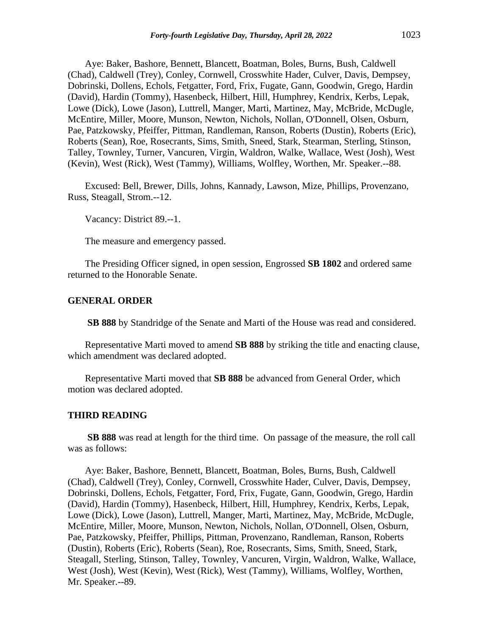Aye: Baker, Bashore, Bennett, Blancett, Boatman, Boles, Burns, Bush, Caldwell (Chad), Caldwell (Trey), Conley, Cornwell, Crosswhite Hader, Culver, Davis, Dempsey, Dobrinski, Dollens, Echols, Fetgatter, Ford, Frix, Fugate, Gann, Goodwin, Grego, Hardin (David), Hardin (Tommy), Hasenbeck, Hilbert, Hill, Humphrey, Kendrix, Kerbs, Lepak, Lowe (Dick), Lowe (Jason), Luttrell, Manger, Marti, Martinez, May, McBride, McDugle, McEntire, Miller, Moore, Munson, Newton, Nichols, Nollan, O'Donnell, Olsen, Osburn, Pae, Patzkowsky, Pfeiffer, Pittman, Randleman, Ranson, Roberts (Dustin), Roberts (Eric), Roberts (Sean), Roe, Rosecrants, Sims, Smith, Sneed, Stark, Stearman, Sterling, Stinson, Talley, Townley, Turner, Vancuren, Virgin, Waldron, Walke, Wallace, West (Josh), West (Kevin), West (Rick), West (Tammy), Williams, Wolfley, Worthen, Mr. Speaker.--88.

Excused: Bell, Brewer, Dills, Johns, Kannady, Lawson, Mize, Phillips, Provenzano, Russ, Steagall, Strom.--12.

Vacancy: District 89.--1.

The measure and emergency passed.

The Presiding Officer signed, in open session, Engrossed **SB 1802** and ordered same returned to the Honorable Senate.

### **GENERAL ORDER**

**SB 888** by Standridge of the Senate and Marti of the House was read and considered.

Representative Marti moved to amend **SB 888** by striking the title and enacting clause, which amendment was declared adopted.

Representative Marti moved that **SB 888** be advanced from General Order, which motion was declared adopted.

### **THIRD READING**

**SB 888** was read at length for the third time. On passage of the measure, the roll call was as follows:

Aye: Baker, Bashore, Bennett, Blancett, Boatman, Boles, Burns, Bush, Caldwell (Chad), Caldwell (Trey), Conley, Cornwell, Crosswhite Hader, Culver, Davis, Dempsey, Dobrinski, Dollens, Echols, Fetgatter, Ford, Frix, Fugate, Gann, Goodwin, Grego, Hardin (David), Hardin (Tommy), Hasenbeck, Hilbert, Hill, Humphrey, Kendrix, Kerbs, Lepak, Lowe (Dick), Lowe (Jason), Luttrell, Manger, Marti, Martinez, May, McBride, McDugle, McEntire, Miller, Moore, Munson, Newton, Nichols, Nollan, O'Donnell, Olsen, Osburn, Pae, Patzkowsky, Pfeiffer, Phillips, Pittman, Provenzano, Randleman, Ranson, Roberts (Dustin), Roberts (Eric), Roberts (Sean), Roe, Rosecrants, Sims, Smith, Sneed, Stark, Steagall, Sterling, Stinson, Talley, Townley, Vancuren, Virgin, Waldron, Walke, Wallace, West (Josh), West (Kevin), West (Rick), West (Tammy), Williams, Wolfley, Worthen, Mr. Speaker.--89.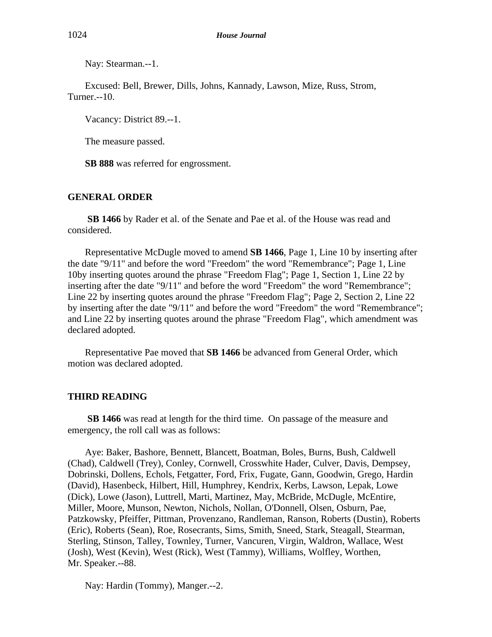Nay: Stearman.--1.

Excused: Bell, Brewer, Dills, Johns, Kannady, Lawson, Mize, Russ, Strom, Turner.--10.

Vacancy: District 89.--1.

The measure passed.

**SB 888** was referred for engrossment.

### **GENERAL ORDER**

**SB 1466** by Rader et al. of the Senate and Pae et al. of the House was read and considered.

Representative McDugle moved to amend **SB 1466**, Page 1, Line 10 by inserting after the date "9/11" and before the word "Freedom" the word "Remembrance"; Page 1, Line 10by inserting quotes around the phrase "Freedom Flag"; Page 1, Section 1, Line 22 by inserting after the date "9/11" and before the word "Freedom" the word "Remembrance"; Line 22 by inserting quotes around the phrase "Freedom Flag"; Page 2, Section 2, Line 22 by inserting after the date "9/11" and before the word "Freedom" the word "Remembrance"; and Line 22 by inserting quotes around the phrase "Freedom Flag", which amendment was declared adopted.

Representative Pae moved that **SB 1466** be advanced from General Order, which motion was declared adopted.

#### **THIRD READING**

**SB 1466** was read at length for the third time. On passage of the measure and emergency, the roll call was as follows:

Aye: Baker, Bashore, Bennett, Blancett, Boatman, Boles, Burns, Bush, Caldwell (Chad), Caldwell (Trey), Conley, Cornwell, Crosswhite Hader, Culver, Davis, Dempsey, Dobrinski, Dollens, Echols, Fetgatter, Ford, Frix, Fugate, Gann, Goodwin, Grego, Hardin (David), Hasenbeck, Hilbert, Hill, Humphrey, Kendrix, Kerbs, Lawson, Lepak, Lowe (Dick), Lowe (Jason), Luttrell, Marti, Martinez, May, McBride, McDugle, McEntire, Miller, Moore, Munson, Newton, Nichols, Nollan, O'Donnell, Olsen, Osburn, Pae, Patzkowsky, Pfeiffer, Pittman, Provenzano, Randleman, Ranson, Roberts (Dustin), Roberts (Eric), Roberts (Sean), Roe, Rosecrants, Sims, Smith, Sneed, Stark, Steagall, Stearman, Sterling, Stinson, Talley, Townley, Turner, Vancuren, Virgin, Waldron, Wallace, West (Josh), West (Kevin), West (Rick), West (Tammy), Williams, Wolfley, Worthen, Mr. Speaker.--88.

Nay: Hardin (Tommy), Manger.--2.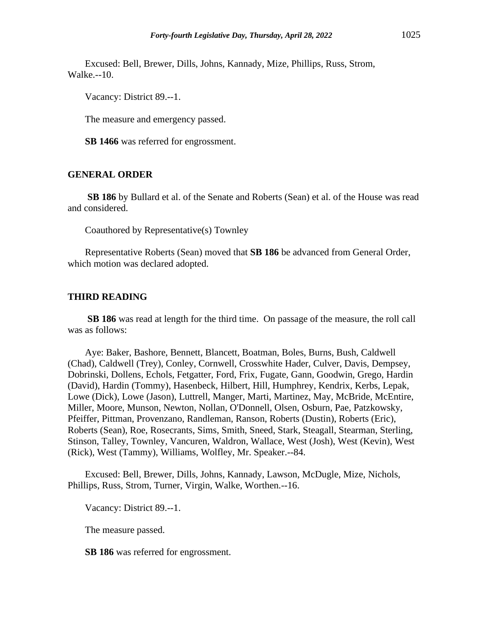Excused: Bell, Brewer, Dills, Johns, Kannady, Mize, Phillips, Russ, Strom, Walke.--10.

Vacancy: District 89.--1.

The measure and emergency passed.

**SB 1466** was referred for engrossment.

# **GENERAL ORDER**

**SB 186** by Bullard et al. of the Senate and Roberts (Sean) et al. of the House was read and considered.

Coauthored by Representative(s) Townley

Representative Roberts (Sean) moved that **SB 186** be advanced from General Order, which motion was declared adopted.

### **THIRD READING**

**SB 186** was read at length for the third time. On passage of the measure, the roll call was as follows:

Aye: Baker, Bashore, Bennett, Blancett, Boatman, Boles, Burns, Bush, Caldwell (Chad), Caldwell (Trey), Conley, Cornwell, Crosswhite Hader, Culver, Davis, Dempsey, Dobrinski, Dollens, Echols, Fetgatter, Ford, Frix, Fugate, Gann, Goodwin, Grego, Hardin (David), Hardin (Tommy), Hasenbeck, Hilbert, Hill, Humphrey, Kendrix, Kerbs, Lepak, Lowe (Dick), Lowe (Jason), Luttrell, Manger, Marti, Martinez, May, McBride, McEntire, Miller, Moore, Munson, Newton, Nollan, O'Donnell, Olsen, Osburn, Pae, Patzkowsky, Pfeiffer, Pittman, Provenzano, Randleman, Ranson, Roberts (Dustin), Roberts (Eric), Roberts (Sean), Roe, Rosecrants, Sims, Smith, Sneed, Stark, Steagall, Stearman, Sterling, Stinson, Talley, Townley, Vancuren, Waldron, Wallace, West (Josh), West (Kevin), West (Rick), West (Tammy), Williams, Wolfley, Mr. Speaker.--84.

Excused: Bell, Brewer, Dills, Johns, Kannady, Lawson, McDugle, Mize, Nichols, Phillips, Russ, Strom, Turner, Virgin, Walke, Worthen.--16.

Vacancy: District 89.--1.

The measure passed.

**SB 186** was referred for engrossment.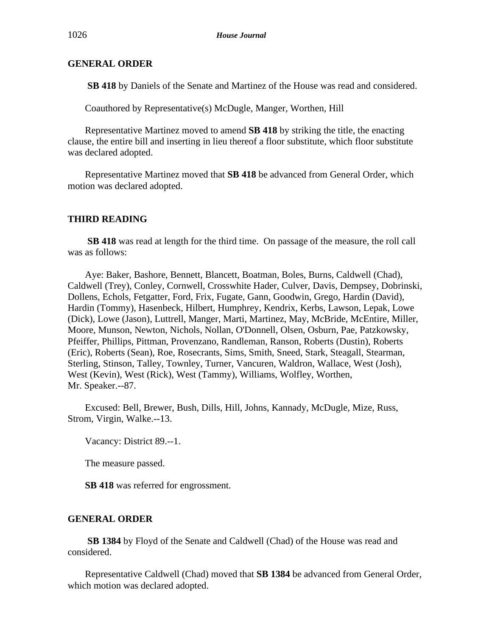**SB 418** by Daniels of the Senate and Martinez of the House was read and considered.

Coauthored by Representative(s) McDugle, Manger, Worthen, Hill

Representative Martinez moved to amend **SB 418** by striking the title, the enacting clause, the entire bill and inserting in lieu thereof a floor substitute, which floor substitute was declared adopted.

Representative Martinez moved that **SB 418** be advanced from General Order, which motion was declared adopted.

# **THIRD READING**

**SB 418** was read at length for the third time. On passage of the measure, the roll call was as follows:

Aye: Baker, Bashore, Bennett, Blancett, Boatman, Boles, Burns, Caldwell (Chad), Caldwell (Trey), Conley, Cornwell, Crosswhite Hader, Culver, Davis, Dempsey, Dobrinski, Dollens, Echols, Fetgatter, Ford, Frix, Fugate, Gann, Goodwin, Grego, Hardin (David), Hardin (Tommy), Hasenbeck, Hilbert, Humphrey, Kendrix, Kerbs, Lawson, Lepak, Lowe (Dick), Lowe (Jason), Luttrell, Manger, Marti, Martinez, May, McBride, McEntire, Miller, Moore, Munson, Newton, Nichols, Nollan, O'Donnell, Olsen, Osburn, Pae, Patzkowsky, Pfeiffer, Phillips, Pittman, Provenzano, Randleman, Ranson, Roberts (Dustin), Roberts (Eric), Roberts (Sean), Roe, Rosecrants, Sims, Smith, Sneed, Stark, Steagall, Stearman, Sterling, Stinson, Talley, Townley, Turner, Vancuren, Waldron, Wallace, West (Josh), West (Kevin), West (Rick), West (Tammy), Williams, Wolfley, Worthen, Mr. Speaker.--87.

Excused: Bell, Brewer, Bush, Dills, Hill, Johns, Kannady, McDugle, Mize, Russ, Strom, Virgin, Walke.--13.

Vacancy: District 89.--1.

The measure passed.

**SB 418** was referred for engrossment.

# **GENERAL ORDER**

**SB 1384** by Floyd of the Senate and Caldwell (Chad) of the House was read and considered.

Representative Caldwell (Chad) moved that **SB 1384** be advanced from General Order, which motion was declared adopted.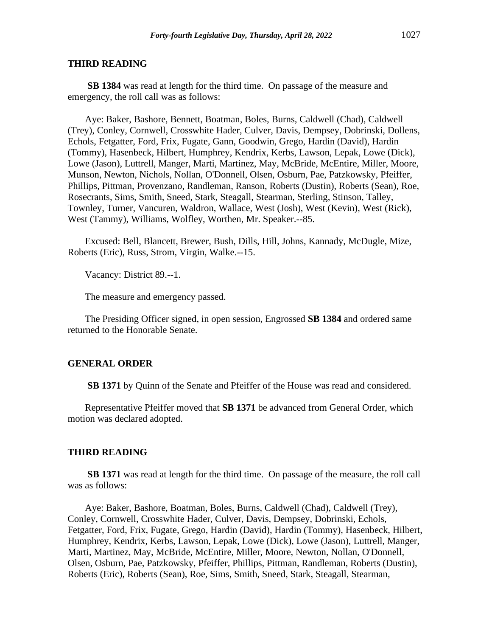### **THIRD READING**

**SB 1384** was read at length for the third time. On passage of the measure and emergency, the roll call was as follows:

Aye: Baker, Bashore, Bennett, Boatman, Boles, Burns, Caldwell (Chad), Caldwell (Trey), Conley, Cornwell, Crosswhite Hader, Culver, Davis, Dempsey, Dobrinski, Dollens, Echols, Fetgatter, Ford, Frix, Fugate, Gann, Goodwin, Grego, Hardin (David), Hardin (Tommy), Hasenbeck, Hilbert, Humphrey, Kendrix, Kerbs, Lawson, Lepak, Lowe (Dick), Lowe (Jason), Luttrell, Manger, Marti, Martinez, May, McBride, McEntire, Miller, Moore, Munson, Newton, Nichols, Nollan, O'Donnell, Olsen, Osburn, Pae, Patzkowsky, Pfeiffer, Phillips, Pittman, Provenzano, Randleman, Ranson, Roberts (Dustin), Roberts (Sean), Roe, Rosecrants, Sims, Smith, Sneed, Stark, Steagall, Stearman, Sterling, Stinson, Talley, Townley, Turner, Vancuren, Waldron, Wallace, West (Josh), West (Kevin), West (Rick), West (Tammy), Williams, Wolfley, Worthen, Mr. Speaker.--85.

Excused: Bell, Blancett, Brewer, Bush, Dills, Hill, Johns, Kannady, McDugle, Mize, Roberts (Eric), Russ, Strom, Virgin, Walke.--15.

Vacancy: District 89.--1.

The measure and emergency passed.

The Presiding Officer signed, in open session, Engrossed **SB 1384** and ordered same returned to the Honorable Senate.

#### **GENERAL ORDER**

**SB 1371** by Quinn of the Senate and Pfeiffer of the House was read and considered.

Representative Pfeiffer moved that **SB 1371** be advanced from General Order, which motion was declared adopted.

#### **THIRD READING**

**SB 1371** was read at length for the third time. On passage of the measure, the roll call was as follows:

Aye: Baker, Bashore, Boatman, Boles, Burns, Caldwell (Chad), Caldwell (Trey), Conley, Cornwell, Crosswhite Hader, Culver, Davis, Dempsey, Dobrinski, Echols, Fetgatter, Ford, Frix, Fugate, Grego, Hardin (David), Hardin (Tommy), Hasenbeck, Hilbert, Humphrey, Kendrix, Kerbs, Lawson, Lepak, Lowe (Dick), Lowe (Jason), Luttrell, Manger, Marti, Martinez, May, McBride, McEntire, Miller, Moore, Newton, Nollan, O'Donnell, Olsen, Osburn, Pae, Patzkowsky, Pfeiffer, Phillips, Pittman, Randleman, Roberts (Dustin), Roberts (Eric), Roberts (Sean), Roe, Sims, Smith, Sneed, Stark, Steagall, Stearman,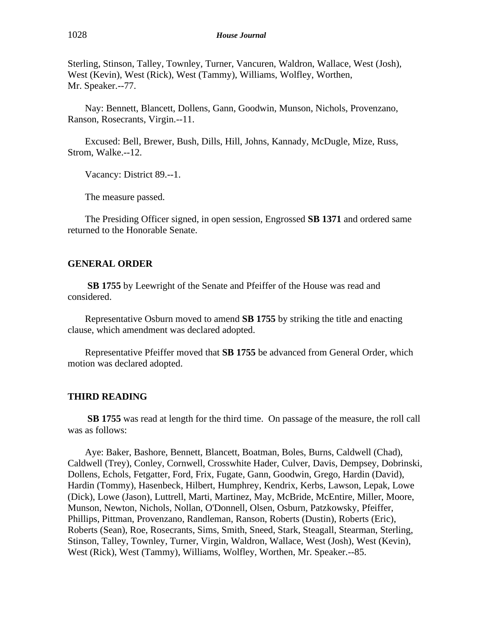Sterling, Stinson, Talley, Townley, Turner, Vancuren, Waldron, Wallace, West (Josh), West (Kevin), West (Rick), West (Tammy), Williams, Wolfley, Worthen, Mr. Speaker.--77.

Nay: Bennett, Blancett, Dollens, Gann, Goodwin, Munson, Nichols, Provenzano, Ranson, Rosecrants, Virgin.--11.

Excused: Bell, Brewer, Bush, Dills, Hill, Johns, Kannady, McDugle, Mize, Russ, Strom, Walke.--12.

Vacancy: District 89.--1.

The measure passed.

The Presiding Officer signed, in open session, Engrossed **SB 1371** and ordered same returned to the Honorable Senate.

### **GENERAL ORDER**

**SB 1755** by Leewright of the Senate and Pfeiffer of the House was read and considered.

Representative Osburn moved to amend **SB 1755** by striking the title and enacting clause, which amendment was declared adopted.

Representative Pfeiffer moved that **SB 1755** be advanced from General Order, which motion was declared adopted.

#### **THIRD READING**

**SB 1755** was read at length for the third time. On passage of the measure, the roll call was as follows:

Aye: Baker, Bashore, Bennett, Blancett, Boatman, Boles, Burns, Caldwell (Chad), Caldwell (Trey), Conley, Cornwell, Crosswhite Hader, Culver, Davis, Dempsey, Dobrinski, Dollens, Echols, Fetgatter, Ford, Frix, Fugate, Gann, Goodwin, Grego, Hardin (David), Hardin (Tommy), Hasenbeck, Hilbert, Humphrey, Kendrix, Kerbs, Lawson, Lepak, Lowe (Dick), Lowe (Jason), Luttrell, Marti, Martinez, May, McBride, McEntire, Miller, Moore, Munson, Newton, Nichols, Nollan, O'Donnell, Olsen, Osburn, Patzkowsky, Pfeiffer, Phillips, Pittman, Provenzano, Randleman, Ranson, Roberts (Dustin), Roberts (Eric), Roberts (Sean), Roe, Rosecrants, Sims, Smith, Sneed, Stark, Steagall, Stearman, Sterling, Stinson, Talley, Townley, Turner, Virgin, Waldron, Wallace, West (Josh), West (Kevin), West (Rick), West (Tammy), Williams, Wolfley, Worthen, Mr. Speaker.--85.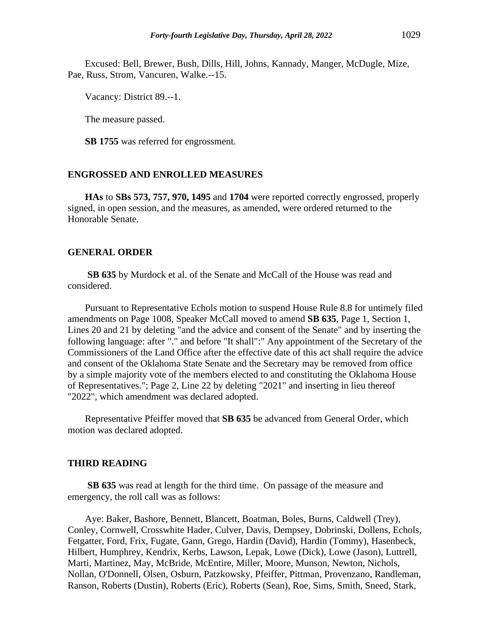Excused: Bell, Brewer, Bush, Dills, Hill, Johns, Kannady, Manger, McDugle, Mize, Pae, Russ, Strom, Vancuren, Walke.--15.

Vacancy: District 89.--1.

The measure passed.

**SB 1755** was referred for engrossment.

### **ENGROSSED AND ENROLLED MEASURES**

**HAs** to **SBs 573, 757, 970, 1495** and **1704** were reported correctly engrossed, properly signed, in open session, and the measures, as amended, were ordered returned to the Honorable Senate.

### **GENERAL ORDER**

**SB 635** by Murdock et al. of the Senate and McCall of the House was read and considered.

Pursuant to Representative Echols motion to suspend House Rule 8.8 for untimely filed amendments on Page 1008, Speaker McCall moved to amend **SB 635**, Page 1, Section 1, Lines 20 and 21 by deleting "and the advice and consent of the Senate" and by inserting the following language: after "." and before "It shall":" Any appointment of the Secretary of the Commissioners of the Land Office after the effective date of this act shall require the advice and consent of the Oklahoma State Senate and the Secretary may be removed from office by a simple majority vote of the members elected to and constituting the Oklahoma House of Representatives."; Page 2, Line 22 by deleting "2021" and inserting in lieu thereof "2022", which amendment was declared adopted.

Representative Pfeiffer moved that **SB 635** be advanced from General Order, which motion was declared adopted.

#### **THIRD READING**

**SB 635** was read at length for the third time. On passage of the measure and emergency, the roll call was as follows:

Aye: Baker, Bashore, Bennett, Blancett, Boatman, Boles, Burns, Caldwell (Trey), Conley, Cornwell, Crosswhite Hader, Culver, Davis, Dempsey, Dobrinski, Dollens, Echols, Fetgatter, Ford, Frix, Fugate, Gann, Grego, Hardin (David), Hardin (Tommy), Hasenbeck, Hilbert, Humphrey, Kendrix, Kerbs, Lawson, Lepak, Lowe (Dick), Lowe (Jason), Luttrell, Marti, Martinez, May, McBride, McEntire, Miller, Moore, Munson, Newton, Nichols, Nollan, O'Donnell, Olsen, Osburn, Patzkowsky, Pfeiffer, Pittman, Provenzano, Randleman, Ranson, Roberts (Dustin), Roberts (Eric), Roberts (Sean), Roe, Sims, Smith, Sneed, Stark,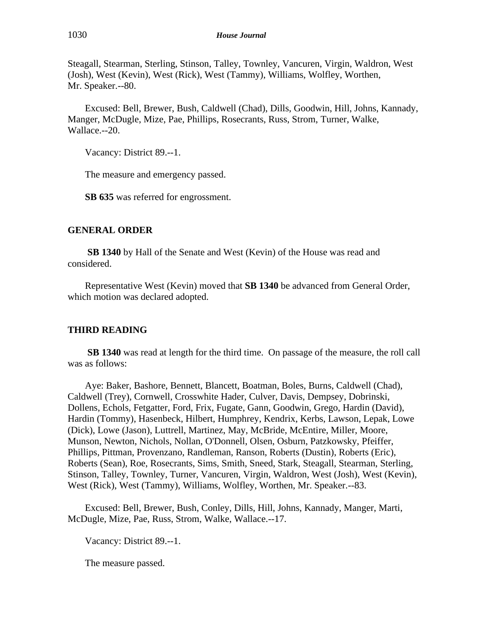Steagall, Stearman, Sterling, Stinson, Talley, Townley, Vancuren, Virgin, Waldron, West (Josh), West (Kevin), West (Rick), West (Tammy), Williams, Wolfley, Worthen, Mr. Speaker.--80.

Excused: Bell, Brewer, Bush, Caldwell (Chad), Dills, Goodwin, Hill, Johns, Kannady, Manger, McDugle, Mize, Pae, Phillips, Rosecrants, Russ, Strom, Turner, Walke, Wallace.--20.

Vacancy: District 89.--1.

The measure and emergency passed.

**SB 635** was referred for engrossment.

# **GENERAL ORDER**

**SB 1340** by Hall of the Senate and West (Kevin) of the House was read and considered.

Representative West (Kevin) moved that **SB 1340** be advanced from General Order, which motion was declared adopted.

# **THIRD READING**

**SB 1340** was read at length for the third time. On passage of the measure, the roll call was as follows:

Aye: Baker, Bashore, Bennett, Blancett, Boatman, Boles, Burns, Caldwell (Chad), Caldwell (Trey), Cornwell, Crosswhite Hader, Culver, Davis, Dempsey, Dobrinski, Dollens, Echols, Fetgatter, Ford, Frix, Fugate, Gann, Goodwin, Grego, Hardin (David), Hardin (Tommy), Hasenbeck, Hilbert, Humphrey, Kendrix, Kerbs, Lawson, Lepak, Lowe (Dick), Lowe (Jason), Luttrell, Martinez, May, McBride, McEntire, Miller, Moore, Munson, Newton, Nichols, Nollan, O'Donnell, Olsen, Osburn, Patzkowsky, Pfeiffer, Phillips, Pittman, Provenzano, Randleman, Ranson, Roberts (Dustin), Roberts (Eric), Roberts (Sean), Roe, Rosecrants, Sims, Smith, Sneed, Stark, Steagall, Stearman, Sterling, Stinson, Talley, Townley, Turner, Vancuren, Virgin, Waldron, West (Josh), West (Kevin), West (Rick), West (Tammy), Williams, Wolfley, Worthen, Mr. Speaker.--83.

Excused: Bell, Brewer, Bush, Conley, Dills, Hill, Johns, Kannady, Manger, Marti, McDugle, Mize, Pae, Russ, Strom, Walke, Wallace.--17.

Vacancy: District 89.--1.

The measure passed.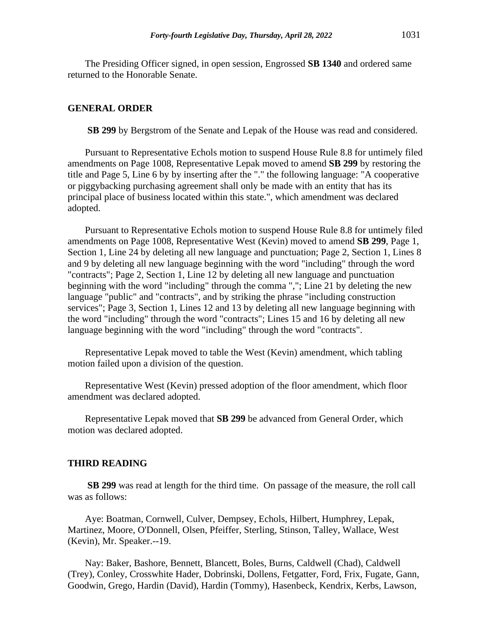The Presiding Officer signed, in open session, Engrossed **SB 1340** and ordered same returned to the Honorable Senate.

### **GENERAL ORDER**

**SB 299** by Bergstrom of the Senate and Lepak of the House was read and considered.

Pursuant to Representative Echols motion to suspend House Rule 8.8 for untimely filed amendments on Page 1008, Representative Lepak moved to amend **SB 299** by restoring the title and Page 5, Line 6 by by inserting after the "." the following language: "A cooperative or piggybacking purchasing agreement shall only be made with an entity that has its principal place of business located within this state.", which amendment was declared adopted.

Pursuant to Representative Echols motion to suspend House Rule 8.8 for untimely filed amendments on Page 1008, Representative West (Kevin) moved to amend **SB 299**, Page 1, Section 1, Line 24 by deleting all new language and punctuation; Page 2, Section 1, Lines 8 and 9 by deleting all new language beginning with the word "including" through the word "contracts"; Page 2, Section 1, Line 12 by deleting all new language and punctuation beginning with the word "including" through the comma ","; Line 21 by deleting the new language "public" and "contracts", and by striking the phrase "including construction services"; Page 3, Section 1, Lines 12 and 13 by deleting all new language beginning with the word "including" through the word "contracts"; Lines 15 and 16 by deleting all new language beginning with the word "including" through the word "contracts".

Representative Lepak moved to table the West (Kevin) amendment, which tabling motion failed upon a division of the question.

Representative West (Kevin) pressed adoption of the floor amendment, which floor amendment was declared adopted.

Representative Lepak moved that **SB 299** be advanced from General Order, which motion was declared adopted.

#### **THIRD READING**

**SB 299** was read at length for the third time. On passage of the measure, the roll call was as follows:

Aye: Boatman, Cornwell, Culver, Dempsey, Echols, Hilbert, Humphrey, Lepak, Martinez, Moore, O'Donnell, Olsen, Pfeiffer, Sterling, Stinson, Talley, Wallace, West (Kevin), Mr. Speaker.--19.

Nay: Baker, Bashore, Bennett, Blancett, Boles, Burns, Caldwell (Chad), Caldwell (Trey), Conley, Crosswhite Hader, Dobrinski, Dollens, Fetgatter, Ford, Frix, Fugate, Gann, Goodwin, Grego, Hardin (David), Hardin (Tommy), Hasenbeck, Kendrix, Kerbs, Lawson,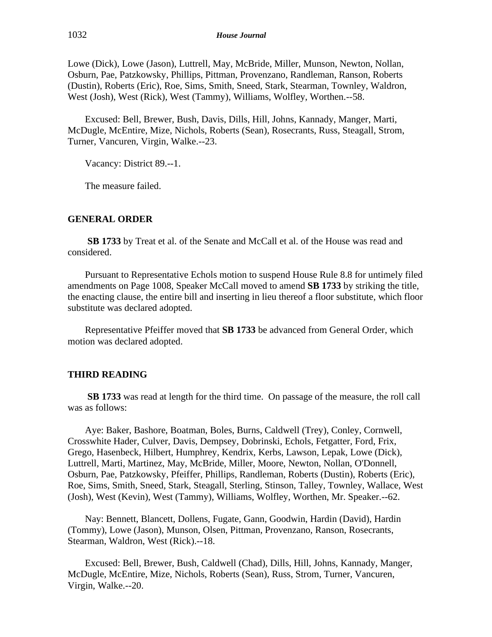Lowe (Dick), Lowe (Jason), Luttrell, May, McBride, Miller, Munson, Newton, Nollan, Osburn, Pae, Patzkowsky, Phillips, Pittman, Provenzano, Randleman, Ranson, Roberts (Dustin), Roberts (Eric), Roe, Sims, Smith, Sneed, Stark, Stearman, Townley, Waldron, West (Josh), West (Rick), West (Tammy), Williams, Wolfley, Worthen.--58.

Excused: Bell, Brewer, Bush, Davis, Dills, Hill, Johns, Kannady, Manger, Marti, McDugle, McEntire, Mize, Nichols, Roberts (Sean), Rosecrants, Russ, Steagall, Strom, Turner, Vancuren, Virgin, Walke.--23.

Vacancy: District 89.--1.

The measure failed.

# **GENERAL ORDER**

**SB 1733** by Treat et al. of the Senate and McCall et al. of the House was read and considered.

Pursuant to Representative Echols motion to suspend House Rule 8.8 for untimely filed amendments on Page 1008, Speaker McCall moved to amend **SB 1733** by striking the title, the enacting clause, the entire bill and inserting in lieu thereof a floor substitute, which floor substitute was declared adopted.

Representative Pfeiffer moved that **SB 1733** be advanced from General Order, which motion was declared adopted.

# **THIRD READING**

**SB 1733** was read at length for the third time. On passage of the measure, the roll call was as follows:

Aye: Baker, Bashore, Boatman, Boles, Burns, Caldwell (Trey), Conley, Cornwell, Crosswhite Hader, Culver, Davis, Dempsey, Dobrinski, Echols, Fetgatter, Ford, Frix, Grego, Hasenbeck, Hilbert, Humphrey, Kendrix, Kerbs, Lawson, Lepak, Lowe (Dick), Luttrell, Marti, Martinez, May, McBride, Miller, Moore, Newton, Nollan, O'Donnell, Osburn, Pae, Patzkowsky, Pfeiffer, Phillips, Randleman, Roberts (Dustin), Roberts (Eric), Roe, Sims, Smith, Sneed, Stark, Steagall, Sterling, Stinson, Talley, Townley, Wallace, West (Josh), West (Kevin), West (Tammy), Williams, Wolfley, Worthen, Mr. Speaker.--62.

Nay: Bennett, Blancett, Dollens, Fugate, Gann, Goodwin, Hardin (David), Hardin (Tommy), Lowe (Jason), Munson, Olsen, Pittman, Provenzano, Ranson, Rosecrants, Stearman, Waldron, West (Rick).--18.

Excused: Bell, Brewer, Bush, Caldwell (Chad), Dills, Hill, Johns, Kannady, Manger, McDugle, McEntire, Mize, Nichols, Roberts (Sean), Russ, Strom, Turner, Vancuren, Virgin, Walke.--20.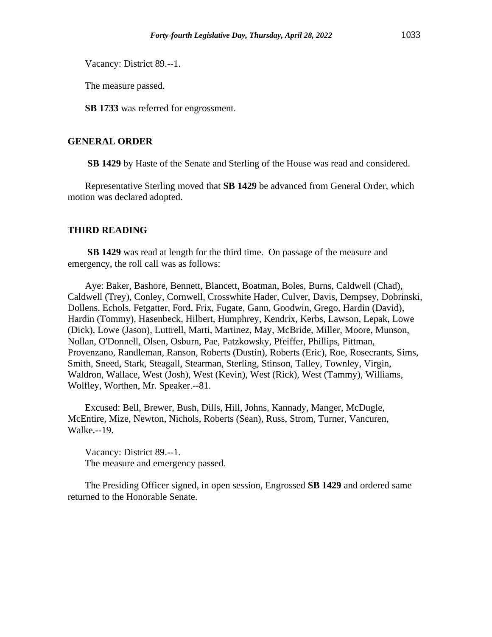Vacancy: District 89.--1.

The measure passed.

**SB 1733** was referred for engrossment.

# **GENERAL ORDER**

**SB 1429** by Haste of the Senate and Sterling of the House was read and considered.

Representative Sterling moved that **SB 1429** be advanced from General Order, which motion was declared adopted.

### **THIRD READING**

**SB 1429** was read at length for the third time. On passage of the measure and emergency, the roll call was as follows:

Aye: Baker, Bashore, Bennett, Blancett, Boatman, Boles, Burns, Caldwell (Chad), Caldwell (Trey), Conley, Cornwell, Crosswhite Hader, Culver, Davis, Dempsey, Dobrinski, Dollens, Echols, Fetgatter, Ford, Frix, Fugate, Gann, Goodwin, Grego, Hardin (David), Hardin (Tommy), Hasenbeck, Hilbert, Humphrey, Kendrix, Kerbs, Lawson, Lepak, Lowe (Dick), Lowe (Jason), Luttrell, Marti, Martinez, May, McBride, Miller, Moore, Munson, Nollan, O'Donnell, Olsen, Osburn, Pae, Patzkowsky, Pfeiffer, Phillips, Pittman, Provenzano, Randleman, Ranson, Roberts (Dustin), Roberts (Eric), Roe, Rosecrants, Sims, Smith, Sneed, Stark, Steagall, Stearman, Sterling, Stinson, Talley, Townley, Virgin, Waldron, Wallace, West (Josh), West (Kevin), West (Rick), West (Tammy), Williams, Wolfley, Worthen, Mr. Speaker.--81.

Excused: Bell, Brewer, Bush, Dills, Hill, Johns, Kannady, Manger, McDugle, McEntire, Mize, Newton, Nichols, Roberts (Sean), Russ, Strom, Turner, Vancuren, Walke.--19.

Vacancy: District 89.--1. The measure and emergency passed.

The Presiding Officer signed, in open session, Engrossed **SB 1429** and ordered same returned to the Honorable Senate.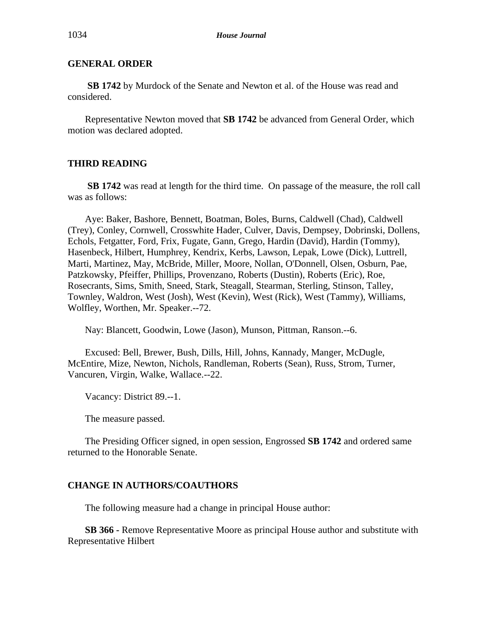**SB 1742** by Murdock of the Senate and Newton et al. of the House was read and considered.

Representative Newton moved that **SB 1742** be advanced from General Order, which motion was declared adopted.

# **THIRD READING**

**SB 1742** was read at length for the third time. On passage of the measure, the roll call was as follows:

Aye: Baker, Bashore, Bennett, Boatman, Boles, Burns, Caldwell (Chad), Caldwell (Trey), Conley, Cornwell, Crosswhite Hader, Culver, Davis, Dempsey, Dobrinski, Dollens, Echols, Fetgatter, Ford, Frix, Fugate, Gann, Grego, Hardin (David), Hardin (Tommy), Hasenbeck, Hilbert, Humphrey, Kendrix, Kerbs, Lawson, Lepak, Lowe (Dick), Luttrell, Marti, Martinez, May, McBride, Miller, Moore, Nollan, O'Donnell, Olsen, Osburn, Pae, Patzkowsky, Pfeiffer, Phillips, Provenzano, Roberts (Dustin), Roberts (Eric), Roe, Rosecrants, Sims, Smith, Sneed, Stark, Steagall, Stearman, Sterling, Stinson, Talley, Townley, Waldron, West (Josh), West (Kevin), West (Rick), West (Tammy), Williams, Wolfley, Worthen, Mr. Speaker.--72.

Nay: Blancett, Goodwin, Lowe (Jason), Munson, Pittman, Ranson.--6.

Excused: Bell, Brewer, Bush, Dills, Hill, Johns, Kannady, Manger, McDugle, McEntire, Mize, Newton, Nichols, Randleman, Roberts (Sean), Russ, Strom, Turner, Vancuren, Virgin, Walke, Wallace.--22.

Vacancy: District 89.--1.

The measure passed.

The Presiding Officer signed, in open session, Engrossed **SB 1742** and ordered same returned to the Honorable Senate.

#### **CHANGE IN AUTHORS/COAUTHORS**

The following measure had a change in principal House author:

**SB 366 -** Remove Representative Moore as principal House author and substitute with Representative Hilbert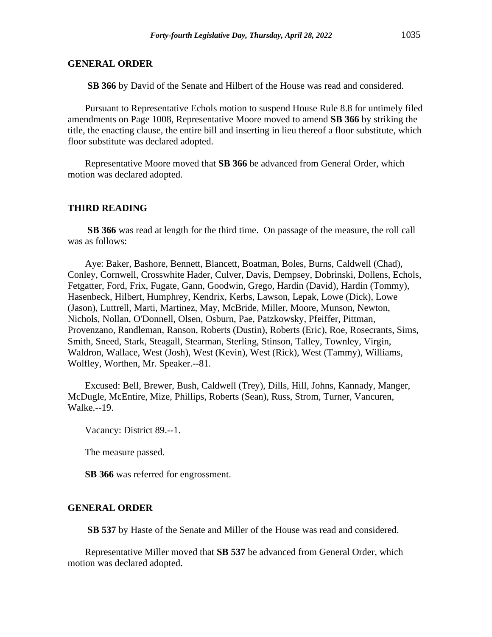**SB 366** by David of the Senate and Hilbert of the House was read and considered.

Pursuant to Representative Echols motion to suspend House Rule 8.8 for untimely filed amendments on Page 1008, Representative Moore moved to amend **SB 366** by striking the title, the enacting clause, the entire bill and inserting in lieu thereof a floor substitute, which floor substitute was declared adopted.

Representative Moore moved that **SB 366** be advanced from General Order, which motion was declared adopted.

### **THIRD READING**

**SB 366** was read at length for the third time. On passage of the measure, the roll call was as follows:

Aye: Baker, Bashore, Bennett, Blancett, Boatman, Boles, Burns, Caldwell (Chad), Conley, Cornwell, Crosswhite Hader, Culver, Davis, Dempsey, Dobrinski, Dollens, Echols, Fetgatter, Ford, Frix, Fugate, Gann, Goodwin, Grego, Hardin (David), Hardin (Tommy), Hasenbeck, Hilbert, Humphrey, Kendrix, Kerbs, Lawson, Lepak, Lowe (Dick), Lowe (Jason), Luttrell, Marti, Martinez, May, McBride, Miller, Moore, Munson, Newton, Nichols, Nollan, O'Donnell, Olsen, Osburn, Pae, Patzkowsky, Pfeiffer, Pittman, Provenzano, Randleman, Ranson, Roberts (Dustin), Roberts (Eric), Roe, Rosecrants, Sims, Smith, Sneed, Stark, Steagall, Stearman, Sterling, Stinson, Talley, Townley, Virgin, Waldron, Wallace, West (Josh), West (Kevin), West (Rick), West (Tammy), Williams, Wolfley, Worthen, Mr. Speaker.--81.

Excused: Bell, Brewer, Bush, Caldwell (Trey), Dills, Hill, Johns, Kannady, Manger, McDugle, McEntire, Mize, Phillips, Roberts (Sean), Russ, Strom, Turner, Vancuren, Walke.--19.

Vacancy: District 89.--1.

The measure passed.

**SB 366** was referred for engrossment.

#### **GENERAL ORDER**

**SB 537** by Haste of the Senate and Miller of the House was read and considered.

Representative Miller moved that **SB 537** be advanced from General Order, which motion was declared adopted.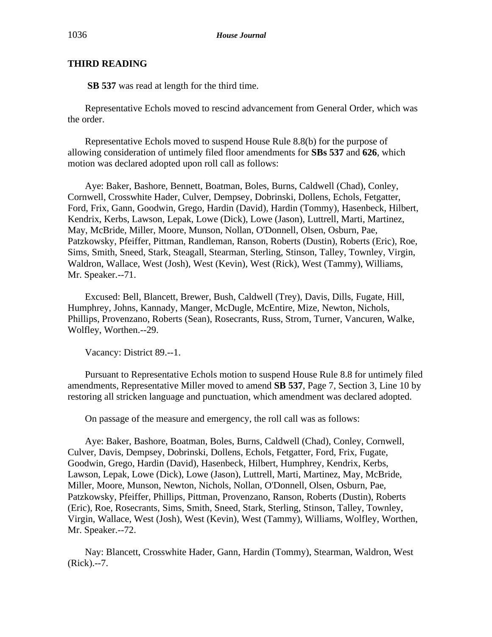# **THIRD READING**

**SB 537** was read at length for the third time.

Representative Echols moved to rescind advancement from General Order, which was the order.

Representative Echols moved to suspend House Rule 8.8(b) for the purpose of allowing consideration of untimely filed floor amendments for **SBs 537** and **626**, which motion was declared adopted upon roll call as follows:

Aye: Baker, Bashore, Bennett, Boatman, Boles, Burns, Caldwell (Chad), Conley, Cornwell, Crosswhite Hader, Culver, Dempsey, Dobrinski, Dollens, Echols, Fetgatter, Ford, Frix, Gann, Goodwin, Grego, Hardin (David), Hardin (Tommy), Hasenbeck, Hilbert, Kendrix, Kerbs, Lawson, Lepak, Lowe (Dick), Lowe (Jason), Luttrell, Marti, Martinez, May, McBride, Miller, Moore, Munson, Nollan, O'Donnell, Olsen, Osburn, Pae, Patzkowsky, Pfeiffer, Pittman, Randleman, Ranson, Roberts (Dustin), Roberts (Eric), Roe, Sims, Smith, Sneed, Stark, Steagall, Stearman, Sterling, Stinson, Talley, Townley, Virgin, Waldron, Wallace, West (Josh), West (Kevin), West (Rick), West (Tammy), Williams, Mr. Speaker.--71.

Excused: Bell, Blancett, Brewer, Bush, Caldwell (Trey), Davis, Dills, Fugate, Hill, Humphrey, Johns, Kannady, Manger, McDugle, McEntire, Mize, Newton, Nichols, Phillips, Provenzano, Roberts (Sean), Rosecrants, Russ, Strom, Turner, Vancuren, Walke, Wolfley, Worthen.--29.

Vacancy: District 89.--1.

Pursuant to Representative Echols motion to suspend House Rule 8.8 for untimely filed amendments, Representative Miller moved to amend **SB 537**, Page 7, Section 3, Line 10 by restoring all stricken language and punctuation, which amendment was declared adopted.

On passage of the measure and emergency, the roll call was as follows:

Aye: Baker, Bashore, Boatman, Boles, Burns, Caldwell (Chad), Conley, Cornwell, Culver, Davis, Dempsey, Dobrinski, Dollens, Echols, Fetgatter, Ford, Frix, Fugate, Goodwin, Grego, Hardin (David), Hasenbeck, Hilbert, Humphrey, Kendrix, Kerbs, Lawson, Lepak, Lowe (Dick), Lowe (Jason), Luttrell, Marti, Martinez, May, McBride, Miller, Moore, Munson, Newton, Nichols, Nollan, O'Donnell, Olsen, Osburn, Pae, Patzkowsky, Pfeiffer, Phillips, Pittman, Provenzano, Ranson, Roberts (Dustin), Roberts (Eric), Roe, Rosecrants, Sims, Smith, Sneed, Stark, Sterling, Stinson, Talley, Townley, Virgin, Wallace, West (Josh), West (Kevin), West (Tammy), Williams, Wolfley, Worthen, Mr. Speaker.--72.

Nay: Blancett, Crosswhite Hader, Gann, Hardin (Tommy), Stearman, Waldron, West (Rick).--7.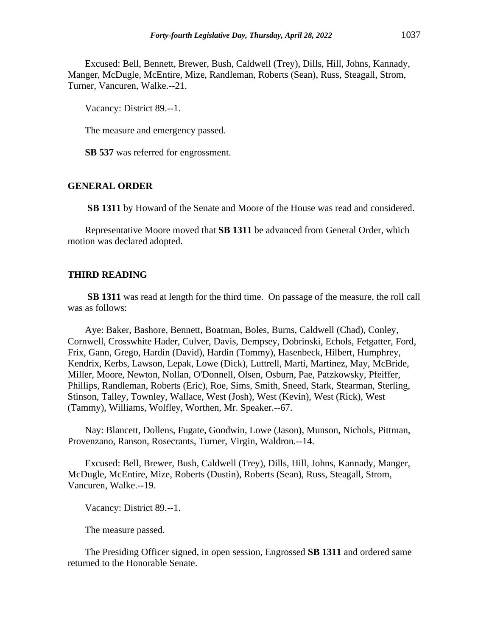Excused: Bell, Bennett, Brewer, Bush, Caldwell (Trey), Dills, Hill, Johns, Kannady, Manger, McDugle, McEntire, Mize, Randleman, Roberts (Sean), Russ, Steagall, Strom, Turner, Vancuren, Walke.--21.

Vacancy: District 89.--1.

The measure and emergency passed.

**SB 537** was referred for engrossment.

### **GENERAL ORDER**

**SB 1311** by Howard of the Senate and Moore of the House was read and considered.

Representative Moore moved that **SB 1311** be advanced from General Order, which motion was declared adopted.

### **THIRD READING**

**SB 1311** was read at length for the third time. On passage of the measure, the roll call was as follows:

Aye: Baker, Bashore, Bennett, Boatman, Boles, Burns, Caldwell (Chad), Conley, Cornwell, Crosswhite Hader, Culver, Davis, Dempsey, Dobrinski, Echols, Fetgatter, Ford, Frix, Gann, Grego, Hardin (David), Hardin (Tommy), Hasenbeck, Hilbert, Humphrey, Kendrix, Kerbs, Lawson, Lepak, Lowe (Dick), Luttrell, Marti, Martinez, May, McBride, Miller, Moore, Newton, Nollan, O'Donnell, Olsen, Osburn, Pae, Patzkowsky, Pfeiffer, Phillips, Randleman, Roberts (Eric), Roe, Sims, Smith, Sneed, Stark, Stearman, Sterling, Stinson, Talley, Townley, Wallace, West (Josh), West (Kevin), West (Rick), West (Tammy), Williams, Wolfley, Worthen, Mr. Speaker.--67.

Nay: Blancett, Dollens, Fugate, Goodwin, Lowe (Jason), Munson, Nichols, Pittman, Provenzano, Ranson, Rosecrants, Turner, Virgin, Waldron.--14.

Excused: Bell, Brewer, Bush, Caldwell (Trey), Dills, Hill, Johns, Kannady, Manger, McDugle, McEntire, Mize, Roberts (Dustin), Roberts (Sean), Russ, Steagall, Strom, Vancuren, Walke.--19.

Vacancy: District 89.--1.

The measure passed.

The Presiding Officer signed, in open session, Engrossed **SB 1311** and ordered same returned to the Honorable Senate.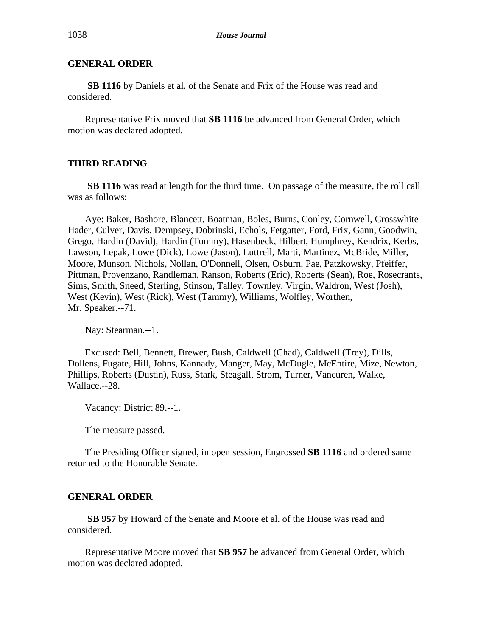**SB 1116** by Daniels et al. of the Senate and Frix of the House was read and considered.

Representative Frix moved that **SB 1116** be advanced from General Order, which motion was declared adopted.

# **THIRD READING**

**SB 1116** was read at length for the third time. On passage of the measure, the roll call was as follows:

Aye: Baker, Bashore, Blancett, Boatman, Boles, Burns, Conley, Cornwell, Crosswhite Hader, Culver, Davis, Dempsey, Dobrinski, Echols, Fetgatter, Ford, Frix, Gann, Goodwin, Grego, Hardin (David), Hardin (Tommy), Hasenbeck, Hilbert, Humphrey, Kendrix, Kerbs, Lawson, Lepak, Lowe (Dick), Lowe (Jason), Luttrell, Marti, Martinez, McBride, Miller, Moore, Munson, Nichols, Nollan, O'Donnell, Olsen, Osburn, Pae, Patzkowsky, Pfeiffer, Pittman, Provenzano, Randleman, Ranson, Roberts (Eric), Roberts (Sean), Roe, Rosecrants, Sims, Smith, Sneed, Sterling, Stinson, Talley, Townley, Virgin, Waldron, West (Josh), West (Kevin), West (Rick), West (Tammy), Williams, Wolfley, Worthen, Mr. Speaker.--71.

Nay: Stearman.--1.

Excused: Bell, Bennett, Brewer, Bush, Caldwell (Chad), Caldwell (Trey), Dills, Dollens, Fugate, Hill, Johns, Kannady, Manger, May, McDugle, McEntire, Mize, Newton, Phillips, Roberts (Dustin), Russ, Stark, Steagall, Strom, Turner, Vancuren, Walke, Wallace.--28.

Vacancy: District 89.--1.

The measure passed.

The Presiding Officer signed, in open session, Engrossed **SB 1116** and ordered same returned to the Honorable Senate.

### **GENERAL ORDER**

**SB 957** by Howard of the Senate and Moore et al. of the House was read and considered.

Representative Moore moved that **SB 957** be advanced from General Order, which motion was declared adopted.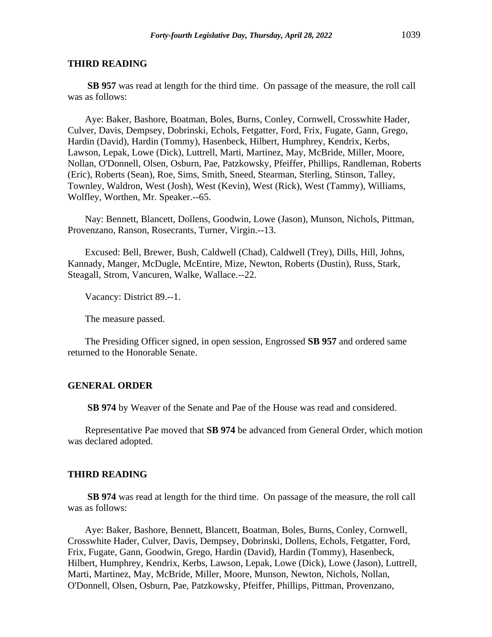#### **THIRD READING**

**SB 957** was read at length for the third time. On passage of the measure, the roll call was as follows:

Aye: Baker, Bashore, Boatman, Boles, Burns, Conley, Cornwell, Crosswhite Hader, Culver, Davis, Dempsey, Dobrinski, Echols, Fetgatter, Ford, Frix, Fugate, Gann, Grego, Hardin (David), Hardin (Tommy), Hasenbeck, Hilbert, Humphrey, Kendrix, Kerbs, Lawson, Lepak, Lowe (Dick), Luttrell, Marti, Martinez, May, McBride, Miller, Moore, Nollan, O'Donnell, Olsen, Osburn, Pae, Patzkowsky, Pfeiffer, Phillips, Randleman, Roberts (Eric), Roberts (Sean), Roe, Sims, Smith, Sneed, Stearman, Sterling, Stinson, Talley, Townley, Waldron, West (Josh), West (Kevin), West (Rick), West (Tammy), Williams, Wolfley, Worthen, Mr. Speaker.--65.

Nay: Bennett, Blancett, Dollens, Goodwin, Lowe (Jason), Munson, Nichols, Pittman, Provenzano, Ranson, Rosecrants, Turner, Virgin.--13.

Excused: Bell, Brewer, Bush, Caldwell (Chad), Caldwell (Trey), Dills, Hill, Johns, Kannady, Manger, McDugle, McEntire, Mize, Newton, Roberts (Dustin), Russ, Stark, Steagall, Strom, Vancuren, Walke, Wallace.--22.

Vacancy: District 89.--1.

The measure passed.

The Presiding Officer signed, in open session, Engrossed **SB 957** and ordered same returned to the Honorable Senate.

### **GENERAL ORDER**

**SB 974** by Weaver of the Senate and Pae of the House was read and considered.

Representative Pae moved that **SB 974** be advanced from General Order, which motion was declared adopted.

### **THIRD READING**

**SB 974** was read at length for the third time. On passage of the measure, the roll call was as follows:

Aye: Baker, Bashore, Bennett, Blancett, Boatman, Boles, Burns, Conley, Cornwell, Crosswhite Hader, Culver, Davis, Dempsey, Dobrinski, Dollens, Echols, Fetgatter, Ford, Frix, Fugate, Gann, Goodwin, Grego, Hardin (David), Hardin (Tommy), Hasenbeck, Hilbert, Humphrey, Kendrix, Kerbs, Lawson, Lepak, Lowe (Dick), Lowe (Jason), Luttrell, Marti, Martinez, May, McBride, Miller, Moore, Munson, Newton, Nichols, Nollan, O'Donnell, Olsen, Osburn, Pae, Patzkowsky, Pfeiffer, Phillips, Pittman, Provenzano,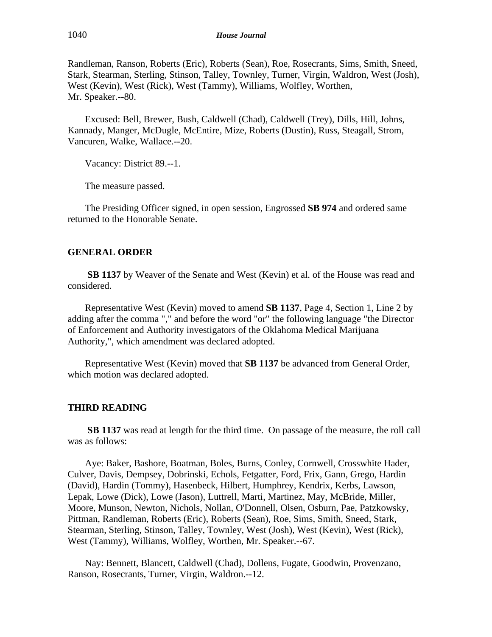Randleman, Ranson, Roberts (Eric), Roberts (Sean), Roe, Rosecrants, Sims, Smith, Sneed, Stark, Stearman, Sterling, Stinson, Talley, Townley, Turner, Virgin, Waldron, West (Josh), West (Kevin), West (Rick), West (Tammy), Williams, Wolfley, Worthen, Mr. Speaker.--80.

Excused: Bell, Brewer, Bush, Caldwell (Chad), Caldwell (Trey), Dills, Hill, Johns, Kannady, Manger, McDugle, McEntire, Mize, Roberts (Dustin), Russ, Steagall, Strom, Vancuren, Walke, Wallace.--20.

Vacancy: District 89.--1.

The measure passed.

The Presiding Officer signed, in open session, Engrossed **SB 974** and ordered same returned to the Honorable Senate.

### **GENERAL ORDER**

**SB 1137** by Weaver of the Senate and West (Kevin) et al. of the House was read and considered.

Representative West (Kevin) moved to amend **SB 1137**, Page 4, Section 1, Line 2 by adding after the comma "," and before the word "or" the following language "the Director of Enforcement and Authority investigators of the Oklahoma Medical Marijuana Authority,", which amendment was declared adopted.

Representative West (Kevin) moved that **SB 1137** be advanced from General Order, which motion was declared adopted.

### **THIRD READING**

**SB 1137** was read at length for the third time. On passage of the measure, the roll call was as follows:

Aye: Baker, Bashore, Boatman, Boles, Burns, Conley, Cornwell, Crosswhite Hader, Culver, Davis, Dempsey, Dobrinski, Echols, Fetgatter, Ford, Frix, Gann, Grego, Hardin (David), Hardin (Tommy), Hasenbeck, Hilbert, Humphrey, Kendrix, Kerbs, Lawson, Lepak, Lowe (Dick), Lowe (Jason), Luttrell, Marti, Martinez, May, McBride, Miller, Moore, Munson, Newton, Nichols, Nollan, O'Donnell, Olsen, Osburn, Pae, Patzkowsky, Pittman, Randleman, Roberts (Eric), Roberts (Sean), Roe, Sims, Smith, Sneed, Stark, Stearman, Sterling, Stinson, Talley, Townley, West (Josh), West (Kevin), West (Rick), West (Tammy), Williams, Wolfley, Worthen, Mr. Speaker.--67.

Nay: Bennett, Blancett, Caldwell (Chad), Dollens, Fugate, Goodwin, Provenzano, Ranson, Rosecrants, Turner, Virgin, Waldron.--12.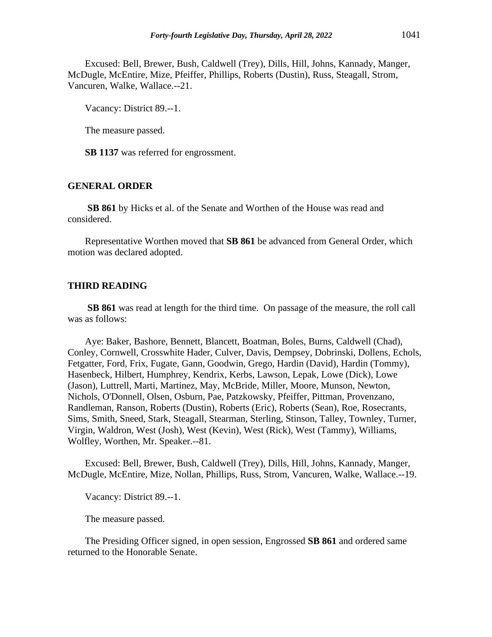Excused: Bell, Brewer, Bush, Caldwell (Trey), Dills, Hill, Johns, Kannady, Manger, McDugle, McEntire, Mize, Pfeiffer, Phillips, Roberts (Dustin), Russ, Steagall, Strom, Vancuren, Walke, Wallace.--21.

Vacancy: District 89.--1.

The measure passed.

**SB 1137** was referred for engrossment.

# **GENERAL ORDER**

**SB 861** by Hicks et al. of the Senate and Worthen of the House was read and considered.

Representative Worthen moved that **SB 861** be advanced from General Order, which motion was declared adopted.

#### **THIRD READING**

**SB 861** was read at length for the third time. On passage of the measure, the roll call was as follows:

Aye: Baker, Bashore, Bennett, Blancett, Boatman, Boles, Burns, Caldwell (Chad), Conley, Cornwell, Crosswhite Hader, Culver, Davis, Dempsey, Dobrinski, Dollens, Echols, Fetgatter, Ford, Frix, Fugate, Gann, Goodwin, Grego, Hardin (David), Hardin (Tommy), Hasenbeck, Hilbert, Humphrey, Kendrix, Kerbs, Lawson, Lepak, Lowe (Dick), Lowe (Jason), Luttrell, Marti, Martinez, May, McBride, Miller, Moore, Munson, Newton, Nichols, O'Donnell, Olsen, Osburn, Pae, Patzkowsky, Pfeiffer, Pittman, Provenzano, Randleman, Ranson, Roberts (Dustin), Roberts (Eric), Roberts (Sean), Roe, Rosecrants, Sims, Smith, Sneed, Stark, Steagall, Stearman, Sterling, Stinson, Talley, Townley, Turner, Virgin, Waldron, West (Josh), West (Kevin), West (Rick), West (Tammy), Williams, Wolfley, Worthen, Mr. Speaker.--81.

Excused: Bell, Brewer, Bush, Caldwell (Trey), Dills, Hill, Johns, Kannady, Manger, McDugle, McEntire, Mize, Nollan, Phillips, Russ, Strom, Vancuren, Walke, Wallace.--19.

Vacancy: District 89.--1.

The measure passed.

The Presiding Officer signed, in open session, Engrossed **SB 861** and ordered same returned to the Honorable Senate.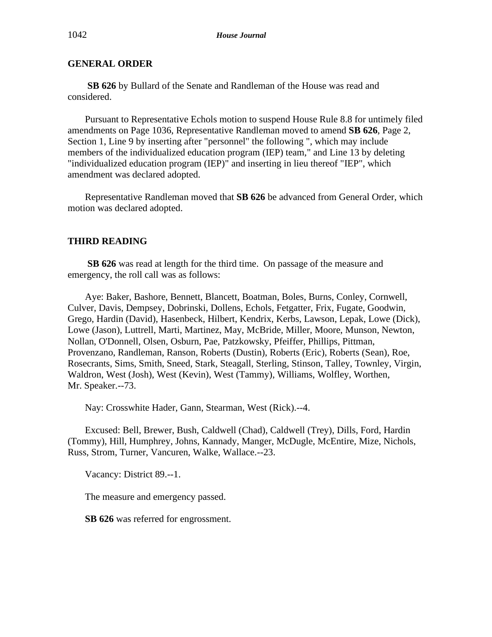**SB 626** by Bullard of the Senate and Randleman of the House was read and considered.

Pursuant to Representative Echols motion to suspend House Rule 8.8 for untimely filed amendments on Page 1036, Representative Randleman moved to amend **SB 626**, Page 2, Section 1, Line 9 by inserting after "personnel" the following ", which may include members of the individualized education program (IEP) team," and Line 13 by deleting "individualized education program (IEP)" and inserting in lieu thereof "IEP", which amendment was declared adopted.

Representative Randleman moved that **SB 626** be advanced from General Order, which motion was declared adopted.

# **THIRD READING**

**SB 626** was read at length for the third time. On passage of the measure and emergency, the roll call was as follows:

Aye: Baker, Bashore, Bennett, Blancett, Boatman, Boles, Burns, Conley, Cornwell, Culver, Davis, Dempsey, Dobrinski, Dollens, Echols, Fetgatter, Frix, Fugate, Goodwin, Grego, Hardin (David), Hasenbeck, Hilbert, Kendrix, Kerbs, Lawson, Lepak, Lowe (Dick), Lowe (Jason), Luttrell, Marti, Martinez, May, McBride, Miller, Moore, Munson, Newton, Nollan, O'Donnell, Olsen, Osburn, Pae, Patzkowsky, Pfeiffer, Phillips, Pittman, Provenzano, Randleman, Ranson, Roberts (Dustin), Roberts (Eric), Roberts (Sean), Roe, Rosecrants, Sims, Smith, Sneed, Stark, Steagall, Sterling, Stinson, Talley, Townley, Virgin, Waldron, West (Josh), West (Kevin), West (Tammy), Williams, Wolfley, Worthen, Mr. Speaker.--73.

Nay: Crosswhite Hader, Gann, Stearman, West (Rick).--4.

Excused: Bell, Brewer, Bush, Caldwell (Chad), Caldwell (Trey), Dills, Ford, Hardin (Tommy), Hill, Humphrey, Johns, Kannady, Manger, McDugle, McEntire, Mize, Nichols, Russ, Strom, Turner, Vancuren, Walke, Wallace.--23.

Vacancy: District 89.--1.

The measure and emergency passed.

**SB 626** was referred for engrossment.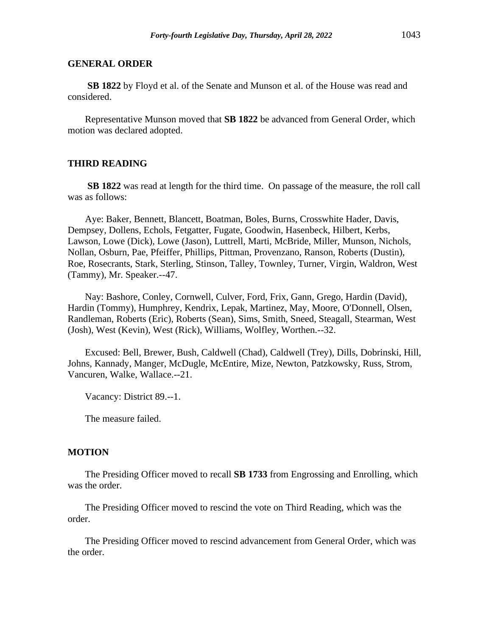**SB 1822** by Floyd et al. of the Senate and Munson et al. of the House was read and considered.

Representative Munson moved that **SB 1822** be advanced from General Order, which motion was declared adopted.

### **THIRD READING**

**SB 1822** was read at length for the third time. On passage of the measure, the roll call was as follows:

Aye: Baker, Bennett, Blancett, Boatman, Boles, Burns, Crosswhite Hader, Davis, Dempsey, Dollens, Echols, Fetgatter, Fugate, Goodwin, Hasenbeck, Hilbert, Kerbs, Lawson, Lowe (Dick), Lowe (Jason), Luttrell, Marti, McBride, Miller, Munson, Nichols, Nollan, Osburn, Pae, Pfeiffer, Phillips, Pittman, Provenzano, Ranson, Roberts (Dustin), Roe, Rosecrants, Stark, Sterling, Stinson, Talley, Townley, Turner, Virgin, Waldron, West (Tammy), Mr. Speaker.--47.

Nay: Bashore, Conley, Cornwell, Culver, Ford, Frix, Gann, Grego, Hardin (David), Hardin (Tommy), Humphrey, Kendrix, Lepak, Martinez, May, Moore, O'Donnell, Olsen, Randleman, Roberts (Eric), Roberts (Sean), Sims, Smith, Sneed, Steagall, Stearman, West (Josh), West (Kevin), West (Rick), Williams, Wolfley, Worthen.--32.

Excused: Bell, Brewer, Bush, Caldwell (Chad), Caldwell (Trey), Dills, Dobrinski, Hill, Johns, Kannady, Manger, McDugle, McEntire, Mize, Newton, Patzkowsky, Russ, Strom, Vancuren, Walke, Wallace.--21.

Vacancy: District 89.--1.

The measure failed.

#### **MOTION**

The Presiding Officer moved to recall **SB 1733** from Engrossing and Enrolling, which was the order.

The Presiding Officer moved to rescind the vote on Third Reading, which was the order.

The Presiding Officer moved to rescind advancement from General Order, which was the order.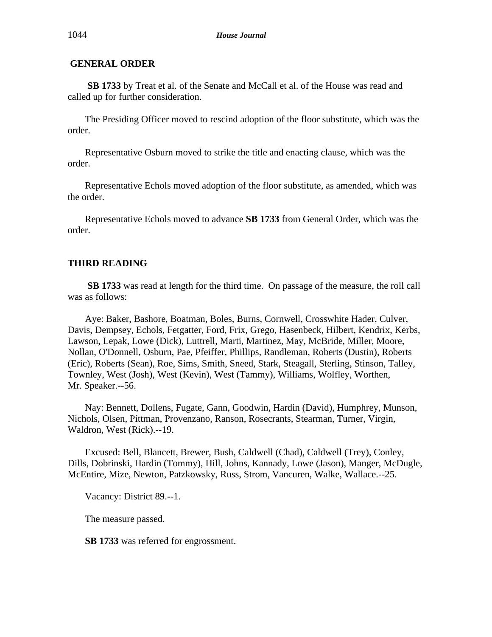**SB 1733** by Treat et al. of the Senate and McCall et al. of the House was read and called up for further consideration.

The Presiding Officer moved to rescind adoption of the floor substitute, which was the order.

Representative Osburn moved to strike the title and enacting clause, which was the order.

Representative Echols moved adoption of the floor substitute, as amended, which was the order.

Representative Echols moved to advance **SB 1733** from General Order, which was the order.

# **THIRD READING**

**SB 1733** was read at length for the third time. On passage of the measure, the roll call was as follows:

Aye: Baker, Bashore, Boatman, Boles, Burns, Cornwell, Crosswhite Hader, Culver, Davis, Dempsey, Echols, Fetgatter, Ford, Frix, Grego, Hasenbeck, Hilbert, Kendrix, Kerbs, Lawson, Lepak, Lowe (Dick), Luttrell, Marti, Martinez, May, McBride, Miller, Moore, Nollan, O'Donnell, Osburn, Pae, Pfeiffer, Phillips, Randleman, Roberts (Dustin), Roberts (Eric), Roberts (Sean), Roe, Sims, Smith, Sneed, Stark, Steagall, Sterling, Stinson, Talley, Townley, West (Josh), West (Kevin), West (Tammy), Williams, Wolfley, Worthen, Mr. Speaker.--56.

Nay: Bennett, Dollens, Fugate, Gann, Goodwin, Hardin (David), Humphrey, Munson, Nichols, Olsen, Pittman, Provenzano, Ranson, Rosecrants, Stearman, Turner, Virgin, Waldron, West (Rick).--19.

Excused: Bell, Blancett, Brewer, Bush, Caldwell (Chad), Caldwell (Trey), Conley, Dills, Dobrinski, Hardin (Tommy), Hill, Johns, Kannady, Lowe (Jason), Manger, McDugle, McEntire, Mize, Newton, Patzkowsky, Russ, Strom, Vancuren, Walke, Wallace.--25.

Vacancy: District 89.--1.

The measure passed.

**SB 1733** was referred for engrossment.